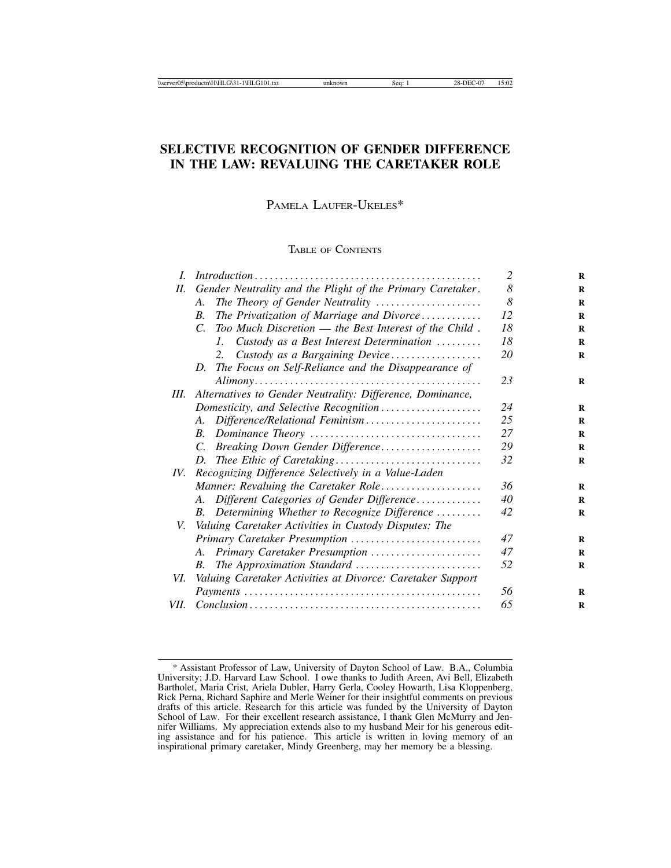# **SELECTIVE RECOGNITION OF GENDER DIFFERENCE IN THE LAW: REVALUING THE CARETAKER ROLE**

PAMELA LAUFER-UKELES\*

# TABLE OF CONTENTS

|                                                                           | 2                                                                                                                                  |
|---------------------------------------------------------------------------|------------------------------------------------------------------------------------------------------------------------------------|
| Gender Neutrality and the Plight of the Primary Caretaker.                | 8                                                                                                                                  |
| The Theory of Gender Neutrality<br>$\mathcal{A}_{\cdot}$                  | 8                                                                                                                                  |
| The Privatization of Marriage and Divorce<br>$\boldsymbol{B}$ .           | 12                                                                                                                                 |
| $\overline{C}$ .<br>Too Much Discretion — the Best Interest of the Child. | 18                                                                                                                                 |
| Custody as a Best Interest Determination<br>L.                            | 18                                                                                                                                 |
| Custody as a Bargaining Device<br>2.                                      | 20                                                                                                                                 |
| The Focus on Self-Reliance and the Disappearance of<br>D.                 |                                                                                                                                    |
|                                                                           | 23                                                                                                                                 |
| Alternatives to Gender Neutrality: Difference, Dominance,                 |                                                                                                                                    |
| Domesticity, and Selective Recognition                                    | 24                                                                                                                                 |
| A. Difference/Relational Feminism                                         | 25                                                                                                                                 |
| $B_{\cdot}$                                                               | 27                                                                                                                                 |
| Breaking Down Gender Difference<br>$C_{\cdot}$                            | 29                                                                                                                                 |
| D.                                                                        | 32                                                                                                                                 |
| Recognizing Difference Selectively in a Value-Laden                       |                                                                                                                                    |
| Manner: Revaluing the Caretaker Role                                      | 36                                                                                                                                 |
| A. Different Categories of Gender Difference                              | 40                                                                                                                                 |
| B. Determining Whether to Recognize Difference                            | 42                                                                                                                                 |
|                                                                           |                                                                                                                                    |
| Primary Caretaker Presumption                                             | 47                                                                                                                                 |
| A. Primary Caretaker Presumption                                          | 47                                                                                                                                 |
| The Approximation Standard<br><i>B</i> .                                  | .52                                                                                                                                |
|                                                                           |                                                                                                                                    |
|                                                                           | 56                                                                                                                                 |
|                                                                           | 65                                                                                                                                 |
|                                                                           | V. Valuing Caretaker Activities in Custody Disputes: The<br>VI. Valuing Caretaker Activities at Divorce: Caretaker Support<br>VII. |

<sup>\*</sup> Assistant Professor of Law, University of Dayton School of Law. B.A., Columbia University; J.D. Harvard Law School. I owe thanks to Judith Areen, Avi Bell, Elizabeth Bartholet, Maria Crist, Ariela Dubler, Harry Gerla, Cooley Howarth, Lisa Kloppenberg, Rick Perna, Richard Saphire and Merle Weiner for their insightful comments on previous drafts of this article. Research for this article was funded by the University of Dayton School of Law. For their excellent research assistance, I thank Glen McMurry and Jennifer Williams. My appreciation extends also to my husband Meir for his generous editing assistance and for his patience. This article is written in loving memory of an inspirational primary caretaker, Mindy Greenberg, may her memory be a blessing.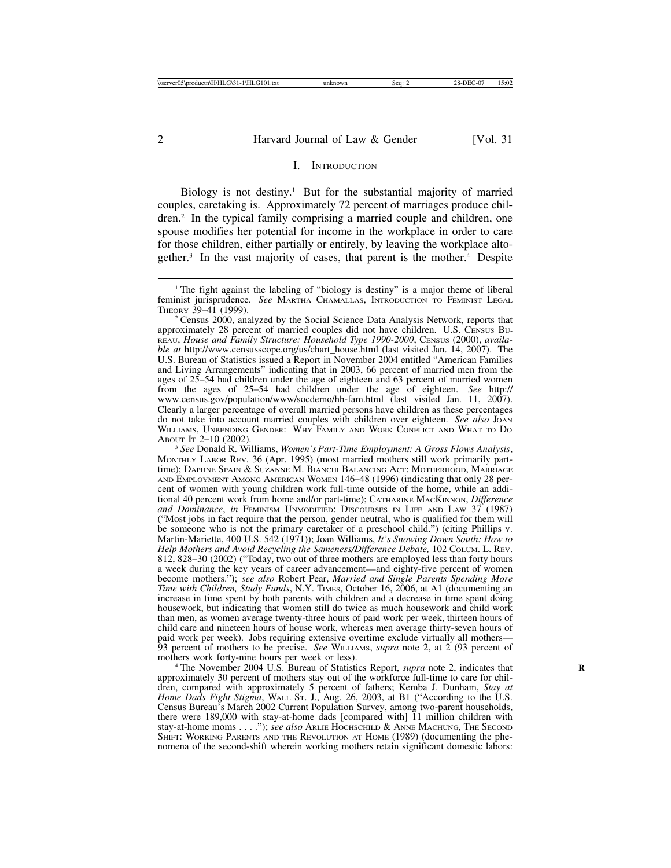#### I. INTRODUCTION

Biology is not destiny.<sup>1</sup> But for the substantial majority of married couples, caretaking is. Approximately 72 percent of marriages produce children.2 In the typical family comprising a married couple and children, one spouse modifies her potential for income in the workplace in order to care for those children, either partially or entirely, by leaving the workplace altogether.3 In the vast majority of cases, that parent is the mother.4 Despite

<sup>3</sup> See Donald R. Williams, *Women's Part-Time Employment: A Gross Flows Analysis*, MONTHLY LABOR REV. 36 (Apr. 1995) (most married mothers still work primarily parttime); DAPHNE SPAIN & SUZANNE M. BIANCHI BALANCING ACT: MOTHERHOOD, MARRIAGE AND EMPLOYMENT AMONG AMERICAN WOMEN 146–48 (1996) (indicating that only 28 percent of women with young children work full-time outside of the home, while an additional 40 percent work from home and/or part-time); CATHARINE MACKINNON, *Difference and Dominance*, *in* FEMINISM UNMODIFIED: DISCOURSES IN LIFE AND LAW 37 (1987) ("Most jobs in fact require that the person, gender neutral, who is qualified for them will be someone who is not the primary caretaker of a preschool child.") (citing Phillips v. Martin-Mariette, 400 U.S. 542 (1971)); Joan Williams, *It's Snowing Down South: How to Help Mothers and Avoid Recycling the Sameness/Difference Debate,* 102 COLUM. L. REV. 812, 828–30 (2002) ("Today, two out of three mothers are employed less than forty hours a week during the key years of career advancement—and eighty-five percent of women become mothers."); *see also* Robert Pear, *Married and Single Parents Spending More Time with Children, Study Funds*, N.Y. TIMES, October 16, 2006, at A1 (documenting an increase in time spent by both parents with children and a decrease in time spent doing housework, but indicating that women still do twice as much housework and child work than men, as women average twenty-three hours of paid work per week, thirteen hours of child care and nineteen hours of house work, whereas men average thirty-seven hours of paid work per week). Jobs requiring extensive overtime exclude virtually all mothers— 93 percent of mothers to be precise. *See WILLIAMS, supra* note 2, at 2 (93 percent of mothers work forty-nine hours per week or less).

<sup>4</sup> The November 2004 U.S. Bureau of Statistics Report, *supra* note 2, indicates that approximately 30 percent of mothers stay out of the workforce full-time to care for children, compared with approximately 5 percent of fathers; Kemba J. Dunham, *Stay at Home Dads Fight Stigma*, WALL ST. J., Aug. 26, 2003, at B1 ("According to the U.S. Census Bureau's March 2002 Current Population Survey, among two-parent households, there were 189,000 with stay-at-home dads [compared with] 11 million children with stay-at-home moms . . . ."); *see also* ARLIE HOCHSCHILD & ANNE MACHUNG, THE SECOND SHIFT: WORKING PARENTS AND THE REVOLUTION AT HOME (1989) (documenting the phenomena of the second-shift wherein working mothers retain significant domestic labors:

<sup>&</sup>lt;sup>1</sup> The fight against the labeling of "biology is destiny" is a major theme of liberal feminist jurisprudence. *See* MARTHA CHAMALLAS, INTRODUCTION TO FEMINIST LEGAL THEORY 39-41 (1999).

<sup>&</sup>lt;sup>2</sup> Census 2000, analyzed by the Social Science Data Analysis Network, reports that approximately 28 percent of married couples did not have children. U.S. CENSUS BU-REAU, *House and Family Structure: Household Type 1990-2000*, CENSUS (2000), *available at* http://www.censusscope.org/us/chart\_house.html (last visited Jan. 14, 2007). The U.S. Bureau of Statistics issued a Report in November 2004 entitled "American Families and Living Arrangements" indicating that in 2003, 66 percent of married men from the ages of 25–54 had children under the age of eighteen and 63 percent of married women from the ages of 25–54 had children under the age of eighteen. *See* http:// www.census.gov/population/www/socdemo/hh-fam.html (last visited Jan. 11, 2007). Clearly a larger percentage of overall married persons have children as these percentages do not take into account married couples with children over eighteen. *See also* JOAN WILLIAMS, UNBENDING GENDER: WHY FAMILY AND WORK CONFLICT AND WHAT TO DO ABOUT IT 2-10 (2002).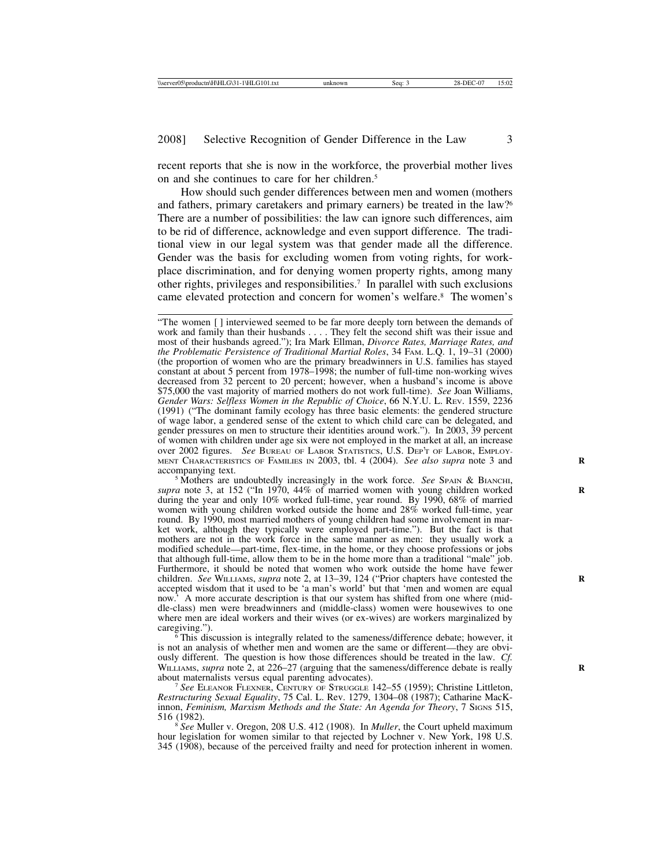recent reports that she is now in the workforce, the proverbial mother lives on and she continues to care for her children.5

How should such gender differences between men and women (mothers and fathers, primary caretakers and primary earners) be treated in the law?6 There are a number of possibilities: the law can ignore such differences, aim to be rid of difference, acknowledge and even support difference. The traditional view in our legal system was that gender made all the difference. Gender was the basis for excluding women from voting rights, for workplace discrimination, and for denying women property rights, among many other rights, privileges and responsibilities.7 In parallel with such exclusions came elevated protection and concern for women's welfare.8 The women's

<sup>5</sup> Mothers are undoubtedly increasingly in the work force. *See* SPAIN & BIANCHI, *supra* note 3, at 152 ("In 1970, 44% of married women with young children worked **R** during the year and only 10% worked full-time, year round. By 1990, 68% of married women with young children worked outside the home and 28% worked full-time, year round. By 1990, most married mothers of young children had some involvement in market work, although they typically were employed part-time."). But the fact is that mothers are not in the work force in the same manner as men: they usually work a modified schedule—part-time, flex-time, in the home, or they choose professions or jobs that although full-time, allow them to be in the home more than a traditional "male" job. Furthermore, it should be noted that women who work outside the home have fewer children. *See* WILLIAMS, *supra* note 2, at 13–39, 124 ("Prior chapters have contested the **R** accepted wisdom that it used to be 'a man's world' but that 'men and women are equal now.<sup>7</sup> A more accurate description is that our system has shifted from one where (middle-class) men were breadwinners and (middle-class) women were housewives to one where men are ideal workers and their wives (or ex-wives) are workers marginalized by caregiving.").

 $\frac{1}{6}$  This discussion is integrally related to the sameness/difference debate; however, it is not an analysis of whether men and women are the same or different—they are obviously different. The question is how those differences should be treated in the law. *Cf.* WILLIAMS, *supra* note 2, at 226–27 (arguing that the sameness/difference debate is really about maternalists versus equal parenting advocates).

See ELEANOR FLEXNER, CENTURY OF STRUGGLE 142–55 (1959); Christine Littleton, *Restructuring Sexual Equality*, 75 Cal. L. Rev. 1279, 1304–08 (1987); Catharine MacKinnon, *Feminism, Marxism Methods and the State: An Agenda for Theory*, 7 SIGNS 515, 516 (1982).

<sup>8</sup> See Muller v. Oregon, 208 U.S. 412 (1908). In *Muller*, the Court upheld maximum hour legislation for women similar to that rejected by Lochner v. New York, 198 U.S. 345 (1908), because of the perceived frailty and need for protection inherent in women.

<sup>&</sup>quot;The women [ ] interviewed seemed to be far more deeply torn between the demands of work and family than their husbands . . . . They felt the second shift was their issue and most of their husbands agreed."); Ira Mark Ellman, *Divorce Rates, Marriage Rates, and the Problematic Persistence of Traditional Martial Roles*, 34 FAM. L.Q. 1, 19–31 (2000) (the proportion of women who are the primary breadwinners in U.S. families has stayed constant at about 5 percent from 1978–1998; the number of full-time non-working wives decreased from 32 percent to 20 percent; however, when a husband's income is above \$75,000 the vast majority of married mothers do not work full-time). *See* Joan Williams, *Gender Wars: Selfless Women in the Republic of Choice*, 66 N.Y.U. L. REV. 1559, 2236 (1991) ("The dominant family ecology has three basic elements: the gendered structure of wage labor, a gendered sense of the extent to which child care can be delegated, and gender pressures on men to structure their identities around work."). In 2003, 39 percent of women with children under age six were not employed in the market at all, an increase over 2002 figures. *See* BUREAU OF LABOR STATISTICS, U.S. DEP'T OF LABOR, EMPLOY-MENT CHARACTERISTICS OF FAMILIES IN 2003, tbl. 4 (2004). *See also supra* note 3 and accompanying text.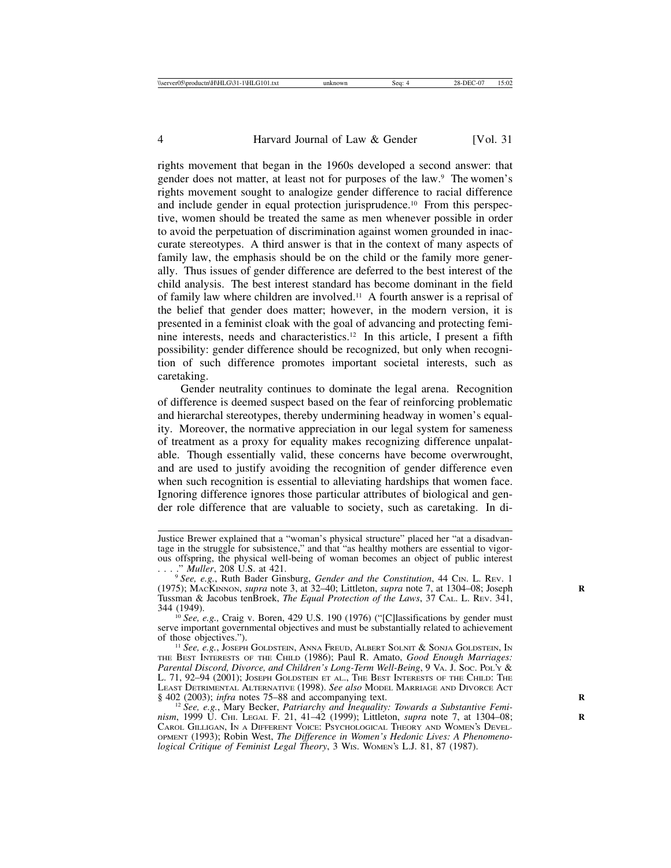rights movement that began in the 1960s developed a second answer: that gender does not matter, at least not for purposes of the law.<sup>9</sup> The women's rights movement sought to analogize gender difference to racial difference and include gender in equal protection jurisprudence.10 From this perspective, women should be treated the same as men whenever possible in order to avoid the perpetuation of discrimination against women grounded in inaccurate stereotypes. A third answer is that in the context of many aspects of family law, the emphasis should be on the child or the family more generally. Thus issues of gender difference are deferred to the best interest of the child analysis. The best interest standard has become dominant in the field of family law where children are involved.11 A fourth answer is a reprisal of the belief that gender does matter; however, in the modern version, it is presented in a feminist cloak with the goal of advancing and protecting feminine interests, needs and characteristics.12 In this article, I present a fifth possibility: gender difference should be recognized, but only when recognition of such difference promotes important societal interests, such as caretaking.

Gender neutrality continues to dominate the legal arena. Recognition of difference is deemed suspect based on the fear of reinforcing problematic and hierarchal stereotypes, thereby undermining headway in women's equality. Moreover, the normative appreciation in our legal system for sameness of treatment as a proxy for equality makes recognizing difference unpalatable. Though essentially valid, these concerns have become overwrought, and are used to justify avoiding the recognition of gender difference even when such recognition is essential to alleviating hardships that women face. Ignoring difference ignores those particular attributes of biological and gender role difference that are valuable to society, such as caretaking. In di-

Justice Brewer explained that a "woman's physical structure" placed her "at a disadvantage in the struggle for subsistence," and that "as healthy mothers are essential to vigorous offspring, the physical well-being of woman becomes an object of public interest ... " Muller, 208 U.S. at 421.

<sup>. . . .&</sup>quot; *Muller*, 208 U.S. at 421. <sup>9</sup> *See, e.g.*, Ruth Bader Ginsburg, *Gender and the Constitution*, 44 CIN. L. REV. 1 (1975); MACKINNON, *supra* note 3, at 32–40; Littleton, *supra* note 7, at 1304–08; Joseph **R** Tussman & Jacobus tenBroek, *The Equal Protection of the Laws*, 37 CAL. L. REV. 341,

<sup>&</sup>lt;sup>10</sup> See, e.g., Craig v. Boren, 429 U.S. 190 (1976) ("[C]lassifications by gender must serve important governmental objectives and must be substantially related to achievement of those objectives.").

<sup>&</sup>lt;sup>11</sup> See, e.g., JOSEPH GOLDSTEIN, ANNA FREUD, ALBERT SOLNIT & SONJA GOLDSTEIN, IN THE BEST INTERESTS OF THE CHILD (1986); Paul R. Amato, *Good Enough Marriages: Parental Discord, Divorce, and Children's Long-Term Well-Being, 9 VA. J. Soc. Poly &* L. 71, 92–94 (2001); JOSEPH GOLDSTEIN ET AL., THE BEST INTERESTS OF THE CHILD: THE LEAST DETRIMENTAL ALTERNATIVE (1998). *See also* MODEL MARRIAGE AND DIVORCE ACT § 402 (2003); *infra* notes 75–88 and accompanying text.<br><sup>12</sup> *See, e.g.*, Mary Becker, *Patriarchy and Inequality: Towards a Substantive Femi-*

*nism*, 1999 U. CHI. LEGAL F. 21, 41–42 (1999); Littleton, *supra* note 7, at 1304–08; **R** CAROL GILLIGAN, IN A DIFFERENT VOICE: PSYCHOLOGICAL THEORY AND WOMEN'S DEVEL-OPMENT (1993); Robin West, *The Difference in Women's Hedonic Lives: A Phenomenological Critique of Feminist Legal Theory*, 3 WIS. WOMEN'S L.J. 81, 87 (1987).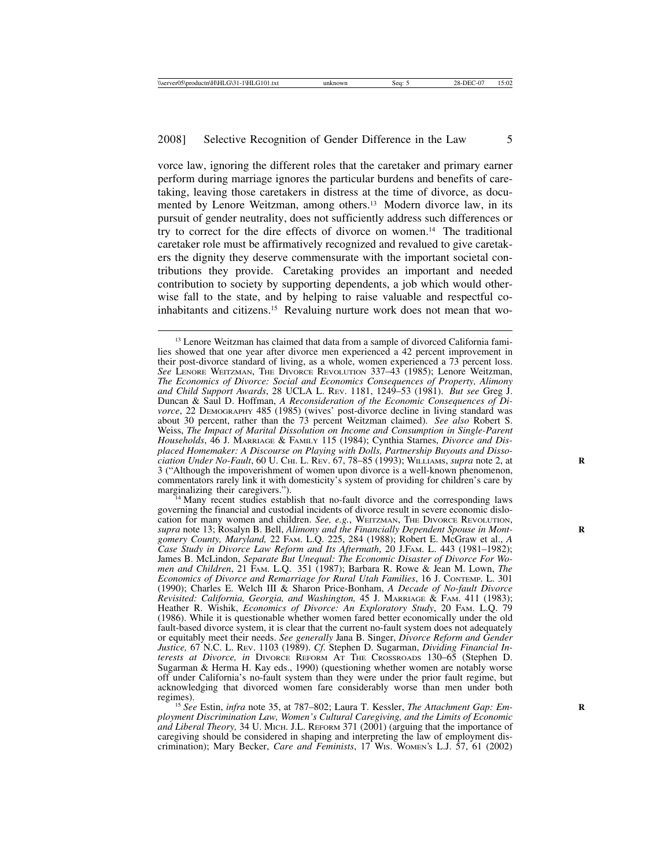vorce law, ignoring the different roles that the caretaker and primary earner perform during marriage ignores the particular burdens and benefits of caretaking, leaving those caretakers in distress at the time of divorce, as documented by Lenore Weitzman, among others.<sup>13</sup> Modern divorce law, in its pursuit of gender neutrality, does not sufficiently address such differences or try to correct for the dire effects of divorce on women.14 The traditional caretaker role must be affirmatively recognized and revalued to give caretakers the dignity they deserve commensurate with the important societal contributions they provide. Caretaking provides an important and needed contribution to society by supporting dependents, a job which would otherwise fall to the state, and by helping to raise valuable and respectful coinhabitants and citizens.15 Revaluing nurture work does not mean that wo-

<sup>4</sup> Many recent studies establish that no-fault divorce and the corresponding laws governing the financial and custodial incidents of divorce result in severe economic dislocation for many women and children. *See, e.g.*, WEITZMAN, THE DIVORCE REVOLUTION, *supra* note 13; Rosalyn B. Bell, *Alimony and the Financially Dependent Spouse in Mont-* **R** *gomery County, Maryland,* 22 FAM. L.Q. 225, 284 (1988); Robert E. McGraw et al., *A Case Study in Divorce Law Reform and Its Aftermath*, 20 J.FAM. L. 443 (1981–1982); James B. McLindon, *Separate But Unequal: The Economic Disaster of Divorce For Women and Children*, 21 FAM. L.Q. 351 (1987); Barbara R. Rowe & Jean M. Lown, *The Economics of Divorce and Remarriage for Rural Utah Families*, 16 J. CONTEMP. L. 301 (1990); Charles E. Welch III & Sharon Price-Bonham, *A Decade of No-fault Divorce Revisited: California, Georgia, and Washington,* 45 J. MARRIAGE & FAM. 411 (1983); Heather R. Wishik, *Economics of Divorce: An Exploratory Study*, 20 FAM. L.Q. 79 (1986). While it is questionable whether women fared better economically under the old fault-based divorce system, it is clear that the current no-fault system does not adequately or equitably meet their needs. *See generally* Jana B. Singer, *Divorce Reform and Gender Justice,* 67 N.C. L. REV. 1103 (1989). *Cf*. Stephen D. Sugarman, *Dividing Financial Interests at Divorce, in* DIVORCE REFORM AT THE CROSSROADS 130–65 (Stephen D. Sugarman & Herma H. Kay eds., 1990) (questioning whether women are notably worse off under California's no-fault system than they were under the prior fault regime, but acknowledging that divorced women fare considerably worse than men under both

<sup>15</sup> See Estin, *infra* note 35, at 787–802; Laura T. Kessler, *The Attachment Gap: Employment Discrimination Law, Women's Cultural Caregiving, and the Limits of Economic and Liberal Theory,* 34 U. MICH. J.L. REFORM 371 (2001) (arguing that the importance of caregiving should be considered in shaping and interpreting the law of employment discrimination); Mary Becker, *Care and Feminists*, 17 WIS. WOMEN'S L.J. 57, 61 (2002)

<sup>&</sup>lt;sup>13</sup> Lenore Weitzman has claimed that data from a sample of divorced California families showed that one year after divorce men experienced a 42 percent improvement in their post-divorce standard of living, as a whole, women experienced a 73 percent loss. *See* LENORE WEITZMAN, THE DIVORCE REVOLUTION 337–43 (1985); Lenore Weitzman, *The Economics of Divorce: Social and Economics Consequences of Property, Alimony and Child Support Awards*, 28 UCLA L. REV. 1181, 1249–53 (1981). *But see* Greg J. Duncan & Saul D. Hoffman, *A Reconsideration of the Economic Consequences of Divorce*, 22 DEMOGRAPHY 485 (1985) (wives' post-divorce decline in living standard was about 30 percent, rather than the 73 percent Weitzman claimed). *See also* Robert S. Weiss, *The Impact of Marital Dissolution on Income and Consumption in Single-Parent Households*, 46 J. MARRIAGE & FAMILY 115 (1984); Cynthia Starnes, *Divorce and Displaced Homemaker: A Discourse on Playing with Dolls, Partnership Buyouts and Dissociation Under No-Fault*, 60 U. CHI. L. REV. 67, 78–85 (1993); WILLIAMS, *supra* note 2, at **R** 3 ("Although the impoverishment of women upon divorce is a well-known phenomenon, commentators rarely link it with domesticity's system of providing for children's care by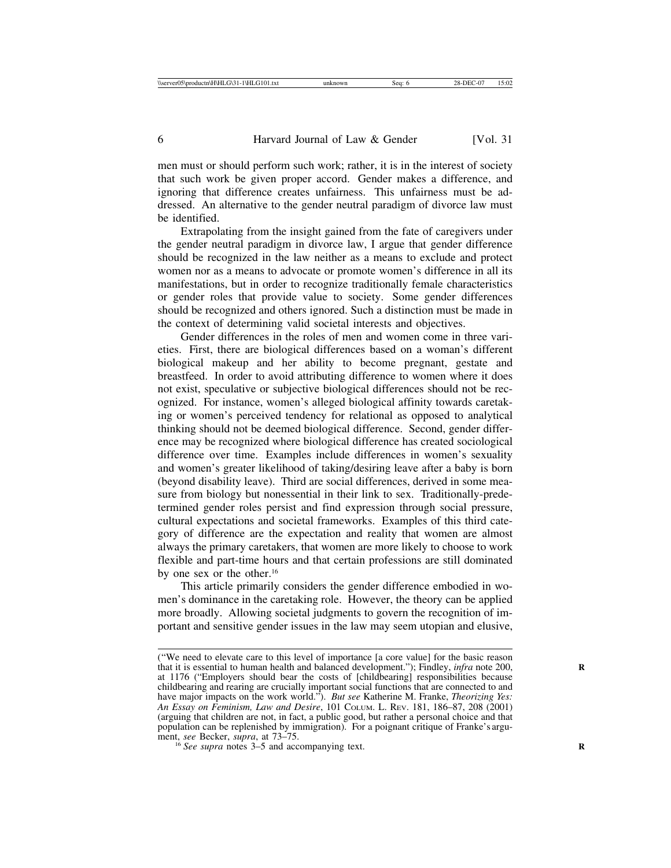men must or should perform such work; rather, it is in the interest of society that such work be given proper accord. Gender makes a difference, and ignoring that difference creates unfairness. This unfairness must be addressed. An alternative to the gender neutral paradigm of divorce law must be identified.

Extrapolating from the insight gained from the fate of caregivers under the gender neutral paradigm in divorce law, I argue that gender difference should be recognized in the law neither as a means to exclude and protect women nor as a means to advocate or promote women's difference in all its manifestations, but in order to recognize traditionally female characteristics or gender roles that provide value to society. Some gender differences should be recognized and others ignored. Such a distinction must be made in the context of determining valid societal interests and objectives.

Gender differences in the roles of men and women come in three varieties. First, there are biological differences based on a woman's different biological makeup and her ability to become pregnant, gestate and breastfeed. In order to avoid attributing difference to women where it does not exist, speculative or subjective biological differences should not be recognized. For instance, women's alleged biological affinity towards caretaking or women's perceived tendency for relational as opposed to analytical thinking should not be deemed biological difference. Second, gender difference may be recognized where biological difference has created sociological difference over time. Examples include differences in women's sexuality and women's greater likelihood of taking/desiring leave after a baby is born (beyond disability leave). Third are social differences, derived in some measure from biology but nonessential in their link to sex. Traditionally-predetermined gender roles persist and find expression through social pressure, cultural expectations and societal frameworks. Examples of this third category of difference are the expectation and reality that women are almost always the primary caretakers, that women are more likely to choose to work flexible and part-time hours and that certain professions are still dominated by one sex or the other.16

This article primarily considers the gender difference embodied in women's dominance in the caretaking role. However, the theory can be applied more broadly. Allowing societal judgments to govern the recognition of important and sensitive gender issues in the law may seem utopian and elusive,

<sup>(&</sup>quot;We need to elevate care to this level of importance [a core value] for the basic reason that it is essential to human health and balanced development."); Findley, *infra* note 200, at 1176 ("Employers should bear the costs of [childbearing] responsibilities because childbearing and rearing are crucially important social functions that are connected to and have major impacts on the work world."). *But see* Katherine M. Franke, *Theorizing Yes: An Essay on Feminism, Law and Desire*, 101 COLUM. L. REV. 181, 186–87, 208 (2001) (arguing that children are not, in fact, a public good, but rather a personal choice and that population can be replenished by immigration). For a poignant critique of Franke's argu-<br>ment, see Becker, supra, at  $73-75$ .

 $\frac{16}{16}$  *See supra* notes 3–5 and accompanying text.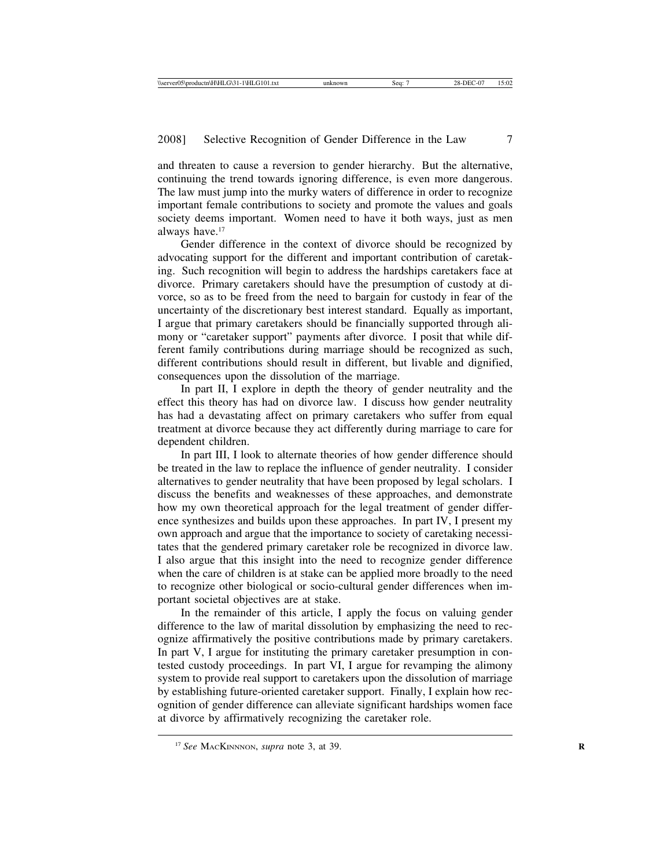and threaten to cause a reversion to gender hierarchy. But the alternative, continuing the trend towards ignoring difference, is even more dangerous. The law must jump into the murky waters of difference in order to recognize important female contributions to society and promote the values and goals society deems important. Women need to have it both ways, just as men always have.17

Gender difference in the context of divorce should be recognized by advocating support for the different and important contribution of caretaking. Such recognition will begin to address the hardships caretakers face at divorce. Primary caretakers should have the presumption of custody at divorce, so as to be freed from the need to bargain for custody in fear of the uncertainty of the discretionary best interest standard. Equally as important, I argue that primary caretakers should be financially supported through alimony or "caretaker support" payments after divorce. I posit that while different family contributions during marriage should be recognized as such, different contributions should result in different, but livable and dignified, consequences upon the dissolution of the marriage.

In part II, I explore in depth the theory of gender neutrality and the effect this theory has had on divorce law. I discuss how gender neutrality has had a devastating affect on primary caretakers who suffer from equal treatment at divorce because they act differently during marriage to care for dependent children.

In part III, I look to alternate theories of how gender difference should be treated in the law to replace the influence of gender neutrality. I consider alternatives to gender neutrality that have been proposed by legal scholars. I discuss the benefits and weaknesses of these approaches, and demonstrate how my own theoretical approach for the legal treatment of gender difference synthesizes and builds upon these approaches. In part IV, I present my own approach and argue that the importance to society of caretaking necessitates that the gendered primary caretaker role be recognized in divorce law. I also argue that this insight into the need to recognize gender difference when the care of children is at stake can be applied more broadly to the need to recognize other biological or socio-cultural gender differences when important societal objectives are at stake.

In the remainder of this article, I apply the focus on valuing gender difference to the law of marital dissolution by emphasizing the need to recognize affirmatively the positive contributions made by primary caretakers. In part V, I argue for instituting the primary caretaker presumption in contested custody proceedings. In part VI, I argue for revamping the alimony system to provide real support to caretakers upon the dissolution of marriage by establishing future-oriented caretaker support. Finally, I explain how recognition of gender difference can alleviate significant hardships women face at divorce by affirmatively recognizing the caretaker role.

<sup>&</sup>lt;sup>17</sup> See MACKINNNON, *supra* note 3, at 39.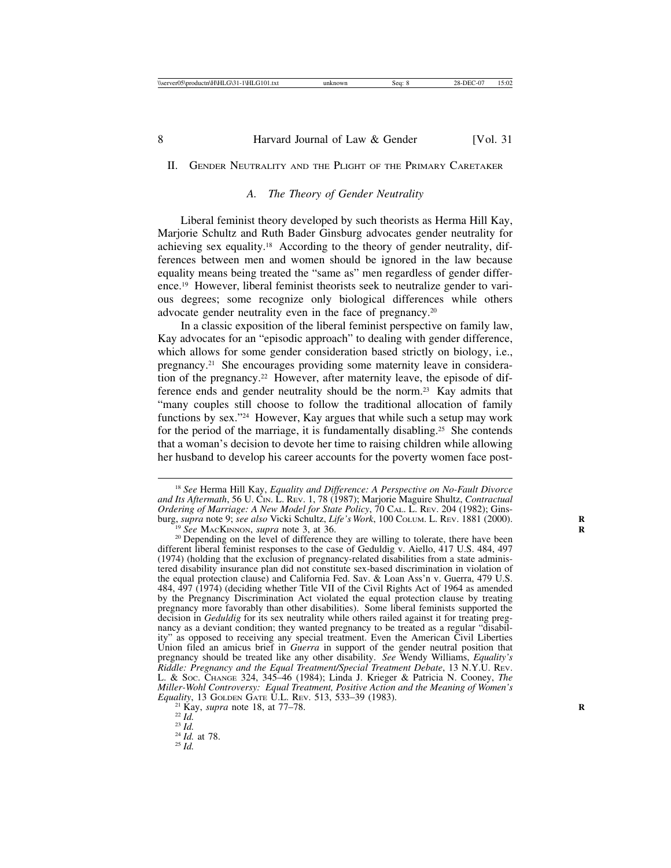#### II. GENDER NEUTRALITY AND THE PLIGHT OF THE PRIMARY CARETAKER

# *A. The Theory of Gender Neutrality*

Liberal feminist theory developed by such theorists as Herma Hill Kay, Marjorie Schultz and Ruth Bader Ginsburg advocates gender neutrality for achieving sex equality.18 According to the theory of gender neutrality, differences between men and women should be ignored in the law because equality means being treated the "same as" men regardless of gender difference.19 However, liberal feminist theorists seek to neutralize gender to various degrees; some recognize only biological differences while others advocate gender neutrality even in the face of pregnancy.20

In a classic exposition of the liberal feminist perspective on family law, Kay advocates for an "episodic approach" to dealing with gender difference, which allows for some gender consideration based strictly on biology, i.e., pregnancy.21 She encourages providing some maternity leave in consideration of the pregnancy.<sup>22</sup> However, after maternity leave, the episode of difference ends and gender neutrality should be the norm.23 Kay admits that "many couples still choose to follow the traditional allocation of family functions by sex."24 However, Kay argues that while such a setup may work for the period of the marriage, it is fundamentally disabling.<sup>25</sup> She contends that a woman's decision to devote her time to raising children while allowing her husband to develop his career accounts for the poverty women face post-

<sup>18</sup> *See* Herma Hill Kay, *Equality and Difference: A Perspective on No-Fault Divorce and Its Aftermath*, 56 U. CIN. L. REV. 1, 78 (1987); Marjorie Maguire Shultz, *Contractual Ordering of Marriage: A New Model for State Policy*, 70 CAL. L. REV. 204 (1982); Ginsburg, supra note 9; see also Vicki Schultz, Life's Work, 100 COLUM. L. REV. 1881 (2000).<br><sup>19</sup> See MACKINNON, supra note 3, at 36.<br><sup>20</sup> Depending on the level of difference they are willing to tolerate, there have been

different liberal feminist responses to the case of Geduldig v. Aiello, 417 U.S. 484, 497 (1974) (holding that the exclusion of pregnancy-related disabilities from a state administered disability insurance plan did not constitute sex-based discrimination in violation of the equal protection clause) and California Fed. Sav. & Loan Ass'n v. Guerra, 479 U.S. 484, 497 (1974) (deciding whether Title VII of the Civil Rights Act of 1964 as amended by the Pregnancy Discrimination Act violated the equal protection clause by treating pregnancy more favorably than other disabilities). Some liberal feminists supported the decision in *Geduldig* for its sex neutrality while others railed against it for treating pregnancy as a deviant condition; they wanted pregnancy to be treated as a regular "disability" as opposed to receiving any special treatment. Even the American Civil Liberties Union filed an amicus brief in *Guerra* in support of the gender neutral position that pregnancy should be treated like any other disability. *See* Wendy Williams, *Equality's Riddle: Pregnancy and the Equal Treatment/Special Treatment Debate*, 13 N.Y.U. REV. L. & SOC. CHANGE 324, 345–46 (1984); Linda J. Krieger & Patricia N. Cooney, *The Miller-Wohl Controversy: Equal Treatment, Positive Action and the Meaning of Women's Equality*, 13 GOLDEN GATE U.L. REV. 513, 533–39 (1983).<br>
<sup>21</sup> Kay, *supra* note 18, at 77–78.<br>
<sup>22</sup> *Id.* <sup>24</sup> *Id.* at 78.<br>
<sup>25</sup> *Id.*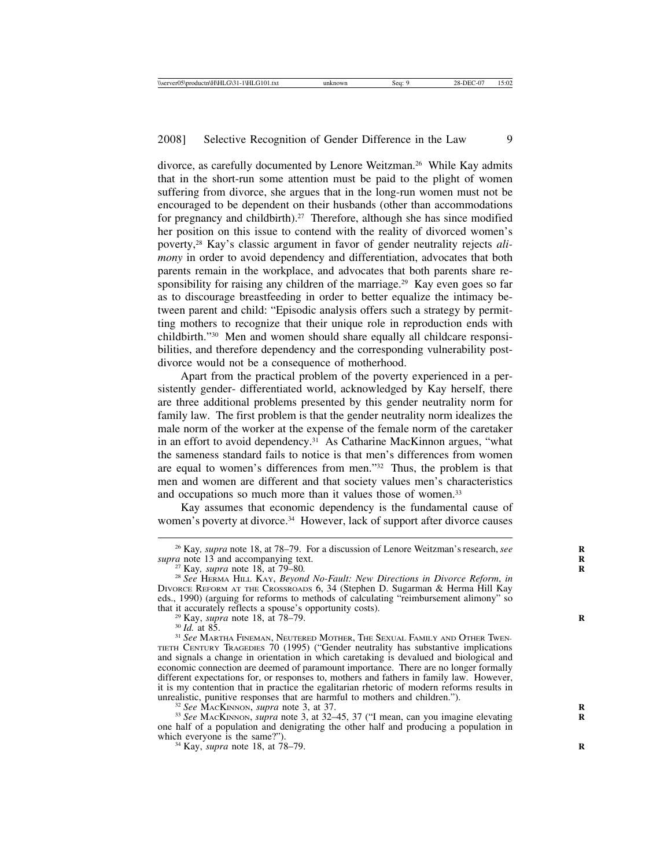divorce, as carefully documented by Lenore Weitzman.<sup>26</sup> While Kay admits that in the short-run some attention must be paid to the plight of women suffering from divorce, she argues that in the long-run women must not be encouraged to be dependent on their husbands (other than accommodations for pregnancy and childbirth).<sup>27</sup> Therefore, although she has since modified her position on this issue to contend with the reality of divorced women's poverty,28 Kay's classic argument in favor of gender neutrality rejects *alimony* in order to avoid dependency and differentiation, advocates that both parents remain in the workplace, and advocates that both parents share responsibility for raising any children of the marriage.<sup>29</sup> Kay even goes so far as to discourage breastfeeding in order to better equalize the intimacy between parent and child: "Episodic analysis offers such a strategy by permitting mothers to recognize that their unique role in reproduction ends with childbirth."30 Men and women should share equally all childcare responsibilities, and therefore dependency and the corresponding vulnerability postdivorce would not be a consequence of motherhood.

Apart from the practical problem of the poverty experienced in a persistently gender- differentiated world, acknowledged by Kay herself, there are three additional problems presented by this gender neutrality norm for family law. The first problem is that the gender neutrality norm idealizes the male norm of the worker at the expense of the female norm of the caretaker in an effort to avoid dependency.<sup>31</sup> As Catharine MacKinnon argues, "what the sameness standard fails to notice is that men's differences from women are equal to women's differences from men."32 Thus, the problem is that men and women are different and that society values men's characteristics and occupations so much more than it values those of women.<sup>33</sup>

Kay assumes that economic dependency is the fundamental cause of women's poverty at divorce.<sup>34</sup> However, lack of support after divorce causes

<sup>32</sup> See MACKINNON, *supra* note 3, at 37.<br><sup>33</sup> See MACKINNON, *supra* note 3, at 32–45, 37 ("I mean, can you imagine elevating one half of a population and denigrating the other half and producing a population in

<sup>34</sup> Kay, *supra* note 18, at 78–79.

<sup>&</sup>lt;sup>26</sup> Kay, *supra* note 18, at 78–79. For a discussion of Lenore Weitzman's research, *see supra* note 13 and accompanying text.

<sup>&</sup>lt;sup>27</sup> Kay, *supra* note 18, at 79–80.<br><sup>28</sup> See HERMA HILL KAY, *Beyond No-Fault: New Directions in Divorce Reform, in* DIVORCE REFORM AT THE CROSSROADS 6, 34 (Stephen D. Sugarman & Herma Hill Kay eds., 1990) (arguing for reforms to methods of calculating "reimbursement alimony" so

<sup>&</sup>lt;sup>29</sup> Kay, *supra* note 18, at 78–79. **R**<br><sup>30</sup> Id. at 85. **R** 31 *See* MARTHA FINEMAN, NEUTERED MOTHER, THE SEXUAL FAMILY AND OTHER TWEN-TIETH CENTURY TRAGEDIES 70 (1995) ("Gender neutrality has substantive implications and signals a change in orientation in which caretaking is devalued and biological and economic connection are deemed of paramount importance. There are no longer formally different expectations for, or responses to, mothers and fathers in family law. However, it is my contention that in practice the egalitarian rhetoric of modern reforms results in unrealistic, punitive responses that are harmful to mothers and children.").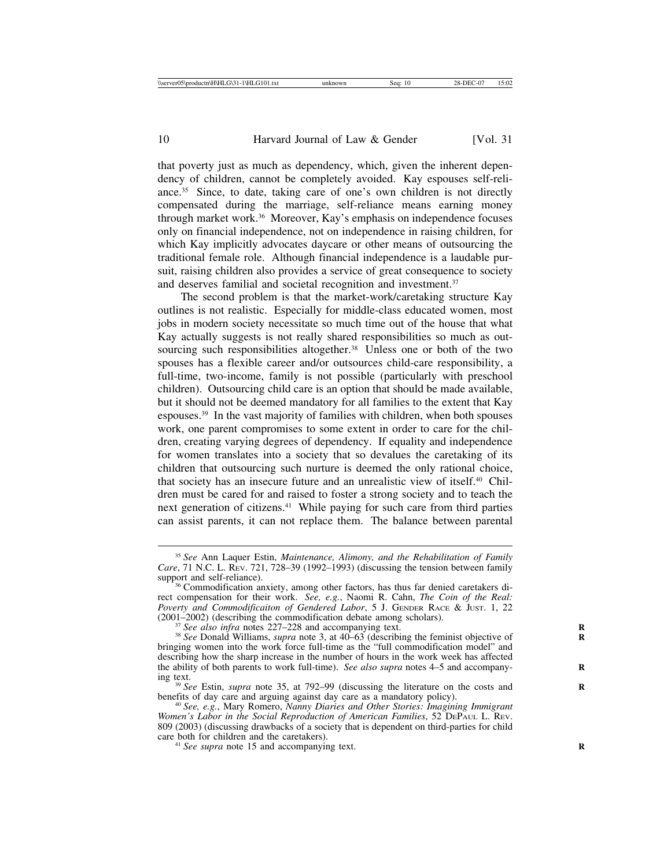that poverty just as much as dependency, which, given the inherent dependency of children, cannot be completely avoided. Kay espouses self-reliance.35 Since, to date, taking care of one's own children is not directly compensated during the marriage, self-reliance means earning money through market work.36 Moreover, Kay's emphasis on independence focuses only on financial independence, not on independence in raising children, for which Kay implicitly advocates daycare or other means of outsourcing the traditional female role. Although financial independence is a laudable pursuit, raising children also provides a service of great consequence to society and deserves familial and societal recognition and investment.37

The second problem is that the market-work/caretaking structure Kay outlines is not realistic. Especially for middle-class educated women, most jobs in modern society necessitate so much time out of the house that what Kay actually suggests is not really shared responsibilities so much as outsourcing such responsibilities altogether.<sup>38</sup> Unless one or both of the two spouses has a flexible career and/or outsources child-care responsibility, a full-time, two-income, family is not possible (particularly with preschool children). Outsourcing child care is an option that should be made available, but it should not be deemed mandatory for all families to the extent that Kay espouses.39 In the vast majority of families with children, when both spouses work, one parent compromises to some extent in order to care for the children, creating varying degrees of dependency. If equality and independence for women translates into a society that so devalues the caretaking of its children that outsourcing such nurture is deemed the only rational choice, that society has an insecure future and an unrealistic view of itself.40 Children must be cared for and raised to foster a strong society and to teach the next generation of citizens.<sup>41</sup> While paying for such care from third parties can assist parents, it can not replace them. The balance between parental

<sup>35</sup> *See* Ann Laquer Estin, *Maintenance, Alimony, and the Rehabilitation of Family Care*, 71 N.C. L. REv. 721, 728–39 (1992–1993) (discussing the tension between family support and self-reliance).

<sup>&</sup>lt;sup>36</sup> Commodification anxiety, among other factors, has thus far denied caretakers direct compensation for their work. *See, e.g.*, Naomi R. Cahn, *The Coin of the Real: Poverty and Commodificaiton of Gendered Labor*, 5 J. GENDER RACE & JUST. 1, 22 (2001–2002) (describing the commodification debate among scholars).<br><sup>37</sup> See also infra notes 227–228 and accompanying text.<br><sup>38</sup> See Donald Williams, *supra* note 3, at 40–63 (describing the feminist objective of

bringing women into the work force full-time as the "full commodification model" and describing how the sharp increase in the number of hours in the work week has affected the ability of both parents to work full-time). *See also supra* notes 4–5 and accompany-<br>ing text.

<sup>&</sup>lt;sup>39</sup> *See* Estin, *supra* note 35, at 792–99 (discussing the literature on the costs and benefits of day care and arguing against day care as a mandatory policy). <sup>40</sup> *See, e.g.*, Mary Romero, *Nanny Diaries and Other Stories: Imagining Immigrant*

*Women's Labor in the Social Reproduction of American Families*, 52 DEPAUL L. REV. 809 (2003) (discussing drawbacks of a society that is dependent on third-parties for child

<sup>&</sup>lt;sup>41</sup> *See supra* note 15 and accompanying text.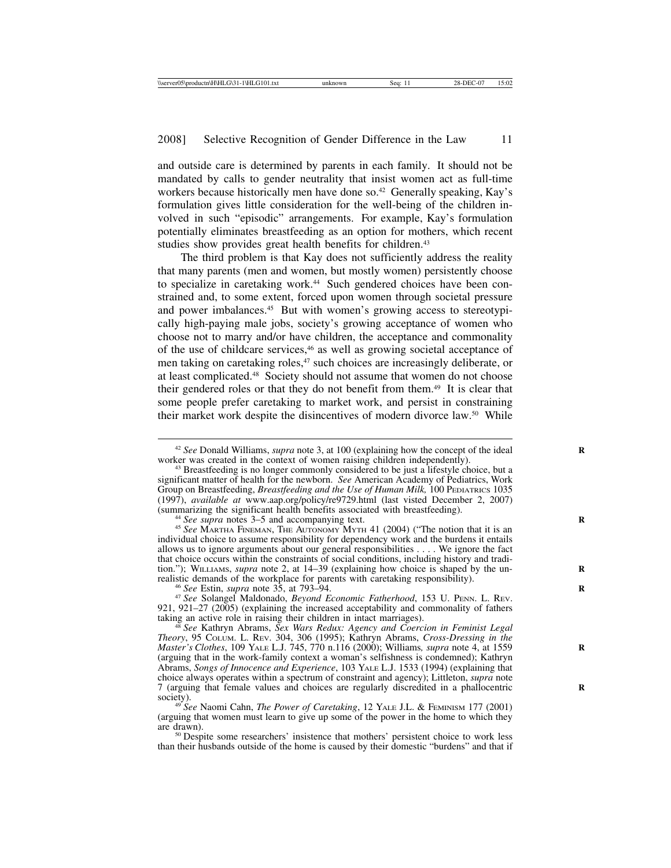and outside care is determined by parents in each family. It should not be mandated by calls to gender neutrality that insist women act as full-time workers because historically men have done so.<sup>42</sup> Generally speaking, Kay's formulation gives little consideration for the well-being of the children involved in such "episodic" arrangements. For example, Kay's formulation potentially eliminates breastfeeding as an option for mothers, which recent studies show provides great health benefits for children.<sup>43</sup>

The third problem is that Kay does not sufficiently address the reality that many parents (men and women, but mostly women) persistently choose to specialize in caretaking work.<sup>44</sup> Such gendered choices have been constrained and, to some extent, forced upon women through societal pressure and power imbalances.<sup>45</sup> But with women's growing access to stereotypically high-paying male jobs, society's growing acceptance of women who choose not to marry and/or have children, the acceptance and commonality of the use of childcare services,46 as well as growing societal acceptance of men taking on caretaking roles,<sup>47</sup> such choices are increasingly deliberate, or at least complicated.48 Society should not assume that women do not choose their gendered roles or that they do not benefit from them.49 It is clear that some people prefer caretaking to market work, and persist in constraining their market work despite the disincentives of modern divorce law.50 While

<sup>44</sup> See supra notes 3–5 and accompanying text.<br><sup>45</sup> See MARTHA FINEMAN, THE AUTONOMY MYTH 41 (2004) ("The notion that it is an individual choice to assume responsibility for dependency work and the burdens it entails allows us to ignore arguments about our general responsibilities . . . . We ignore the fact that choice occurs within the constraints of social conditions, including history and tradition."); WILLIAMS, *supra* note 2, at 14–39 (explaining how choice is shaped by the unrealistic demands of the workplace for parents with caretaking responsibility).

<sup>46</sup> See Estin, *supra* note 35, at 793–94.<br><sup>47</sup> See Solangel Maldonado, *Beyond Economic Fatherhood*, 153 U. PENN. L. REV. 921, 921–27 (2005) (explaining the increased acceptability and commonality of fathers taking an active role in raising their children in intact marriages).

than their husbands outside of the home is caused by their domestic "burdens" and that if

<sup>&</sup>lt;sup>42</sup> *See* Donald Williams, *supra* note 3, at 100 (explaining how the concept of the ideal worker was created in the context of women raising children independently).

<sup>&</sup>lt;sup>43</sup> Breastfeeding is no longer commonly considered to be just a lifestyle choice, but a significant matter of health for the newborn. *See* American Academy of Pediatrics, Work Group on Breastfeeding, *Breastfeeding and the Use of Human Milk*, 100 PEDIATRICS 1035 (1997), *available at* www.aap.org/policy/re9729.html (last visted December 2, 2007)

See Kathryn Abrams, *Sex Wars Redux: Agency and Coercion in Feminist Legal Theory*, 95 COLUM. L. REV. 304, 306 (1995); Kathryn Abrams, *Cross-Dressing in the Master's Clothes*, 109 YALE L.J. 745, 770 n.116 (2000); Williams*, supra* note 4, at 1559 **R** (arguing that in the work-family context a woman's selfishness is condemned); Kathryn Abrams, *Songs of Innocence and Experience*, 103 YALE L.J. 1533 (1994) (explaining that choice always operates within a spectrum of constraint and agency); Littleton, *supra* note 7 (arguing that female values and choices are regularly discredited in a phallocentric **R**

society). <sup>49</sup> *See* Naomi Cahn, *The Power of Caretaking*, 12 YALE J.L. & FEMINISM 177 (2001) (arguing that women must learn to give up some of the power in the home to which they are drawn).<br><sup>50</sup> Despite some researchers' insistence that mothers' persistent choice to work less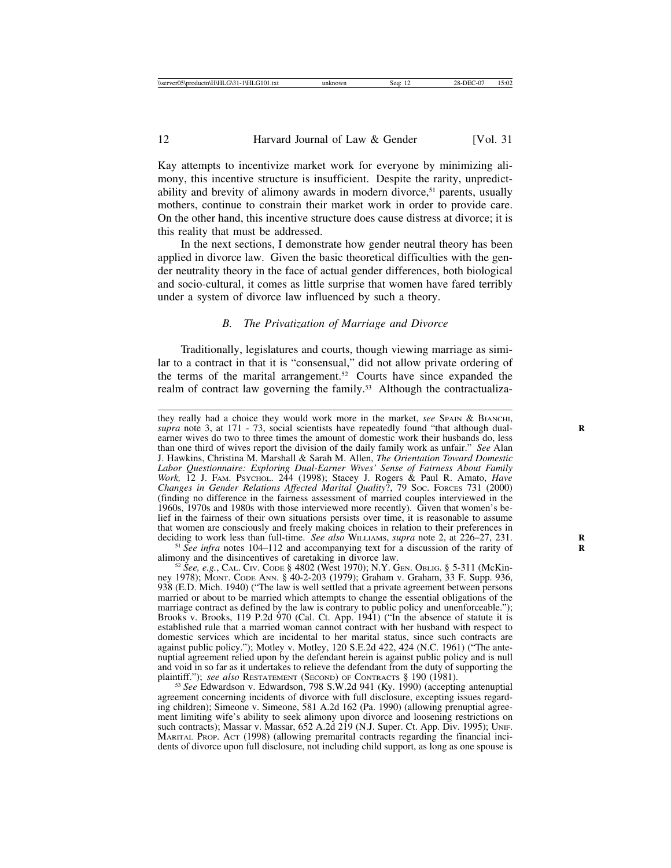Kay attempts to incentivize market work for everyone by minimizing alimony, this incentive structure is insufficient. Despite the rarity, unpredictability and brevity of alimony awards in modern divorce,<sup>51</sup> parents, usually mothers, continue to constrain their market work in order to provide care. On the other hand, this incentive structure does cause distress at divorce; it is this reality that must be addressed.

In the next sections, I demonstrate how gender neutral theory has been applied in divorce law. Given the basic theoretical difficulties with the gender neutrality theory in the face of actual gender differences, both biological and socio-cultural, it comes as little surprise that women have fared terribly under a system of divorce law influenced by such a theory.

# *B. The Privatization of Marriage and Divorce*

Traditionally, legislatures and courts, though viewing marriage as similar to a contract in that it is "consensual," did not allow private ordering of the terms of the marital arrangement.52 Courts have since expanded the realm of contract law governing the family.<sup>53</sup> Although the contractualiza-

they really had a choice they would work more in the market, *see* SPAIN & BIANCHI, supra note 3, at 171 - 73, social scientists have repeatedly found "that although dualearner wives do two to three times the amount of domestic work their husbands do, less than one third of wives report the division of the daily family work as unfair." *See* Alan J. Hawkins, Christina M. Marshall & Sarah M. Allen, *The Orientation Toward Domestic Labor Questionnaire: Exploring Dual-Earner Wives' Sense of Fairness About Family Work,* 12 J. FAM. PSYCHOL. 244 (1998); Stacey J. Rogers & Paul R. Amato, *Have Changes in Gender Relations Affected Marital Quality*?, 79 SOC. FORCES 731 (2000) (finding no difference in the fairness assessment of married couples interviewed in the 1960s, 1970s and 1980s with those interviewed more recently). Given that women's belief in the fairness of their own situations persists over time, it is reasonable to assume that women are consciously and freely making choices in relation to their preferences in deciding to work less than full-time. *See also* WILLIAMS, *supra* note 2, at 226–27, 231.

<sup>&</sup>lt;sup>51</sup> See infra notes 104–112 and accompanying text for a discussion of the rarity of alimony and the disincentives of caretaking in divorce law.

<sup>&</sup>lt;sup>52</sup> *See, e.g.*, CAL. CIV. CODE § 4802 (West 1970); N.Y. GEN. OBLIG. § 5-311 (McKinney 1978); MONT. CODE ANN. § 40-2-203 (1979); Graham v. Graham, 33 F. Supp. 936, 938 (E.D. Mich. 1940) ("The law is well settled that a private agreement between persons married or about to be married which attempts to change the essential obligations of the marriage contract as defined by the law is contrary to public policy and unenforceable."); Brooks v. Brooks, 119 P.2d 970 (Cal. Ct. App. 1941) ("In the absence of statute it is established rule that a married woman cannot contract with her husband with respect to domestic services which are incidental to her marital status, since such contracts are against public policy."); Motley v. Motley, 120 S.E.2d 422, 424 (N.C. 1961) ("The antenuptial agreement relied upon by the defendant herein is against public policy and is null and void in so far as it undertakes to relieve the defendant from the duty of supporting the plaintiff."); *see also* RESTATEMENT (SECOND) OF CONTRACTS  $\S$  190 (1981).

<sup>&</sup>lt;sup>53</sup> See Edwardson v. Edwardson, 798 S.W.2d 941 (Ky. 1990) (accepting antenuptial agreement concerning incidents of divorce with full disclosure, excepting issues regarding children); Simeone v. Simeone, 581 A.2d 162 (Pa. 1990) (allowing prenuptial agreement limiting wife's ability to seek alimony upon divorce and loosening restrictions on such contracts); Massar v. Massar, 652 A.2d 219 (N.J. Super. Ct. App. Div. 1995); UNIF. MARITAL PROP. ACT (1998) (allowing premarital contracts regarding the financial incidents of divorce upon full disclosure, not including child support, as long as one spouse is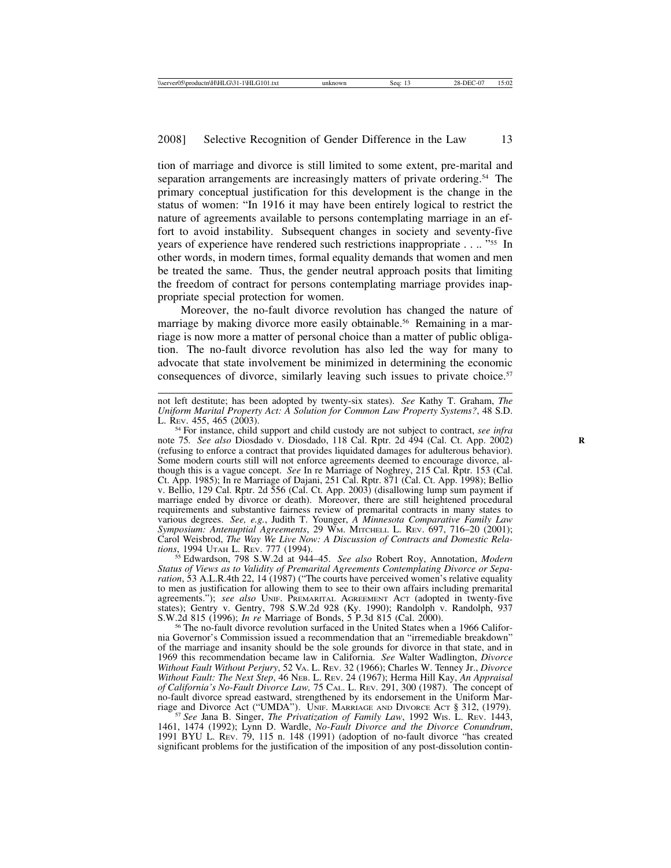tion of marriage and divorce is still limited to some extent, pre-marital and separation arrangements are increasingly matters of private ordering.<sup>54</sup> The primary conceptual justification for this development is the change in the status of women: "In 1916 it may have been entirely logical to restrict the nature of agreements available to persons contemplating marriage in an effort to avoid instability. Subsequent changes in society and seventy-five years of experience have rendered such restrictions inappropriate . . .. "55 In other words, in modern times, formal equality demands that women and men be treated the same. Thus, the gender neutral approach posits that limiting the freedom of contract for persons contemplating marriage provides inappropriate special protection for women.

Moreover, the no-fault divorce revolution has changed the nature of marriage by making divorce more easily obtainable.<sup>56</sup> Remaining in a marriage is now more a matter of personal choice than a matter of public obligation. The no-fault divorce revolution has also led the way for many to advocate that state involvement be minimized in determining the economic consequences of divorce, similarly leaving such issues to private choice.<sup>57</sup>

<sup>54</sup> For instance, child support and child custody are not subject to contract, *see infra* note 75*. See also* Diosdado v. Diosdado, 118 Cal. Rptr. 2d 494 (Cal. Ct. App. 2002) **R** (refusing to enforce a contract that provides liquidated damages for adulterous behavior). Some modern courts still will not enforce agreements deemed to encourage divorce, although this is a vague concept. *See* In re Marriage of Noghrey, 215 Cal. Rptr. 153 (Cal. Ct. App. 1985); In re Marriage of Dajani, 251 Cal. Rptr. 871 (Cal. Ct. App. 1998); Bellio v. Bellio, 129 Cal. Rptr. 2d 556 (Cal. Ct. App. 2003) (disallowing lump sum payment if marriage ended by divorce or death). Moreover, there are still heightened procedural requirements and substantive fairness review of premarital contracts in many states to various degrees. *See, e.g.*, Judith T. Younger, *A Minnesota Comparative Family Law Symposium: Antenuptial Agreements*, 29 WM. MITCHELL L. REV. 697, 716–20 (2001); Carol Weisbrod, *The Way We Live Now: A Discussion of Contracts and Domestic Rela-*

<sup>55</sup> Edwardson, 798 S.W.2d at 944–45. *See also* Robert Roy, Annotation, *Modern Status of Views as to Validity of Premarital Agreements Contemplating Divorce or Separation*, 53 A.L.R.4th 22, 14 (1987) ("The courts have perceived women's relative equality to men as justification for allowing them to see to their own affairs including premarital agreements."); see also UNIF. PREMARITAL AGREEMENT ACT (adopted in twenty-five states); Gentry v. Gentry, 798 S.W.2d 928 (Ky. 1990); Randolph v. Randolph, 937

S.W.2d 815 (1996); *In re* Marriage of Bonds, 5 P.3d 815 (Cal. 2000). <sup>56</sup> The no-fault divorce revolution surfaced in the United States when a 1966 California Governor's Commission issued a recommendation that an "irremediable breakdown" of the marriage and insanity should be the sole grounds for divorce in that state, and in 1969 this recommendation became law in California. *See* Walter Wadlington, *Divorce Without Fault Without Perjury*, 52 VA. L. REV. 32 (1966); Charles W. Tenney Jr., *Divorce Without Fault: The Next Step*, 46 NEB. L. REV. 24 (1967); Herma Hill Kay, *An Appraisal of California's No-Fault Divorce Law,* 75 CAL. L. REV. 291, 300 (1987). The concept of no-fault divorce spread eastward, strengthened by its endorsement in the Uniform Marriage and Divorce Act ("UMDA"). UNIF. MARRIAGE AND DIVORCE ACT § 312, (1979). <sup>57</sup> *See* Jana B. Singer, *The Privatization of Family Law*, 1992 WIS. L. REV. 1443,

1461, 1474 (1992); Lynn D. Wardle, *No-Fault Divorce and the Divorce Conundrum*, 1991 BYU L. REV. 79, 115 n. 148 (1991) (adoption of no-fault divorce "has created significant problems for the justification of the imposition of any post-dissolution contin-

not left destitute; has been adopted by twenty-six states). *See* Kathy T. Graham, *The Uniform Marital Property Act: A Solution for Common Law Property Systems?*, 48 S.D.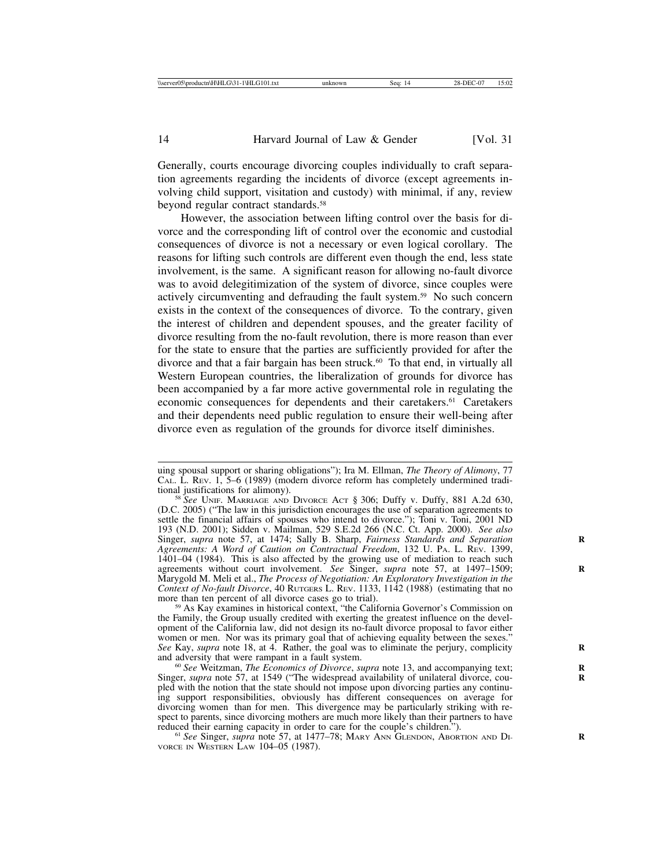Generally, courts encourage divorcing couples individually to craft separation agreements regarding the incidents of divorce (except agreements involving child support, visitation and custody) with minimal, if any, review beyond regular contract standards.58

However, the association between lifting control over the basis for divorce and the corresponding lift of control over the economic and custodial consequences of divorce is not a necessary or even logical corollary. The reasons for lifting such controls are different even though the end, less state involvement, is the same. A significant reason for allowing no-fault divorce was to avoid delegitimization of the system of divorce, since couples were actively circumventing and defrauding the fault system.59 No such concern exists in the context of the consequences of divorce. To the contrary, given the interest of children and dependent spouses, and the greater facility of divorce resulting from the no-fault revolution, there is more reason than ever for the state to ensure that the parties are sufficiently provided for after the divorce and that a fair bargain has been struck.<sup>60</sup> To that end, in virtually all Western European countries, the liberalization of grounds for divorce has been accompanied by a far more active governmental role in regulating the economic consequences for dependents and their caretakers.<sup>61</sup> Caretakers and their dependents need public regulation to ensure their well-being after divorce even as regulation of the grounds for divorce itself diminishes.

the Family, the Group usually credited with exerting the greatest influence on the development of the California law, did not design its no-fault divorce proposal to favor either women or men. Nor was its primary goal that of achieving equality between the sexes." *See* Kay, *supra* note 18, at 4. Rather, the goal was to eliminate the perjury, complicity and adversity that were rampant in a fault system.

<sup>60</sup> See Weitzman, *The Economics of Divorce*, *supra* note 13, and accompanying text; Singer, *supra* note 57, at 1549 ("The widespread availability of unilateral divorce, coupled with the notion that the state should not impose upon divorcing parties any continuing support responsibilities, obviously has different consequences on average for divorcing women than for men. This divergence may be particularly striking with respect to parents, since divorcing mothers are much more likely than their partners to have reduced their earning capacity in order to care for the couple's children.").<br><sup>61</sup> *See* Singer, *supra* note 57, at 1477–78; MARY ANN GLENDON, ABORTION AND DI-

VORCE IN WESTERN LAW 104–05 (1987).

uing spousal support or sharing obligations"); Ira M. Ellman, *The Theory of Alimony*, 77 CAL. L. REV. 1, 5–6 (1989) (modern divorce reform has completely undermined tradi-

<sup>&</sup>lt;sup>58</sup> See UNIF. MARRIAGE AND DIVORCE ACT § 306; Duffy v. Duffy, 881 A.2d 630, (D.C. 2005) ("The law in this jurisdiction encourages the use of separation agreements to settle the financial affairs of spouses who intend to divorce."); Toni v. Toni, 2001 ND 193 (N.D. 2001); Sidden v. Mailman, 529 S.E.2d 266 (N.C. Ct. App. 2000). *See also* Singer, *supra* note 57, at 1474; Sally B. Sharp, *Fairness Standards and Separation* **R** *Agreements: A Word of Caution on Contractual Freedom*, 132 U. PA. L. REV. 1399, 1401–04 (1984). This is also affected by the growing use of mediation to reach such agreements without court involvement. *See* Singer, *supra* note 57, at 1497–1509; Marygold M. Meli et al., *The Process of Negotiation: An Exploratory Investigation in the Context of No-fault Divorce*, 40 RUTGERS L. REV. 1133, 1142 (1988) (estimating that no more than ten percent of all divorce cases go to trial).<br> $\frac{59}{100}$  As Kay examines in historical context, "the California Governor's Commission on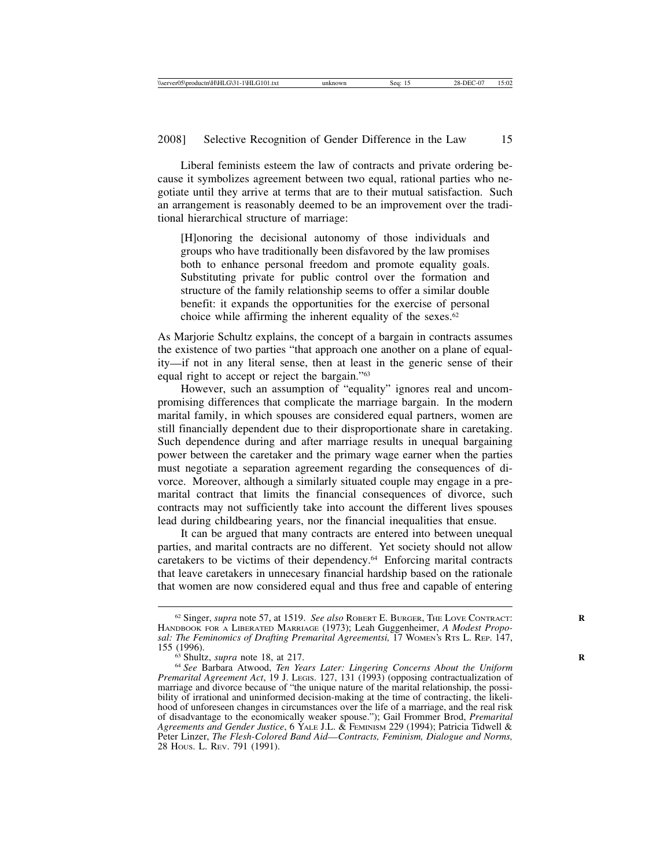Liberal feminists esteem the law of contracts and private ordering because it symbolizes agreement between two equal, rational parties who negotiate until they arrive at terms that are to their mutual satisfaction. Such an arrangement is reasonably deemed to be an improvement over the traditional hierarchical structure of marriage:

[H]onoring the decisional autonomy of those individuals and groups who have traditionally been disfavored by the law promises both to enhance personal freedom and promote equality goals. Substituting private for public control over the formation and structure of the family relationship seems to offer a similar double benefit: it expands the opportunities for the exercise of personal choice while affirming the inherent equality of the sexes. $62$ 

As Marjorie Schultz explains, the concept of a bargain in contracts assumes the existence of two parties "that approach one another on a plane of equality—if not in any literal sense, then at least in the generic sense of their equal right to accept or reject the bargain."63

However, such an assumption of "equality" ignores real and uncompromising differences that complicate the marriage bargain. In the modern marital family, in which spouses are considered equal partners, women are still financially dependent due to their disproportionate share in caretaking. Such dependence during and after marriage results in unequal bargaining power between the caretaker and the primary wage earner when the parties must negotiate a separation agreement regarding the consequences of divorce. Moreover, although a similarly situated couple may engage in a premarital contract that limits the financial consequences of divorce, such contracts may not sufficiently take into account the different lives spouses lead during childbearing years, nor the financial inequalities that ensue.

It can be argued that many contracts are entered into between unequal parties, and marital contracts are no different. Yet society should not allow caretakers to be victims of their dependency.64 Enforcing marital contracts that leave caretakers in unnecesary financial hardship based on the rationale that women are now considered equal and thus free and capable of entering

<sup>&</sup>lt;sup>62</sup> Singer, *supra* note 57, at 1519. *See also* ROBERT E. BURGER, THE LOVE CONTRACT: HANDBOOK FOR A LIBERATED MARRIAGE (1973); Leah Guggenheimer, *A Modest Proposal: The Feminomics of Drafting Premarital Agreementsi, 17 WOMEN's RTS L. REP. 147, 155 (1996).* 

<sup>&</sup>lt;sup>63</sup> Shultz, *supra* note 18, at 217.<br><sup>64</sup> *See* Barbara Atwood, *Ten Years Later: Lingering Concerns About the Uniform Premarital Agreement Act*, 19 J. Legis. 127, 131 (1993) (opposing contractualization of marriage and divorce because of "the unique nature of the marital relationship, the possibility of irrational and uninformed decision-making at the time of contracting, the likelihood of unforeseen changes in circumstances over the life of a marriage, and the real risk of disadvantage to the economically weaker spouse."); Gail Frommer Brod, *Premarital Agreements and Gender Justice*, 6 YALE J.L. & FEMINISM 229 (1994); Patricia Tidwell & Peter Linzer, *The Flesh-Colored Band Aid*—*Contracts, Feminism, Dialogue and Norms,* 28 HOUS. L. REV. 791 (1991).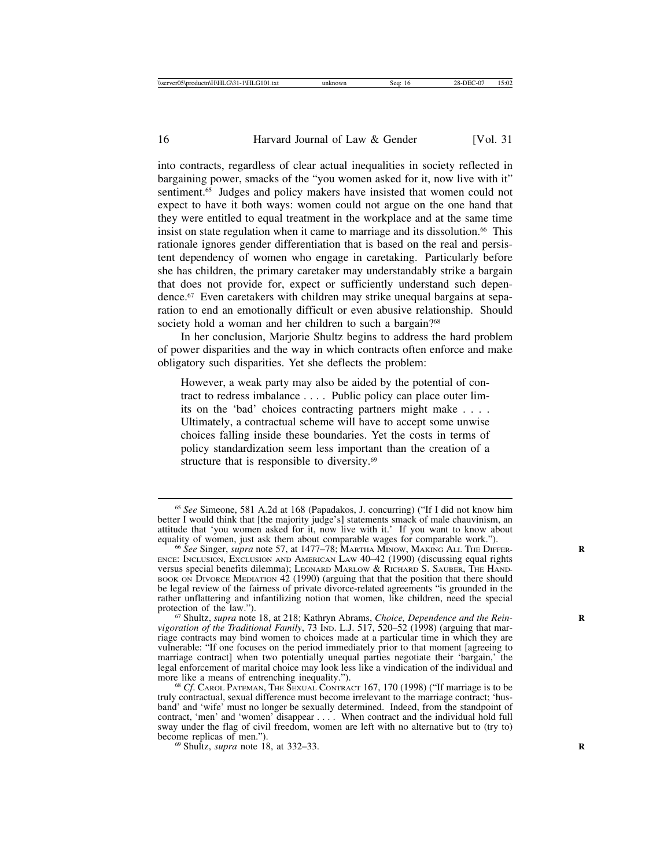into contracts, regardless of clear actual inequalities in society reflected in bargaining power, smacks of the "you women asked for it, now live with it" sentiment.<sup>65</sup> Judges and policy makers have insisted that women could not expect to have it both ways: women could not argue on the one hand that they were entitled to equal treatment in the workplace and at the same time insist on state regulation when it came to marriage and its dissolution.<sup>66</sup> This rationale ignores gender differentiation that is based on the real and persistent dependency of women who engage in caretaking. Particularly before she has children, the primary caretaker may understandably strike a bargain that does not provide for, expect or sufficiently understand such dependence.67 Even caretakers with children may strike unequal bargains at separation to end an emotionally difficult or even abusive relationship. Should society hold a woman and her children to such a bargain?<sup>68</sup>

In her conclusion, Marjorie Shultz begins to address the hard problem of power disparities and the way in which contracts often enforce and make obligatory such disparities. Yet she deflects the problem:

However, a weak party may also be aided by the potential of contract to redress imbalance . . . . Public policy can place outer limits on the 'bad' choices contracting partners might make . . . . Ultimately, a contractual scheme will have to accept some unwise choices falling inside these boundaries. Yet the costs in terms of policy standardization seem less important than the creation of a structure that is responsible to diversity.<sup>69</sup>

<sup>65</sup> *See* Simeone, 581 A.2d at 168 (Papadakos, J. concurring) ("If I did not know him better I would think that [the majority judge's] statements smack of male chauvinism, an attitude that 'you women asked for it, now live with it.' If you want to know about

<sup>&</sup>lt;sup>66</sup> See Singer, *supra* note 57, at 1477–78; MARTHA MINOW, MAKING ALL THE DIFFER-ENCE: INCLUSION, EXCLUSION AND AMERICAN LAW 40–42 (1990) (discussing equal rights versus special benefits dilemma); LEONARD MARLOW & RICHARD S. SAUBER, THE HAND-BOOK ON DIVORCE MEDIATION  $42$  (1990) (arguing that that the position that there should be legal review of the fairness of private divorce-related agreements "is grounded in the rather unflattering and infantilizing notion that women, like children, need the special protection of the law."). protection of the law.").<br><sup>67</sup> Shultz, *supra* note 18, at 218; Kathryn Abrams, *Choice, Dependence and the Rein-*

*vigoration of the Traditional Family*, 73 IND. L.J. 517, 520–52 (1998) (arguing that marriage contracts may bind women to choices made at a particular time in which they are vulnerable: "If one focuses on the period immediately prior to that moment [agreeing to marriage contract] when two potentially unequal parties negotiate their 'bargain,' the legal enforcement of marital choice may look less like a vindication of the individual and

<sup>&</sup>lt;sup>68</sup> Cf. CAROL PATEMAN, THE SEXUAL CONTRACT 167, 170 (1998) ("If marriage is to be truly contractual, sexual difference must become irrelevant to the marriage contract; 'husband' and 'wife' must no longer be sexually determined. Indeed, from the standpoint of contract, 'men' and 'women' disappear . . . . When contract and the individual hold full sway under the flag of civil freedom, women are left with no alternative but to (try to) become replicas of men.").<br><sup>69</sup> Shultz, *supra* note 18, at 332–33.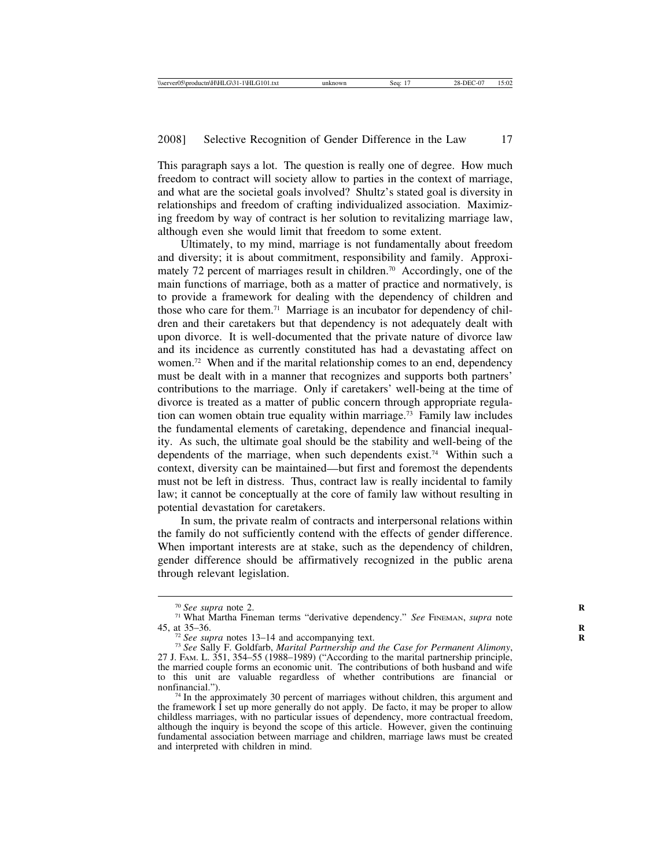This paragraph says a lot. The question is really one of degree. How much freedom to contract will society allow to parties in the context of marriage, and what are the societal goals involved? Shultz's stated goal is diversity in relationships and freedom of crafting individualized association. Maximizing freedom by way of contract is her solution to revitalizing marriage law, although even she would limit that freedom to some extent.

Ultimately, to my mind, marriage is not fundamentally about freedom and diversity; it is about commitment, responsibility and family. Approximately 72 percent of marriages result in children.<sup>70</sup> Accordingly, one of the main functions of marriage, both as a matter of practice and normatively, is to provide a framework for dealing with the dependency of children and those who care for them.71 Marriage is an incubator for dependency of children and their caretakers but that dependency is not adequately dealt with upon divorce. It is well-documented that the private nature of divorce law and its incidence as currently constituted has had a devastating affect on women.72 When and if the marital relationship comes to an end, dependency must be dealt with in a manner that recognizes and supports both partners' contributions to the marriage. Only if caretakers' well-being at the time of divorce is treated as a matter of public concern through appropriate regulation can women obtain true equality within marriage.73 Family law includes the fundamental elements of caretaking, dependence and financial inequality. As such, the ultimate goal should be the stability and well-being of the dependents of the marriage, when such dependents exist.74 Within such a context, diversity can be maintained—but first and foremost the dependents must not be left in distress. Thus, contract law is really incidental to family law; it cannot be conceptually at the core of family law without resulting in potential devastation for caretakers.

In sum, the private realm of contracts and interpersonal relations within the family do not sufficiently contend with the effects of gender difference. When important interests are at stake, such as the dependency of children, gender difference should be affirmatively recognized in the public arena through relevant legislation.

<sup>70</sup> *See supra* note 2. **<sup>R</sup>** <sup>71</sup> What Martha Fineman terms "derivative dependency." *See* FINEMAN, *supra* note

<sup>45,</sup> at 35–36. **<sup>R</sup>** <sup>72</sup> *See supra* notes 13–14 and accompanying text. **<sup>R</sup>** <sup>73</sup> *See* Sally F. Goldfarb, *Marital Partnership and the Case for Permanent Alimony*, 27 J. FAM. L. 351, 354–55 (1988–1989) ("According to the marital partnership principle, the married couple forms an economic unit. The contributions of both husband and wife to this unit are valuable regardless of whether contributions are financial or

 $74$  In the approximately 30 percent of marriages without children, this argument and the framework I set up more generally do not apply. De facto, it may be proper to allow childless marriages, with no particular issues of dependency, more contractual freedom, although the inquiry is beyond the scope of this article. However, given the continuing fundamental association between marriage and children, marriage laws must be created and interpreted with children in mind.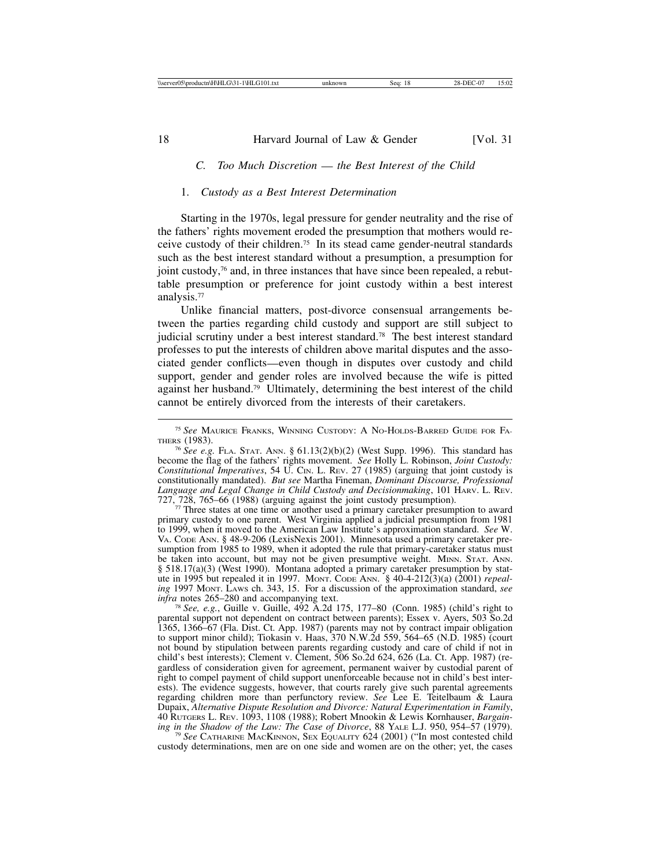# *C. Too Much Discretion* — *the Best Interest of the Child*

#### 1. *Custody as a Best Interest Determination*

Starting in the 1970s, legal pressure for gender neutrality and the rise of the fathers' rights movement eroded the presumption that mothers would receive custody of their children.75 In its stead came gender-neutral standards such as the best interest standard without a presumption, a presumption for joint custody,<sup>76</sup> and, in three instances that have since been repealed, a rebuttable presumption or preference for joint custody within a best interest analysis.77

Unlike financial matters, post-divorce consensual arrangements between the parties regarding child custody and support are still subject to judicial scrutiny under a best interest standard.<sup>78</sup> The best interest standard professes to put the interests of children above marital disputes and the associated gender conflicts—even though in disputes over custody and child support, gender and gender roles are involved because the wife is pitted against her husband.79 Ultimately, determining the best interest of the child cannot be entirely divorced from the interests of their caretakers.

 $77$  Three states at one time or another used a primary caretaker presumption to award primary custody to one parent. West Virginia applied a judicial presumption from 1981 to 1999, when it moved to the American Law Institute's approximation standard. *See* W. VA. CODE ANN. § 48-9-206 (LexisNexis 2001). Minnesota used a primary caretaker presumption from 1985 to 1989, when it adopted the rule that primary-caretaker status must be taken into account, but may not be given presumptive weight. MINN. STAT. ANN. § 518.17(a)(3) (West 1990). Montana adopted a primary caretaker presumption by statute in 1995 but repealed it in 1997. Montr. Code ANN. § 40-4-212(3)(a) (2001) *repealing* 1997 Montr. Laws ch. 343, 15. For a discussion of the approximation standard, *see infra* notes 265–280 and accompanying text.<br><sup>78</sup> See, e.g., Guille v. Guille, 492 A.2d 175, 177–80 (Conn. 1985) (child's right to

parental support not dependent on contract between parents); Essex v. Ayers, 503 So.2d 1365, 1366–67 (Fla. Dist. Ct. App. 1987) (parents may not by contract impair obligation to support minor child); Tiokasin v. Haas, 370 N.W.2d 559, 564–65 (N.D. 1985) (court not bound by stipulation between parents regarding custody and care of child if not in child's best interests); Clement v. Clement, 506 So.2d 624, 626 (La. Ct. App. 1987) (regardless of consideration given for agreement, permanent waiver by custodial parent of right to compel payment of child support unenforceable because not in child's best interests). The evidence suggests, however, that courts rarely give such parental agreements regarding children more than perfunctory review. *See* Lee E. Teitelbaum & Laura Dupaix, *Alternative Dispute Resolution and Divorce: Natural Experimentation in Family*, 40 RUTGERS L. REV. 1093, 1108 (1988); Robert Mnookin & Lewis Kornhauser, *Bargaining in the Shadow of the Law: The Case of Divorce*, 88 YALE L.J. 950, 954–57 (1979).<br><sup>79</sup> *See* CATHARINE MACKINNON, SEX EQUALITY 624 (2001) ("In most contested child"

custody determinations, men are on one side and women are on the other; yet, the cases

<sup>75</sup> *See* MAURICE FRANKS, WINNING CUSTODY: A NO-HOLDS-BARRED GUIDE FOR FA-THERS (1983).

<sup>76</sup> *See e.g.* FLA. STAT. ANN. § 61.13(2)(b)(2) (West Supp. 1996). This standard has become the flag of the fathers' rights movement. *See* Holly L. Robinson, *Joint Custody: Constitutional Imperatives*, 54 U. CIN. L. REV. 27 (1985) (arguing that joint custody is constitutionally mandated). *But see* Martha Fineman, *Dominant Discourse, Professional* Language and Legal Change in Child Custody and Decisionmaking, 101 HARV. L. REV. 727, 728, 765–66 (1988) (arguing against the joint custody presumption).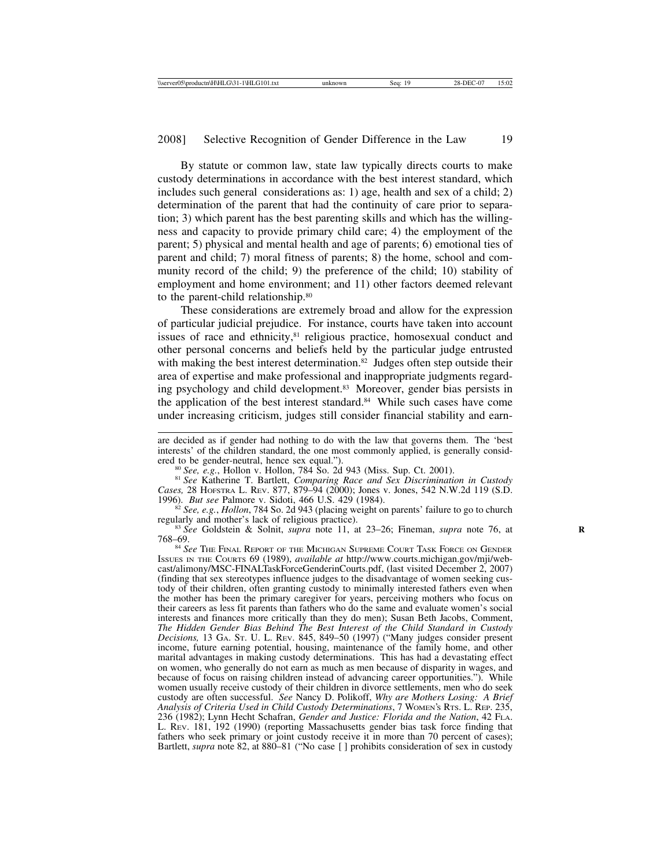By statute or common law, state law typically directs courts to make custody determinations in accordance with the best interest standard, which includes such general considerations as: 1) age, health and sex of a child; 2) determination of the parent that had the continuity of care prior to separation; 3) which parent has the best parenting skills and which has the willingness and capacity to provide primary child care; 4) the employment of the parent; 5) physical and mental health and age of parents; 6) emotional ties of parent and child; 7) moral fitness of parents; 8) the home, school and community record of the child; 9) the preference of the child; 10) stability of employment and home environment; and 11) other factors deemed relevant to the parent-child relationship.80

These considerations are extremely broad and allow for the expression of particular judicial prejudice. For instance, courts have taken into account issues of race and ethnicity,<sup>81</sup> religious practice, homosexual conduct and other personal concerns and beliefs held by the particular judge entrusted with making the best interest determination.<sup>82</sup> Judges often step outside their area of expertise and make professional and inappropriate judgments regarding psychology and child development.<sup>83</sup> Moreover, gender bias persists in the application of the best interest standard.<sup>84</sup> While such cases have come under increasing criticism, judges still consider financial stability and earn-

are decided as if gender had nothing to do with the law that governs them. The 'best interests' of the children standard, the one most commonly applied, is generally considered to be gender-neutral, hence sex equal."). ered to be gender-neutral, hence sex equal.").<br><sup>80</sup> *See, e.g.*, Hollon v. Hollon, 784 So. 2d 943 (Miss. Sup. Ct. 2001).<br><sup>81</sup> *See* Katherine T. Bartlett, *Comparing Race and Sex Discrimination in Custody* 

*Cases,* 28 HOFSTRA L. REV. 877, 879–94 (2000); Jones v. Jones, 542 N.W.2d 119 (S.D.

<sup>1996).</sup> *But see* Palmore v. Sidoti, 466 U.S. 429 (1984). <sup>82</sup> *See, e.g., Hollon, 784 So. 2d 943 (placing weight on parents' failure to go to church regularly and mother's lack of religious practice).* 

<sup>&</sup>lt;sup>83</sup> See Goldstein & Solnit, *supra* note 11, at 23–26; Fineman, *supra* note 76, at 768–69.

<sup>84</sup> *See* THE FINAL REPORT OF THE MICHIGAN SUPREME COURT TASK FORCE ON GENDER ISSUES IN THE COURTS 69 (1989), *available at* http://www.courts.michigan.gov/mji/webcast/alimony/MSC-FINALTaskForceGenderinCourts.pdf, (last visited December 2, 2007) (finding that sex stereotypes influence judges to the disadvantage of women seeking custody of their children, often granting custody to minimally interested fathers even when the mother has been the primary caregiver for years, perceiving mothers who focus on their careers as less fit parents than fathers who do the same and evaluate women's social interests and finances more critically than they do men); Susan Beth Jacobs, Comment, *The Hidden Gender Bias Behind The Best Interest of the Child Standard in Custody Decisions,* 13 GA. ST. U. L. REV. 845, 849–50 (1997) ("Many judges consider present income, future earning potential, housing, maintenance of the family home, and other marital advantages in making custody determinations. This has had a devastating effect on women, who generally do not earn as much as men because of disparity in wages, and because of focus on raising children instead of advancing career opportunities."). While women usually receive custody of their children in divorce settlements, men who do seek custody are often successful. *See* Nancy D. Polikoff, *Why are Mothers Losing: A Brief Analysis of Criteria Used in Child Custody Determinations*, 7 WOMEN'S RTS. L. REP. 235, 236 (1982); Lynn Hecht Schafran, *Gender and Justice: Florida and the Nation*, 42 FLA. L. REV. 181, 192 (1990) (reporting Massachusetts gender bias task force finding that fathers who seek primary or joint custody receive it in more than 70 percent of cases); Bartlett, *supra* note 82, at 880–81 ("No case [ ] prohibits consideration of sex in custody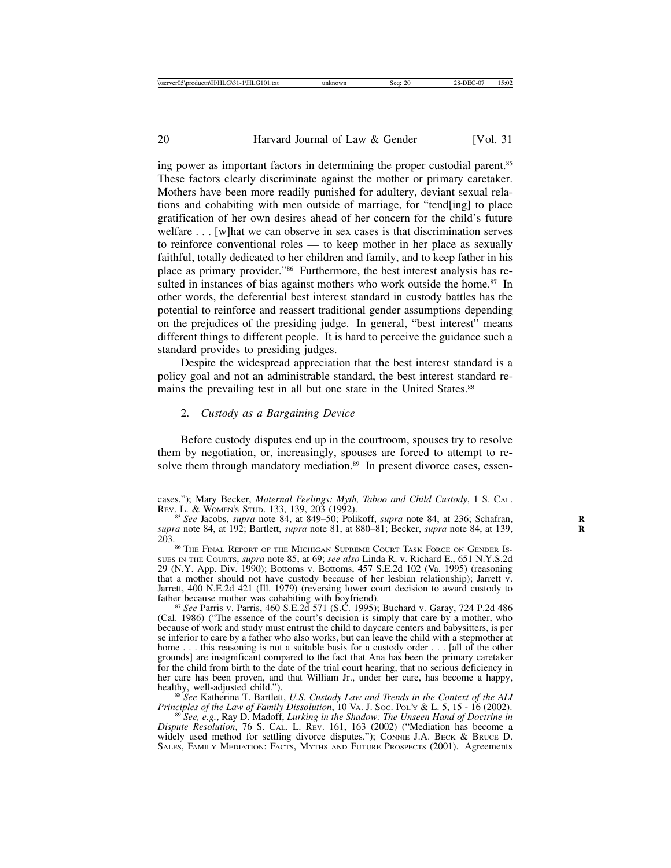ing power as important factors in determining the proper custodial parent.85 These factors clearly discriminate against the mother or primary caretaker. Mothers have been more readily punished for adultery, deviant sexual relations and cohabiting with men outside of marriage, for "tend[ing] to place gratification of her own desires ahead of her concern for the child's future welfare . . . [w] hat we can observe in sex cases is that discrimination serves to reinforce conventional roles — to keep mother in her place as sexually faithful, totally dedicated to her children and family, and to keep father in his place as primary provider."86 Furthermore, the best interest analysis has resulted in instances of bias against mothers who work outside the home.<sup>87</sup> In other words, the deferential best interest standard in custody battles has the potential to reinforce and reassert traditional gender assumptions depending on the prejudices of the presiding judge. In general, "best interest" means different things to different people. It is hard to perceive the guidance such a standard provides to presiding judges.

Despite the widespread appreciation that the best interest standard is a policy goal and not an administrable standard, the best interest standard remains the prevailing test in all but one state in the United States.<sup>88</sup>

#### 2. *Custody as a Bargaining Device*

Before custody disputes end up in the courtroom, spouses try to resolve them by negotiation, or, increasingly, spouses are forced to attempt to resolve them through mandatory mediation.<sup>89</sup> In present divorce cases, essen-

cases."); Mary Becker, *Maternal Feelings: Myth, Taboo and Child Custody*, 1 S. CAL.

<sup>&</sup>lt;sup>85</sup> See Jacobs, *supra* note 84, at 849–50; Polikoff, *supra* note 84, at 236; Schafran, *supra* note 84, at 192; Bartlett, *supra* note 81, at 880–81; Becker, *supra* note 84, at 139, **R**

 $^{26}$  The Final Report of the Michigan Supreme Court Task Force on Gender Is-SUES IN THE COURTS, *supra* note 85, at 69; *see also* Linda R. v. Richard E., 651 N.Y.S.2d 29 (N.Y. App. Div. 1990); Bottoms v. Bottoms, 457 S.E.2d 102 (Va. 1995) (reasoning that a mother should not have custody because of her lesbian relationship); Jarrett v. Jarrett, 400 N.E.2d 421 (Ill. 1979) (reversing lower court decision to award custody to father because mother was cohabiting with boyfriend).<br><sup>87</sup> *See* Parris v. Parris, 460 S.E.2d 571 (S.C. 1995); Buchard v. Garay, 724 P.2d 486

<sup>(</sup>Cal. 1986) ("The essence of the court's decision is simply that care by a mother, who because of work and study must entrust the child to daycare centers and babysitters, is per se inferior to care by a father who also works, but can leave the child with a stepmother at home . . . this reasoning is not a suitable basis for a custody order . . . [all of the other grounds] are insignificant compared to the fact that Ana has been the primary caretaker for the child from birth to the date of the trial court hearing, that no serious deficiency in her care has been proven, and that William Jr., under her care, has become a happy,

<sup>&</sup>lt;sup>88</sup> See Katherine T. Bartlett, *U.S. Custody Law and Trends in the Context of the ALI Principles of the Law of Family Dissolution*, 10 VA. J. Soc. Poly & L. 5, 15 - 16 (2002). <sup>89</sup> *See, e.g.*, Ray D. Madoff, *Lurking in the Shadow: The Unseen Hand of Doctrine in* 

*Dispute Resolution*, 76 S. CAL. L. REV. 161, 163 (2002) ("Mediation has become a widely used method for settling divorce disputes."); CONNIE J.A. BECK & BRUCE D. SALES, FAMILY MEDIATION: FACTS, MYTHS AND FUTURE PROSPECTS (2001). Agreements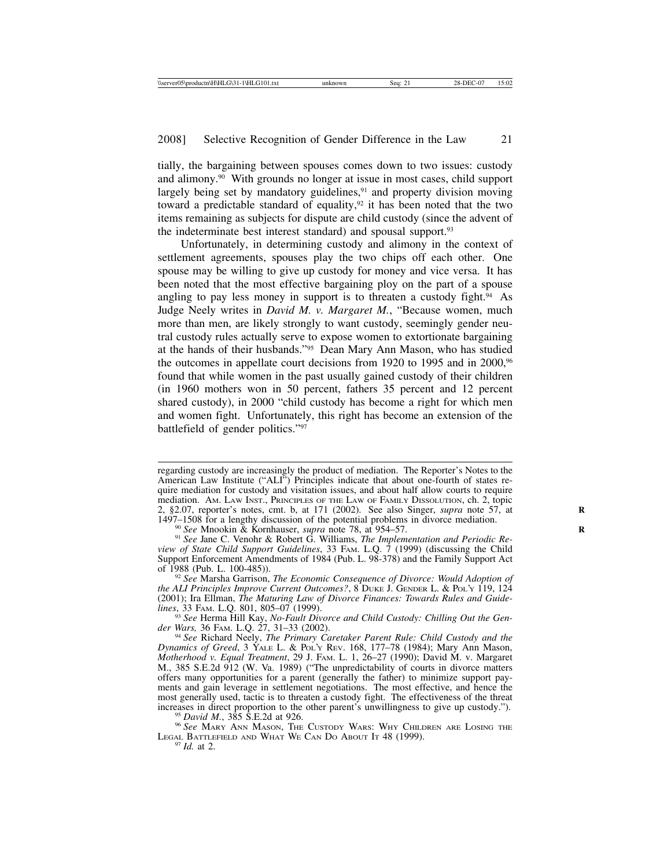tially, the bargaining between spouses comes down to two issues: custody and alimony.90 With grounds no longer at issue in most cases, child support largely being set by mandatory guidelines, $91$  and property division moving toward a predictable standard of equality,<sup>92</sup> it has been noted that the two items remaining as subjects for dispute are child custody (since the advent of the indeterminate best interest standard) and spousal support.<sup>93</sup>

Unfortunately, in determining custody and alimony in the context of settlement agreements, spouses play the two chips off each other. One spouse may be willing to give up custody for money and vice versa. It has been noted that the most effective bargaining ploy on the part of a spouse angling to pay less money in support is to threaten a custody fight.<sup>94</sup> As Judge Neely writes in *David M. v. Margaret M.*, "Because women, much more than men, are likely strongly to want custody, seemingly gender neutral custody rules actually serve to expose women to extortionate bargaining at the hands of their husbands."95 Dean Mary Ann Mason, who has studied the outcomes in appellate court decisions from 1920 to 1995 and in 2000,<sup>96</sup> found that while women in the past usually gained custody of their children (in 1960 mothers won in 50 percent, fathers 35 percent and 12 percent shared custody), in 2000 "child custody has become a right for which men and women fight. Unfortunately, this right has become an extension of the battlefield of gender politics."97

<sup>90</sup> See Mnookin & Kornhauser, *supra* note 78, at 954–57.<br><sup>91</sup> See Jane C. Venohr & Robert G. Williams, *The Implementation and Periodic Review of State Child Support Guidelines*, 33 FAM. L.Q. 7 (1999) (discussing the Child Support Enforcement Amendments of 1984 (Pub. L. 98-378) and the Family Support Act of 1988 (Pub. L. 100-485)).

<sup>92</sup> See Marsha Garrison, *The Economic Consequence of Divorce: Would Adoption of the ALI Principles Improve Current Outcomes?*, 8 DUKE J. GENDER L. & POL'Y 119, 124 (2001); Ira Ellman, *The Maturing Law of Divorce Finances: Towards Rules and Guide*lines, 33 FAM. L.Q. 801, 805–07 (1999).<br><sup>93</sup> See Herma Hill Kay, *No-Fault Divorce and Child Custody: Chilling Out the Gen-*

*der Wars,* 36 FAM. L.Q. 27, 31–33 (2002). <sup>94</sup> *See* Richard Neely, *The Primary Caretaker Parent Rule: Child Custody and the*

<sup>95</sup> David M., 385 S.E.2d at 926. **95** *David M.***, 385 S.E.2d at 926.** 96 *David M.*, 385 S.E.2d at 926. **96** *See MARY ANN MASON*, The Custody Wars: Why Children are Losing the LEGAL BATTLEFIELD AND WHAT WE CAN DO ABOUT IT 48 (1999).<br><sup>97</sup> *Id.* at 2.

regarding custody are increasingly the product of mediation. The Reporter's Notes to the American Law Institute ("ALI") Principles indicate that about one-fourth of states require mediation for custody and visitation issues, and about half allow courts to require mediation. AM. LAW INST., PRINCIPLES OF THE LAW OF FAMILY DISSOLUTION, ch. 2, topic 2, §2.07, reporter's notes, cmt. b, at 171 (2002). See also Singer, *supra* note 57, at 1497–1508 for a lengthy discussion of the potential problems in divorce mediation.

*Dynamics of Greed*, 3 YALE L. & POL'Y REV. 168, 177–78 (1984); Mary Ann Mason, *Motherhood v. Equal Treatment*, 29 J. FAM. L. 1, 26–27 (1990); David M. v. Margaret M., 385 S.E.2d 912 (W. Va. 1989) ("The unpredictability of courts in divorce matters offers many opportunities for a parent (generally the father) to minimize support payments and gain leverage in settlement negotiations. The most effective, and hence the most generally used, tactic is to threaten a custody fight. The effectiveness of the threat increases in direct proportion to the other parent's unwillingness to give up custody.").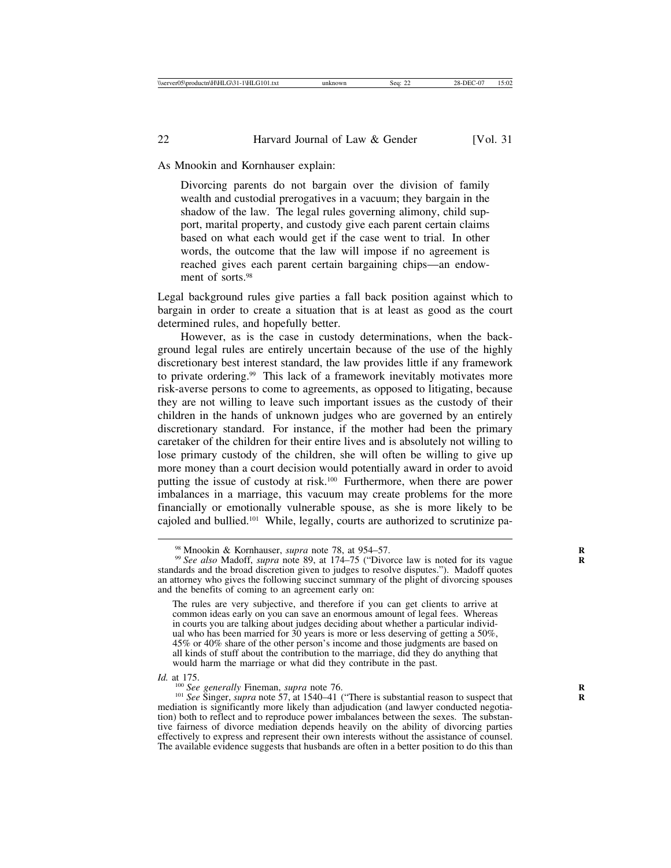As Mnookin and Kornhauser explain:

Divorcing parents do not bargain over the division of family wealth and custodial prerogatives in a vacuum; they bargain in the shadow of the law. The legal rules governing alimony, child support, marital property, and custody give each parent certain claims based on what each would get if the case went to trial. In other words, the outcome that the law will impose if no agreement is reached gives each parent certain bargaining chips—an endowment of sorts.<sup>98</sup>

Legal background rules give parties a fall back position against which to bargain in order to create a situation that is at least as good as the court determined rules, and hopefully better.

However, as is the case in custody determinations, when the background legal rules are entirely uncertain because of the use of the highly discretionary best interest standard, the law provides little if any framework to private ordering.99 This lack of a framework inevitably motivates more risk-averse persons to come to agreements, as opposed to litigating, because they are not willing to leave such important issues as the custody of their children in the hands of unknown judges who are governed by an entirely discretionary standard. For instance, if the mother had been the primary caretaker of the children for their entire lives and is absolutely not willing to lose primary custody of the children, she will often be willing to give up more money than a court decision would potentially award in order to avoid putting the issue of custody at risk.<sup>100</sup> Furthermore, when there are power imbalances in a marriage, this vacuum may create problems for the more financially or emotionally vulnerable spouse, as she is more likely to be cajoled and bullied.101 While, legally, courts are authorized to scrutinize pa-

<sup>&</sup>lt;sup>98</sup> Mnookin & Kornhauser, *supra* note 78, at 954–57.<br><sup>99</sup> *See also* Madoff, *supra* note 89, at 174–75 ("Divorce law is noted for its vague standards and the broad discretion given to judges to resolve disputes."). Madoff quotes an attorney who gives the following succinct summary of the plight of divorcing spouses and the benefits of coming to an agreement early on:

The rules are very subjective, and therefore if you can get clients to arrive at common ideas early on you can save an enormous amount of legal fees. Whereas in courts you are talking about judges deciding about whether a particular individual who has been married for 30 years is more or less deserving of getting a 50%, 45% or 40% share of the other person's income and those judgments are based on all kinds of stuff about the contribution to the marriage, did they do anything that would harm the marriage or what did they contribute in the past.

*Id.* at 175.

<sup>&</sup>lt;sup>100</sup> *See generally* Fineman, *supra* note 76.<br><sup>101</sup> *See* Singer, *supra* note 57, at 1540–41 ("There is substantial reason to suspect that mediation is significantly more likely than adjudication (and lawyer conducted negotiation) both to reflect and to reproduce power imbalances between the sexes. The substantive fairness of divorce mediation depends heavily on the ability of divorcing parties effectively to express and represent their own interests without the assistance of counsel. The available evidence suggests that husbands are often in a better position to do this than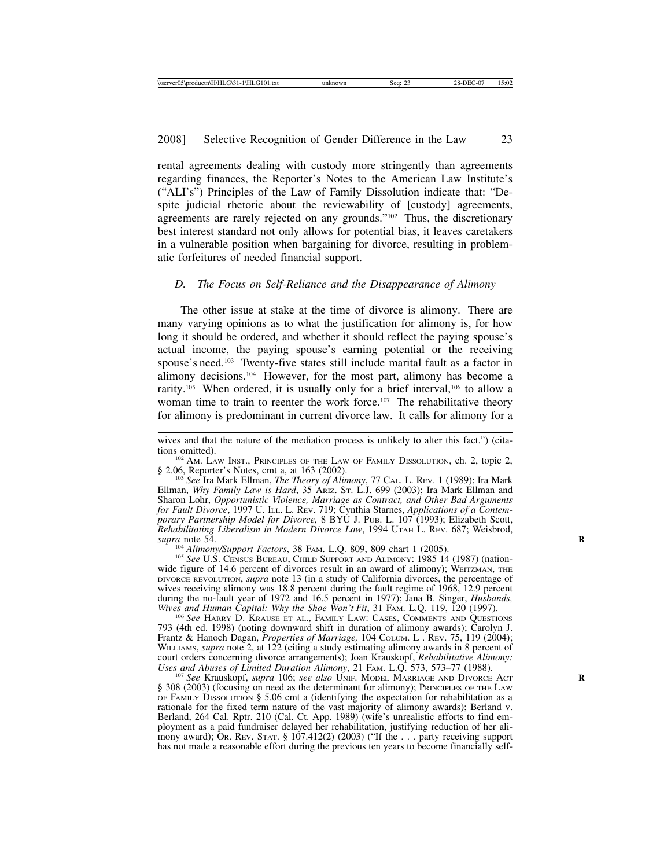rental agreements dealing with custody more stringently than agreements regarding finances, the Reporter's Notes to the American Law Institute's ("ALI's") Principles of the Law of Family Dissolution indicate that: "Despite judicial rhetoric about the reviewability of [custody] agreements, agreements are rarely rejected on any grounds."102 Thus, the discretionary best interest standard not only allows for potential bias, it leaves caretakers in a vulnerable position when bargaining for divorce, resulting in problematic forfeitures of needed financial support.

#### *D. The Focus on Self-Reliance and the Disappearance of Alimony*

The other issue at stake at the time of divorce is alimony. There are many varying opinions as to what the justification for alimony is, for how long it should be ordered, and whether it should reflect the paying spouse's actual income, the paying spouse's earning potential or the receiving spouse's need.103 Twenty-five states still include marital fault as a factor in alimony decisions.104 However, for the most part, alimony has become a rarity.<sup>105</sup> When ordered, it is usually only for a brief interval,<sup>106</sup> to allow a woman time to train to reenter the work force.<sup>107</sup> The rehabilitative theory for alimony is predominant in current divorce law. It calls for alimony for a

<sup>103</sup> See Ira Mark Ellman, *The Theory of Alimony*, 77 CAL. L. REV. 1 (1989); Ira Mark Ellman, *Why Family Law is Hard*, 35 ARIZ. ST. L.J. 699 (2003); Ira Mark Ellman and Sharon Lohr, *Opportunistic Violence, Marriage as Contract, and Other Bad Arguments for Fault Divorce*, 1997 U. ILL. L. REV. 719; Cynthia Starnes, *Applications of a Contemporary Partnership Model for Divorce,* 8 BYU J. PUB. L. 107 (1993); Elizabeth Scott, *Rehabilitating Liberalism in Modern Divorce Law*, 1994 UTAH L. REV. 687; Weisbrod,

<sup>104</sup> *Alimony/Support Factors*, 38 FAM. L.Q. 809, 809 chart 1 (2005).<br><sup>105</sup> *See* U.S. CENSUS BUREAU, CHILD SUPPORT AND ALIMONY: 1985 14 (1987) (nationwide figure of 14.6 percent of divorces result in an award of alimony); WEITZMAN, THE DIVORCE REVOLUTION, *supra* note 13 (in a study of California divorces, the percentage of wives receiving alimony was 18.8 percent during the fault regime of 1968, 12.9 percent during the no-fault year of 1972 and 16.5 percent in 1977); Jana B. Singer, *Husbands*, *Wives and Human Capital: Why the Shoe Won't Fit*, 31 FAM. L.Q. 119, 120 (1997).

<sup>106</sup> See HARRY D. KRAUSE ET AL., FAMILY LAW: CASES, COMMENTS AND QUESTIONS 793 (4th ed. 1998) (noting downward shift in duration of alimony awards); Carolyn J. Frantz & Hanoch Dagan, *Properties of Marriage,* 104 COLUM. L . REV. 75, 119 (2004); WILLIAMS, *supra* note 2, at 122 (citing a study estimating alimony awards in 8 percent of court orders concerning divorce arrangements); Joan Krauskopf, *Rehabilitative Alimony:*

<sup>107</sup> See Krauskopf, *supra* 106; *see also* UNIF. MODEL MARRIAGE AND DIVORCE ACT § 308 (2003) (focusing on need as the determinant for alimony); PRINCIPLES OF THE LAW OF FAMILY DISSOLUTION § 5.06 cmt a (identifying the expectation for rehabilitation as a rationale for the fixed term nature of the vast majority of alimony awards); Berland v. Berland, 264 Cal. Rptr. 210 (Cal. Ct. App. 1989) (wife's unrealistic efforts to find employment as a paid fundraiser delayed her rehabilitation, justifying reduction of her alimony award); OR. REV. STAT.  $\S$  107.412(2) (2003) ("If the ... party receiving support has not made a reasonable effort during the previous ten years to become financially self-

wives and that the nature of the mediation process is unlikely to alter this fact.") (cita-

tions omitted).<br><sup>102</sup> Am. Law Inst., Principles of the Law of Family Dissolution, ch. 2, topic 2, § 2.06, Reporter's Notes, cmt a, at 163 (2002).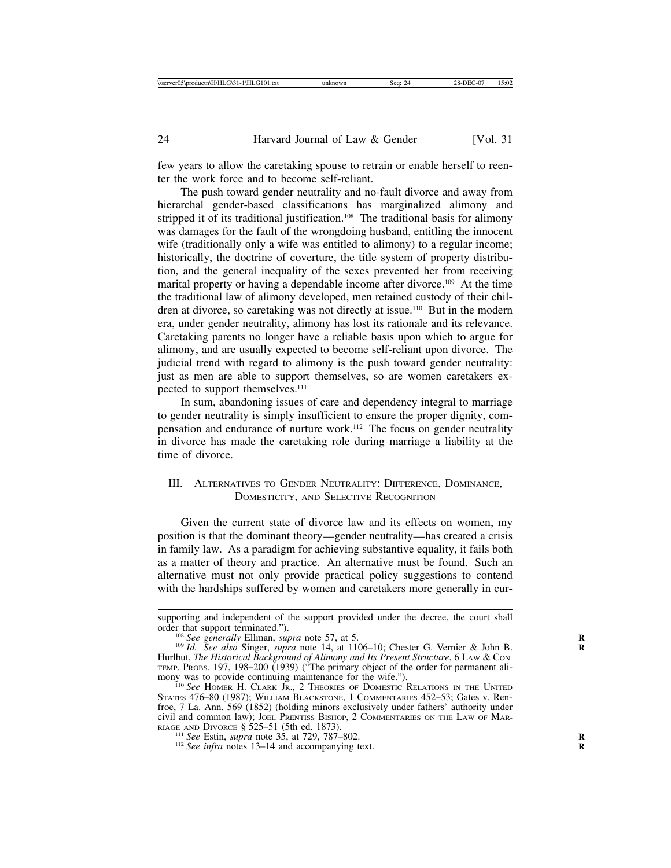few years to allow the caretaking spouse to retrain or enable herself to reenter the work force and to become self-reliant.

The push toward gender neutrality and no-fault divorce and away from hierarchal gender-based classifications has marginalized alimony and stripped it of its traditional justification.108 The traditional basis for alimony was damages for the fault of the wrongdoing husband, entitling the innocent wife (traditionally only a wife was entitled to alimony) to a regular income; historically, the doctrine of coverture, the title system of property distribution, and the general inequality of the sexes prevented her from receiving marital property or having a dependable income after divorce.<sup>109</sup> At the time the traditional law of alimony developed, men retained custody of their children at divorce, so caretaking was not directly at issue.110 But in the modern era, under gender neutrality, alimony has lost its rationale and its relevance. Caretaking parents no longer have a reliable basis upon which to argue for alimony, and are usually expected to become self-reliant upon divorce. The judicial trend with regard to alimony is the push toward gender neutrality: just as men are able to support themselves, so are women caretakers expected to support themselves.<sup>111</sup>

In sum, abandoning issues of care and dependency integral to marriage to gender neutrality is simply insufficient to ensure the proper dignity, compensation and endurance of nurture work.112 The focus on gender neutrality in divorce has made the caretaking role during marriage a liability at the time of divorce.

# III. ALTERNATIVES TO GENDER NEUTRALITY: DIFFERENCE, DOMINANCE, DOMESTICITY, AND SELECTIVE RECOGNITION

Given the current state of divorce law and its effects on women, my position is that the dominant theory—gender neutrality—has created a crisis in family law. As a paradigm for achieving substantive equality, it fails both as a matter of theory and practice. An alternative must be found. Such an alternative must not only provide practical policy suggestions to contend with the hardships suffered by women and caretakers more generally in cur-

supporting and independent of the support provided under the decree, the court shall order that support terminated.").

<sup>&</sup>lt;sup>108</sup> See generally Ellman, *supra* note 57, at 5.<br><sup>109</sup> *Id. See also* Singer, *supra* note 14, at 1106–10; Chester G. Vernier & John B. Hurlbut, *The Historical Background of Alimony and Its Present Structure*, 6 LAW & CON-TEMP. PROBS. 197, 198–200 (1939) ("The primary object of the order for permanent ali-<br>mony was to provide continuing maintenance for the wife.").

<sup>&</sup>lt;sup>110</sup> See HOMER H. CLARK JR., 2 THEORIES OF DOMESTIC RELATIONS IN THE UNITED STATES 476-80 (1987); WILLIAM BLACKSTONE, 1 COMMENTARIES 452-53; Gates v. Renfroe, 7 La. Ann. 569 (1852) (holding minors exclusively under fathers' authority under civil and common law); JOEL PRENTISS BISHOP, 2 COMMENTARIES ON THE LAW OF MAR-RIAGE AND DIVORCE § 525-51 (5th ed. 1873).

<sup>&</sup>lt;sup>111</sup> *See* Estin, *supra* note 35, at 729, 787–802. <sup>112</sup> *See infra* notes 13–14 and accompanying text.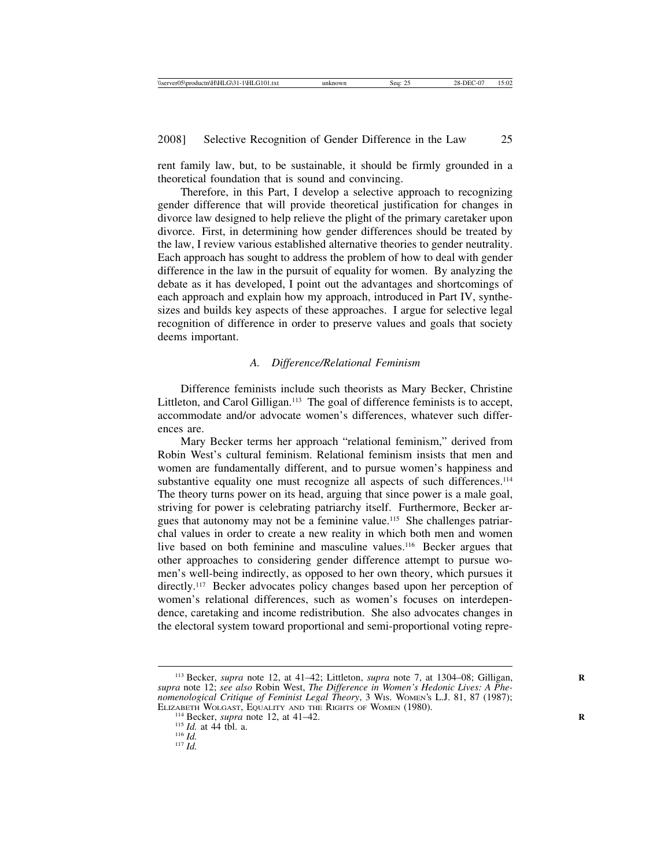rent family law, but, to be sustainable, it should be firmly grounded in a theoretical foundation that is sound and convincing.

Therefore, in this Part, I develop a selective approach to recognizing gender difference that will provide theoretical justification for changes in divorce law designed to help relieve the plight of the primary caretaker upon divorce. First, in determining how gender differences should be treated by the law, I review various established alternative theories to gender neutrality. Each approach has sought to address the problem of how to deal with gender difference in the law in the pursuit of equality for women. By analyzing the debate as it has developed, I point out the advantages and shortcomings of each approach and explain how my approach, introduced in Part IV, synthesizes and builds key aspects of these approaches. I argue for selective legal recognition of difference in order to preserve values and goals that society deems important.

# *A. Difference/Relational Feminism*

Difference feminists include such theorists as Mary Becker, Christine Littleton, and Carol Gilligan.<sup>113</sup> The goal of difference feminists is to accept, accommodate and/or advocate women's differences, whatever such differences are.

Mary Becker terms her approach "relational feminism," derived from Robin West's cultural feminism. Relational feminism insists that men and women are fundamentally different, and to pursue women's happiness and substantive equality one must recognize all aspects of such differences.<sup>114</sup> The theory turns power on its head, arguing that since power is a male goal, striving for power is celebrating patriarchy itself. Furthermore, Becker argues that autonomy may not be a feminine value.115 She challenges patriarchal values in order to create a new reality in which both men and women live based on both feminine and masculine values.116 Becker argues that other approaches to considering gender difference attempt to pursue women's well-being indirectly, as opposed to her own theory, which pursues it directly.<sup>117</sup> Becker advocates policy changes based upon her perception of women's relational differences, such as women's focuses on interdependence, caretaking and income redistribution. She also advocates changes in the electoral system toward proportional and semi-proportional voting repre-

<sup>&</sup>lt;sup>113</sup> Becker, *supra* note 12, at 41–42; Littleton, *supra* note 7, at 1304–08; Gilligan, *supra* note 12; *see also* Robin West, *The Difference in Women's Hedonic Lives: A Phenomenological Critique of Feminist Legal Theory*, 3 WIS. WOMEN'S L.J. 81, 87 (1987); ELIZABETH WOLGAST, EQUALITY AND THE RIGHTS OF WOMEN (1980).<br><sup>114</sup> Becker, *supra* note 12, at 41–42.<br><sup>115</sup> *Id.* at 44 tbl. a. <sup>116</sup> *Id.* <sup>117</sup> *Id.*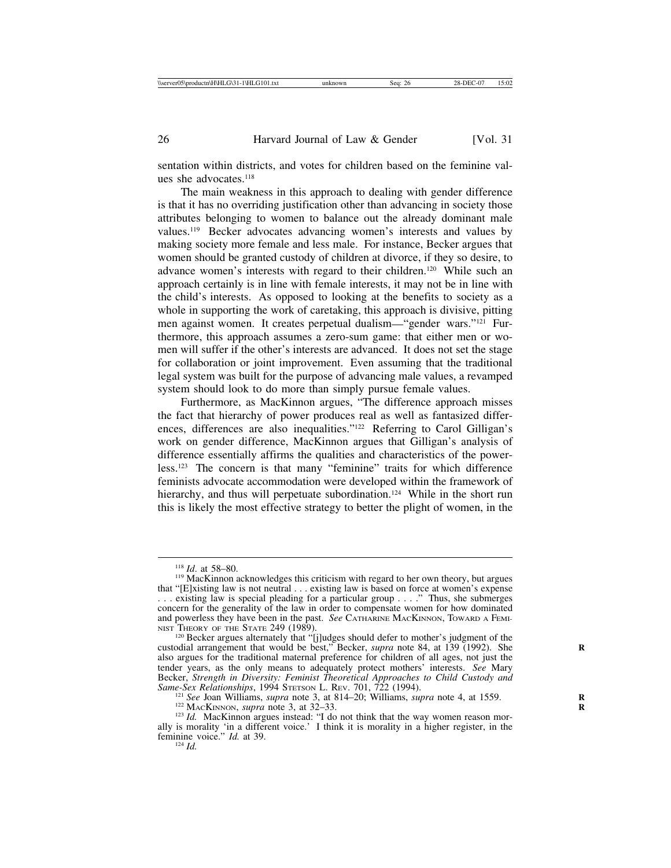sentation within districts, and votes for children based on the feminine values she advocates.<sup>118</sup>

The main weakness in this approach to dealing with gender difference is that it has no overriding justification other than advancing in society those attributes belonging to women to balance out the already dominant male values.119 Becker advocates advancing women's interests and values by making society more female and less male. For instance, Becker argues that women should be granted custody of children at divorce, if they so desire, to advance women's interests with regard to their children.120 While such an approach certainly is in line with female interests, it may not be in line with the child's interests. As opposed to looking at the benefits to society as a whole in supporting the work of caretaking, this approach is divisive, pitting men against women. It creates perpetual dualism—"gender wars."121 Furthermore, this approach assumes a zero-sum game: that either men or women will suffer if the other's interests are advanced. It does not set the stage for collaboration or joint improvement. Even assuming that the traditional legal system was built for the purpose of advancing male values, a revamped system should look to do more than simply pursue female values.

Furthermore, as MacKinnon argues, "The difference approach misses the fact that hierarchy of power produces real as well as fantasized differences, differences are also inequalities."122 Referring to Carol Gilligan's work on gender difference, MacKinnon argues that Gilligan's analysis of difference essentially affirms the qualities and characteristics of the powerless.123 The concern is that many "feminine" traits for which difference feminists advocate accommodation were developed within the framework of hierarchy, and thus will perpetuate subordination.<sup>124</sup> While in the short run this is likely the most effective strategy to better the plight of women, in the

<sup>&</sup>lt;sup>118</sup> *Id.* at 58–80.<br><sup>119</sup> MacKinnon acknowledges this criticism with regard to her own theory, but argues that "[E]xisting law is not neutral . . . existing law is based on force at women's expense . . . existing law is special pleading for a particular group . . . ." Thus, she submerges concern for the generality of the law in order to compensate women for how dominated and powerless they have been in the past. *See CATHARINE MACKINNON*, TOWARD A FEMI-NIST THEORY OF THE STATE 249 (1989). NIST THEORY OF THE STATE 249 (1989).<br><sup>120</sup> Becker argues alternately that "[j]udges should defer to mother's judgment of the

custodial arrangement that would be best," Becker, *supra* note 84, at 139 (1992). She also argues for the traditional maternal preference for children of all ages, not just the tender years, as the only means to adequately protect mothers' interests. *See* Mary Becker, *Strength in Diversity: Feminist Theoretical Approaches to Child Custody and*<br>Bame-Sex Relationships, 1994 STETSON L. REV. 701, 722 (1994).<br><sup>121</sup> See Joan Williams, *supra* note 3, at 814–20; Williams, *supra* note

Same-Sex Relationships, 1994 STETSON L. REV. 701, 722 (1994).<br><sup>121</sup> See Joan Williams, *supra* note 3, at 814–20; Williams, *supra* note 4, at 1559.<br><sup>122</sup> MACKINNON, *supra* note 3, at 32–33.<br><sup>123</sup> Id. MacKinnon argues in

ally is morality 'in a different voice.' I think it is morality in a higher register, in the feminine voice." *Id.* at 39.<br><sup>124</sup> *Id.*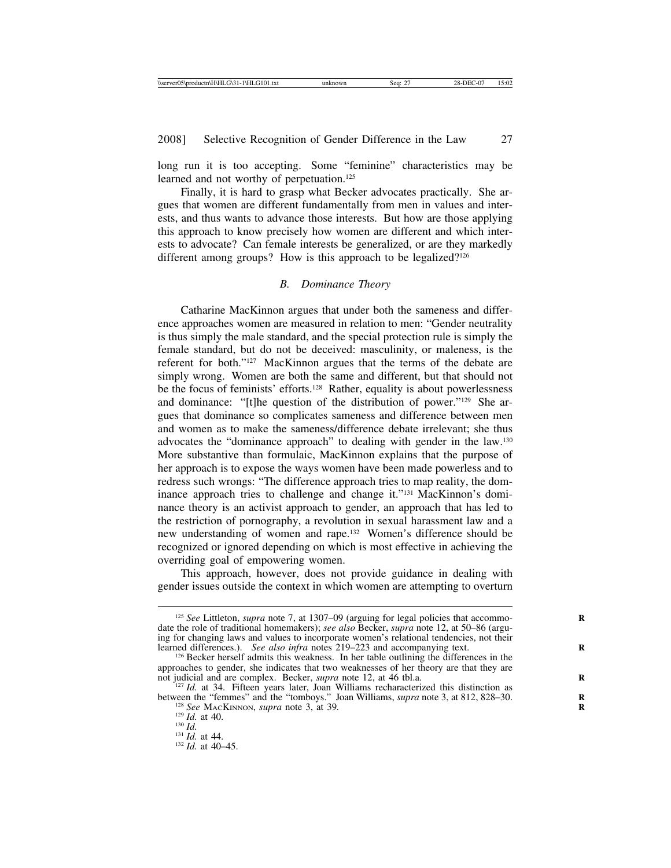long run it is too accepting. Some "feminine" characteristics may be learned and not worthy of perpetuation.<sup>125</sup>

Finally, it is hard to grasp what Becker advocates practically. She argues that women are different fundamentally from men in values and interests, and thus wants to advance those interests. But how are those applying this approach to know precisely how women are different and which interests to advocate? Can female interests be generalized, or are they markedly different among groups? How is this approach to be legalized?<sup>126</sup>

#### *B. Dominance Theory*

Catharine MacKinnon argues that under both the sameness and difference approaches women are measured in relation to men: "Gender neutrality is thus simply the male standard, and the special protection rule is simply the female standard, but do not be deceived: masculinity, or maleness, is the referent for both."127 MacKinnon argues that the terms of the debate are simply wrong. Women are both the same and different, but that should not be the focus of feminists' efforts.<sup>128</sup> Rather, equality is about powerlessness and dominance: "[t]he question of the distribution of power."129 She argues that dominance so complicates sameness and difference between men and women as to make the sameness/difference debate irrelevant; she thus advocates the "dominance approach" to dealing with gender in the law.130 More substantive than formulaic, MacKinnon explains that the purpose of her approach is to expose the ways women have been made powerless and to redress such wrongs: "The difference approach tries to map reality, the dominance approach tries to challenge and change it."131 MacKinnon's dominance theory is an activist approach to gender, an approach that has led to the restriction of pornography, a revolution in sexual harassment law and a new understanding of women and rape.132 Women's difference should be recognized or ignored depending on which is most effective in achieving the overriding goal of empowering women.

This approach, however, does not provide guidance in dealing with gender issues outside the context in which women are attempting to overturn

<sup>&</sup>lt;sup>125</sup> *See* Littleton, *supra* note 7, at 1307–09 (arguing for legal policies that accommodate the role of traditional homemakers); *see also* Becker, *supra* note 12, at 50–86 (arguing for changing laws and values to incorporate women's relational tendencies, not their learned differences.). See also infra notes 219–223 and accompanying text.

<sup>&</sup>lt;sup>126</sup> Becker herself admits this weakness. In her table outlining the differences in the approaches to gender, she indicates that two weaknesses of her theory are that they are not judicial and are complex. Becker, *supra* note  $12$ , at  $46$  tbl.a. not judicial and are complex. Becker, *supra* note 12, at 46 tbl.a. <sup>127</sup> *Id.* at 34. Fifteen years later, Joan Williams recharacterized this distinction as

between the "femmes" and the "tomboys." Joan Williams, *supra* note 3, at 812, 828–30.<br><sup>128</sup> *See* MACKINNON, *supra* note 3, at 39.<br><sup>129</sup> *Id.* at 40.<br><sup>130</sup> *Id.* at 44.<br><sup>131</sup> *Id.* at 44.<br><sup>132</sup> *Id.* at 40–45.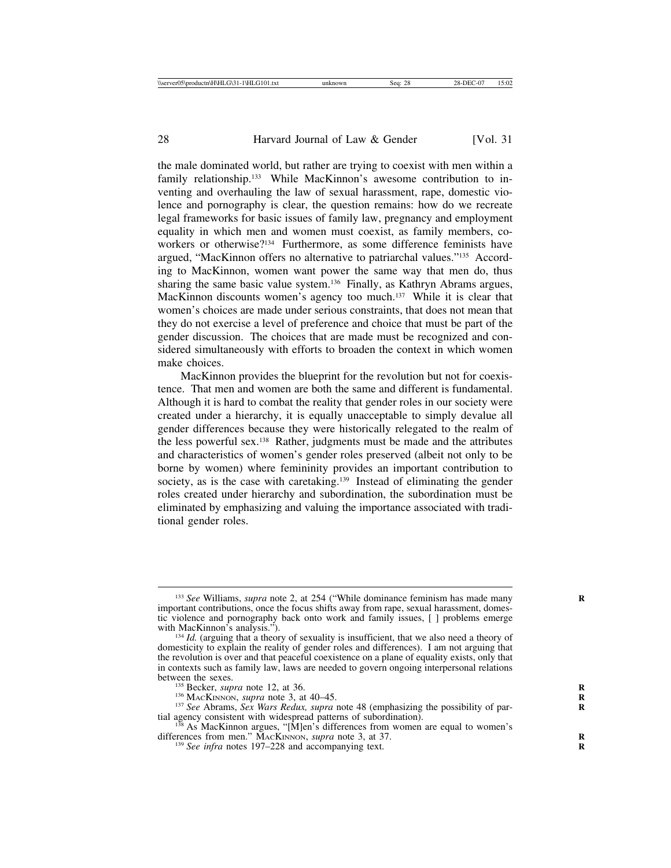the male dominated world, but rather are trying to coexist with men within a family relationship.<sup>133</sup> While MacKinnon's awesome contribution to inventing and overhauling the law of sexual harassment, rape, domestic violence and pornography is clear, the question remains: how do we recreate legal frameworks for basic issues of family law, pregnancy and employment equality in which men and women must coexist, as family members, coworkers or otherwise?134 Furthermore, as some difference feminists have argued, "MacKinnon offers no alternative to patriarchal values."135 According to MacKinnon, women want power the same way that men do, thus sharing the same basic value system.<sup>136</sup> Finally, as Kathryn Abrams argues, MacKinnon discounts women's agency too much.<sup>137</sup> While it is clear that women's choices are made under serious constraints, that does not mean that they do not exercise a level of preference and choice that must be part of the gender discussion. The choices that are made must be recognized and considered simultaneously with efforts to broaden the context in which women make choices.

MacKinnon provides the blueprint for the revolution but not for coexistence. That men and women are both the same and different is fundamental. Although it is hard to combat the reality that gender roles in our society were created under a hierarchy, it is equally unacceptable to simply devalue all gender differences because they were historically relegated to the realm of the less powerful sex.138 Rather, judgments must be made and the attributes and characteristics of women's gender roles preserved (albeit not only to be borne by women) where femininity provides an important contribution to society, as is the case with caretaking.<sup>139</sup> Instead of eliminating the gender roles created under hierarchy and subordination, the subordination must be eliminated by emphasizing and valuing the importance associated with traditional gender roles.

<sup>&</sup>lt;sup>133</sup> See Williams, *supra* note 2, at 254 ("While dominance feminism has made many important contributions, once the focus shifts away from rape, sexual harassment, domestic violence and pornography back onto work and family issues, [ ] problems emerge

with MacKinnon's analysis.").<br><sup>134</sup> *Id.* (arguing that a theory of sexuality is insufficient, that we also need a theory of domesticity to explain the reality of gender roles and differences). I am not arguing that the revolution is over and that peaceful coexistence on a plane of equality exists, only that in contexts such as family law, laws are needed to govern ongoing interpersonal relations

<sup>&</sup>lt;sup>135</sup> Becker, *supra* note 12, at 36.<br><sup>136</sup> MACKINNON, *supra* note 3, at 40–45.<br><sup>137</sup> See Abrams, Sex Wars Redux, *supra* note 48 (emphasizing the possibility of partial agency consistent with widespread patterns of subordination).<br><sup>138</sup> As MacKinnon argues, "[M]en's differences from women are equal to women's

differences from men." MACKINNON, *supra* note 3, at 37. <sup>139</sup> *See infra* notes 197–228 and accompanying text.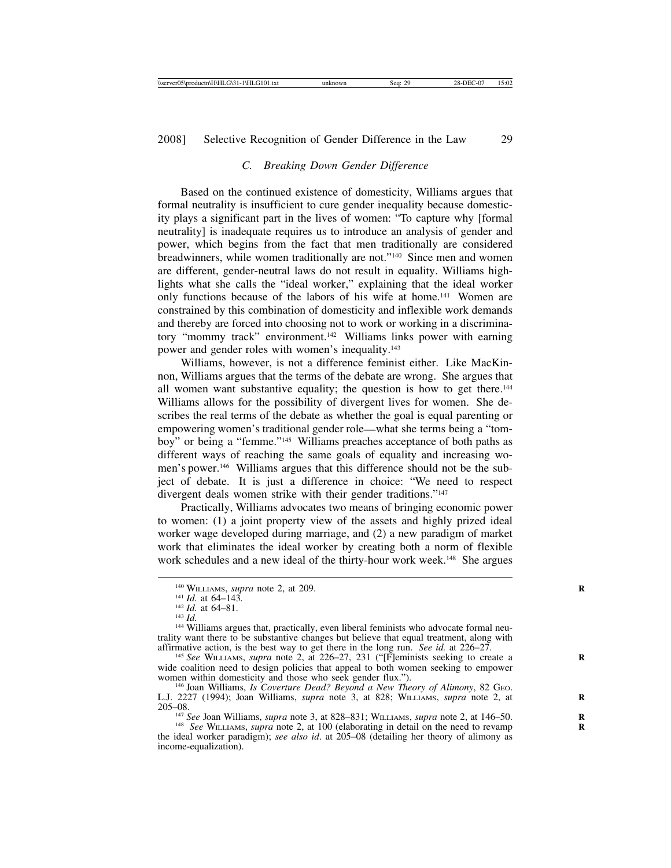# *C. Breaking Down Gender Difference*

Based on the continued existence of domesticity, Williams argues that formal neutrality is insufficient to cure gender inequality because domesticity plays a significant part in the lives of women: "To capture why [formal neutrality] is inadequate requires us to introduce an analysis of gender and power, which begins from the fact that men traditionally are considered breadwinners, while women traditionally are not."140 Since men and women are different, gender-neutral laws do not result in equality. Williams highlights what she calls the "ideal worker," explaining that the ideal worker only functions because of the labors of his wife at home.141 Women are constrained by this combination of domesticity and inflexible work demands and thereby are forced into choosing not to work or working in a discriminatory "mommy track" environment.142 Williams links power with earning power and gender roles with women's inequality.143

Williams, however, is not a difference feminist either. Like MacKinnon, Williams argues that the terms of the debate are wrong. She argues that all women want substantive equality; the question is how to get there.<sup>144</sup> Williams allows for the possibility of divergent lives for women. She describes the real terms of the debate as whether the goal is equal parenting or empowering women's traditional gender role—what she terms being a "tomboy" or being a "femme."145 Williams preaches acceptance of both paths as different ways of reaching the same goals of equality and increasing women's power.146 Williams argues that this difference should not be the subject of debate. It is just a difference in choice: "We need to respect divergent deals women strike with their gender traditions."<sup>147</sup>

Practically, Williams advocates two means of bringing economic power to women: (1) a joint property view of the assets and highly prized ideal worker wage developed during marriage, and (2) a new paradigm of market work that eliminates the ideal worker by creating both a norm of flexible work schedules and a new ideal of the thirty-hour work week.<sup>148</sup> She argues

<sup>148</sup> *See* WILLIAMS, *supra* note 2, at 100 (elaborating in detail on the need to revamp the ideal worker paradigm); *see also id*. at 205–08 (detailing her theory of alimony as income-equalization).

<sup>&</sup>lt;sup>140</sup> WILLIAMS, *supra* note 2, at 209.<br><sup>141</sup> *Id.* at 64–143.<br><sup>142</sup> *Id.* at 64–81.<br><sup>143</sup> *Id.* 144 Williams argues that, practically, even liberal feminists who advocate formal neu-<br><sup>144</sup> Williams argues that, practicall trality want there to be substantive changes but believe that equal treatment, along with affirmative action, is the best way to get there in the long run. See id. at  $226-27$ .

<sup>&</sup>lt;sup>145</sup> See WILLIAMS, *supra* note 2, at 226–27, 231 ("[F]eminists seeking to create a wide coalition need to design policies that appeal to both women seeking to empower women within domesticity and those who seek gender flux.").

<sup>&</sup>lt;sup>146</sup> Joan Williams, *Is Coverture Dead? Beyond a New Theory of Alimony*, 82 GEO. L.J. 2227 (1994); Joan Williams, *supra* note 3, at 828; WILLIAMS, *supra* note 2, at **R** 205–08.<br><sup>147</sup> See Joan Williams, *supra* note 3, at 828–831; WILLIAMS, *supra* note 2, at 146–50.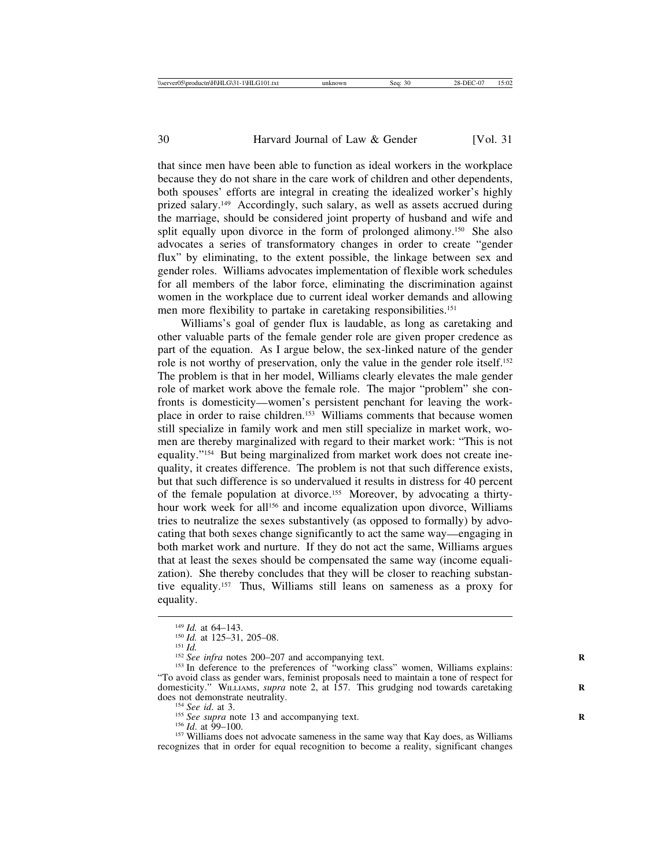that since men have been able to function as ideal workers in the workplace because they do not share in the care work of children and other dependents, both spouses' efforts are integral in creating the idealized worker's highly prized salary.149 Accordingly, such salary, as well as assets accrued during the marriage, should be considered joint property of husband and wife and split equally upon divorce in the form of prolonged alimony.<sup>150</sup> She also advocates a series of transformatory changes in order to create "gender flux" by eliminating, to the extent possible, the linkage between sex and gender roles. Williams advocates implementation of flexible work schedules for all members of the labor force, eliminating the discrimination against women in the workplace due to current ideal worker demands and allowing men more flexibility to partake in caretaking responsibilities.151

Williams's goal of gender flux is laudable, as long as caretaking and other valuable parts of the female gender role are given proper credence as part of the equation. As I argue below, the sex-linked nature of the gender role is not worthy of preservation, only the value in the gender role itself.152 The problem is that in her model, Williams clearly elevates the male gender role of market work above the female role. The major "problem" she confronts is domesticity—women's persistent penchant for leaving the workplace in order to raise children.153 Williams comments that because women still specialize in family work and men still specialize in market work, women are thereby marginalized with regard to their market work: "This is not equality."154 But being marginalized from market work does not create inequality, it creates difference. The problem is not that such difference exists, but that such difference is so undervalued it results in distress for 40 percent of the female population at divorce.<sup>155</sup> Moreover, by advocating a thirtyhour work week for all<sup>156</sup> and income equalization upon divorce, Williams tries to neutralize the sexes substantively (as opposed to formally) by advocating that both sexes change significantly to act the same way—engaging in both market work and nurture. If they do not act the same, Williams argues that at least the sexes should be compensated the same way (income equalization). She thereby concludes that they will be closer to reaching substantive equality.157 Thus, Williams still leans on sameness as a proxy for equality.

<sup>&</sup>lt;sup>149</sup> *Id.* at 64–143.<br><sup>150</sup> *Id.* at 125–31, 205–08.<br><sup>151</sup> *Id.* <sup>152</sup> *See infra* notes 200–207 and accompanying text.<br><sup>153</sup> In deference to the preferences of "working class" women, Williams explains: "To avoid class as gender wars, feminist proposals need to maintain a tone of respect for domesticity." WILLIAMS, *supra* note 2, at 157. This grudging nod towards caretaking does not demonstrate neutrality.

<sup>&</sup>lt;sup>154</sup> See id. at 3.<br><sup>155</sup> See supra note 13 and accompanying text.<br><sup>156</sup> Id. at 99–100.<br><sup>157</sup> Williams does not advocate sameness in the same way that Kay does, as Williams recognizes that in order for equal recognition to become a reality, significant changes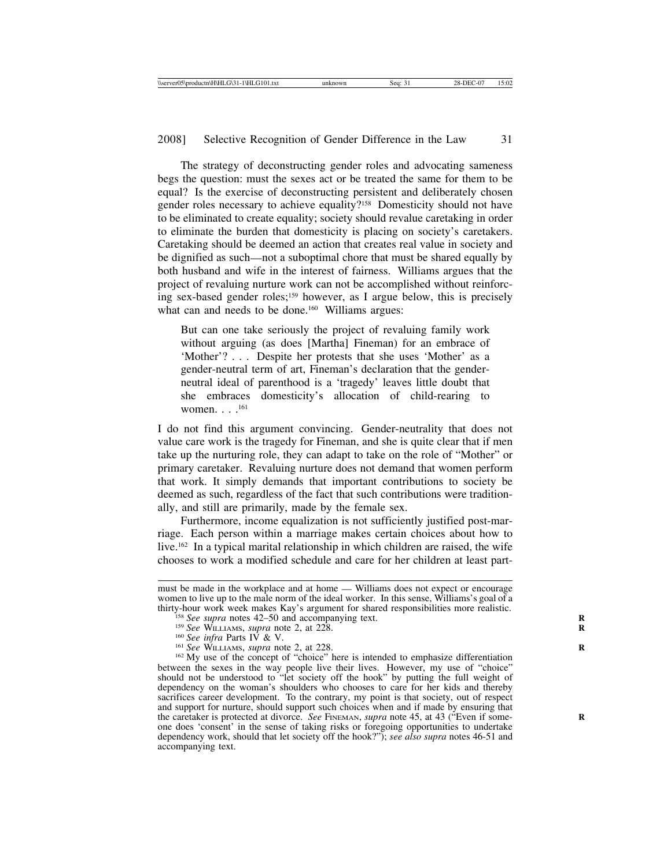The strategy of deconstructing gender roles and advocating sameness begs the question: must the sexes act or be treated the same for them to be equal? Is the exercise of deconstructing persistent and deliberately chosen gender roles necessary to achieve equality?158 Domesticity should not have to be eliminated to create equality; society should revalue caretaking in order to eliminate the burden that domesticity is placing on society's caretakers. Caretaking should be deemed an action that creates real value in society and be dignified as such—not a suboptimal chore that must be shared equally by both husband and wife in the interest of fairness. Williams argues that the project of revaluing nurture work can not be accomplished without reinforcing sex-based gender roles;159 however, as I argue below, this is precisely what can and needs to be done.<sup>160</sup> Williams argues:

But can one take seriously the project of revaluing family work without arguing (as does [Martha] Fineman) for an embrace of 'Mother'? . . . Despite her protests that she uses 'Mother' as a gender-neutral term of art, Fineman's declaration that the genderneutral ideal of parenthood is a 'tragedy' leaves little doubt that she embraces domesticity's allocation of child-rearing to women. . . .161

I do not find this argument convincing. Gender-neutrality that does not value care work is the tragedy for Fineman, and she is quite clear that if men take up the nurturing role, they can adapt to take on the role of "Mother" or primary caretaker. Revaluing nurture does not demand that women perform that work. It simply demands that important contributions to society be deemed as such, regardless of the fact that such contributions were traditionally, and still are primarily, made by the female sex.

Furthermore, income equalization is not sufficiently justified post-marriage. Each person within a marriage makes certain choices about how to live.162 In a typical marital relationship in which children are raised, the wife chooses to work a modified schedule and care for her children at least part-

must be made in the workplace and at home — Williams does not expect or encourage women to live up to the male norm of the ideal worker. In this sense, Williams's goal of a thirty-hour work week makes Kay's argument for shared responsibilities more realistic.

<sup>&</sup>lt;sup>158</sup> See supra notes 42–50 and accompanying text.<br><sup>159</sup> See WILLIAMS, *supra* note 2, at 228.<br><sup>160</sup> See infra Parts IV & V.<br><sup>161</sup> See WILLIAMS, *supra* note 2, at 228.<br><sup>162</sup> My use of the concept of "choice" here is inte between the sexes in the way people live their lives. However, my use of "choice" should not be understood to "let society off the hook" by putting the full weight of dependency on the woman's shoulders who chooses to care for her kids and thereby sacrifices career development. To the contrary, my point is that society, out of respect and support for nurture, should support such choices when and if made by ensuring that the caretaker is protected at divorce. *See* FINEMAN, *supra* note 45, at 43 ("Even if someone does 'consent' in the sense of taking risks or foregoing opportunities to undertake dependency work, should that let society off the hook?"); *see also supra* notes 46-51 and accompanying text.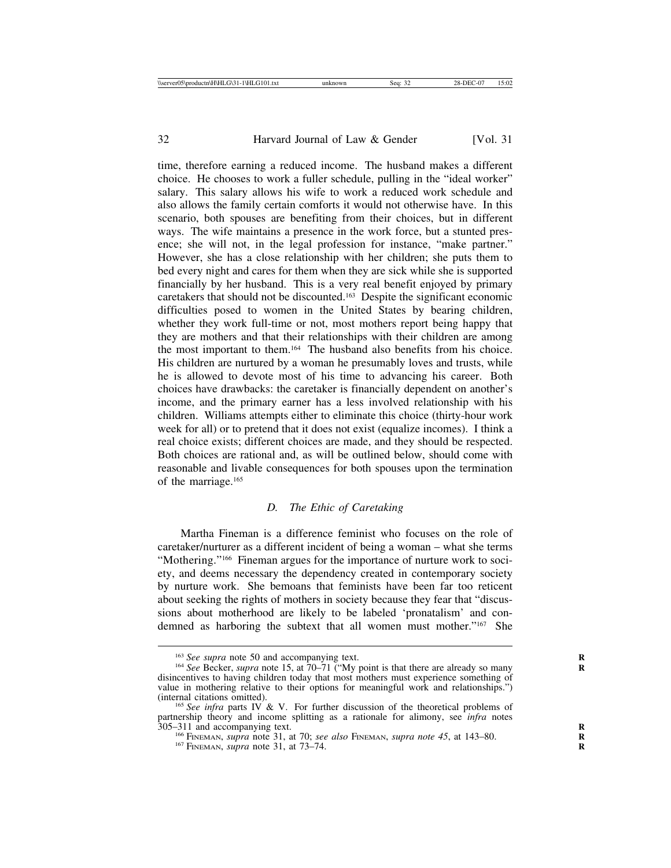time, therefore earning a reduced income. The husband makes a different choice. He chooses to work a fuller schedule, pulling in the "ideal worker" salary. This salary allows his wife to work a reduced work schedule and also allows the family certain comforts it would not otherwise have. In this scenario, both spouses are benefiting from their choices, but in different ways. The wife maintains a presence in the work force, but a stunted presence; she will not, in the legal profession for instance, "make partner." However, she has a close relationship with her children; she puts them to bed every night and cares for them when they are sick while she is supported financially by her husband. This is a very real benefit enjoyed by primary caretakers that should not be discounted.163 Despite the significant economic difficulties posed to women in the United States by bearing children, whether they work full-time or not, most mothers report being happy that they are mothers and that their relationships with their children are among the most important to them.164 The husband also benefits from his choice. His children are nurtured by a woman he presumably loves and trusts, while he is allowed to devote most of his time to advancing his career. Both choices have drawbacks: the caretaker is financially dependent on another's income, and the primary earner has a less involved relationship with his children. Williams attempts either to eliminate this choice (thirty-hour work week for all) or to pretend that it does not exist (equalize incomes). I think a real choice exists; different choices are made, and they should be respected. Both choices are rational and, as will be outlined below, should come with reasonable and livable consequences for both spouses upon the termination of the marriage.165

#### *D. The Ethic of Caretaking*

Martha Fineman is a difference feminist who focuses on the role of caretaker/nurturer as a different incident of being a woman – what she terms "Mothering."166 Fineman argues for the importance of nurture work to society, and deems necessary the dependency created in contemporary society by nurture work. She bemoans that feminists have been far too reticent about seeking the rights of mothers in society because they fear that "discussions about motherhood are likely to be labeled 'pronatalism' and condemned as harboring the subtext that all women must mother."167 She

<sup>&</sup>lt;sup>163</sup> *See supra* note 50 and accompanying text.<br><sup>164</sup> *See* Becker, *supra* note 15, at 70–71 ("My point is that there are already so many disincentives to having children today that most mothers must experience something of value in mothering relative to their options for meaningful work and relationships.") (internal citations omitted).

<sup>&</sup>lt;sup>165</sup> See infra parts IV & V. For further discussion of the theoretical problems of partnership theory and income splitting as a rationale for alimony, see *infra* notes 305–311 and accompanying text.

<sup>&</sup>lt;sup>166</sup> FINEMAN, *supra* note 31, at 70; *see also* FINEMAN, *supra note 45*, at 143–80. <sup>167</sup> FINEMAN, *supra* note 31, at 73–74.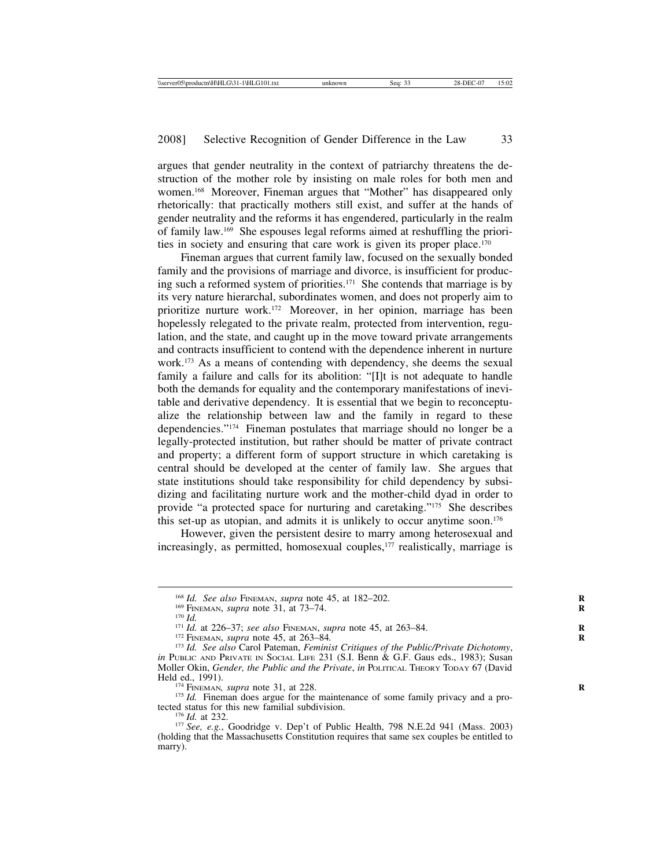argues that gender neutrality in the context of patriarchy threatens the destruction of the mother role by insisting on male roles for both men and women.168 Moreover, Fineman argues that "Mother" has disappeared only rhetorically: that practically mothers still exist, and suffer at the hands of gender neutrality and the reforms it has engendered, particularly in the realm of family law.169 She espouses legal reforms aimed at reshuffling the priorities in society and ensuring that care work is given its proper place.<sup>170</sup>

Fineman argues that current family law, focused on the sexually bonded family and the provisions of marriage and divorce, is insufficient for producing such a reformed system of priorities.171 She contends that marriage is by its very nature hierarchal, subordinates women, and does not properly aim to prioritize nurture work.172 Moreover, in her opinion, marriage has been hopelessly relegated to the private realm, protected from intervention, regulation, and the state, and caught up in the move toward private arrangements and contracts insufficient to contend with the dependence inherent in nurture work.173 As a means of contending with dependency, she deems the sexual family a failure and calls for its abolition: "[I]t is not adequate to handle both the demands for equality and the contemporary manifestations of inevitable and derivative dependency. It is essential that we begin to reconceptualize the relationship between law and the family in regard to these dependencies."174 Fineman postulates that marriage should no longer be a legally-protected institution, but rather should be matter of private contract and property; a different form of support structure in which caretaking is central should be developed at the center of family law. She argues that state institutions should take responsibility for child dependency by subsidizing and facilitating nurture work and the mother-child dyad in order to provide "a protected space for nurturing and caretaking."175 She describes this set-up as utopian, and admits it is unlikely to occur anytime soon.176

However, given the persistent desire to marry among heterosexual and increasingly, as permitted, homosexual couples,<sup>177</sup> realistically, marriage is

<sup>174</sup> FINEMAN*, supra* note 31, at 228. <sup>175</sup> *Id.* Fineman does argue for the maintenance of some family privacy and a pro-<br>tected status for this new familial subdivision.

<sup>&</sup>lt;sup>168</sup> *Id. See also* FINEMAN, *supra* note 45, at 182–202.<br><sup>169</sup> FINEMAN, *supra* note 31, at 73–74.<br><sup>170</sup> *Id.*<br><sup>171</sup> *Id.* at 226–37; *see also* FINEMAN, *supra* note 45, at 263–84.<br><sup>172</sup> FINEMAN, *supra* note 45, at *in PUBLIC AND PRIVATE IN SOCIAL LIFE 231 (S.I. Benn & G.F. Gaus eds., 1983); Susan* Moller Okin, *Gender, the Public and the Private, in* POLITICAL THEORY TODAY 67 (David Held ed., 1991).

<sup>&</sup>lt;sup>176</sup> *Id.* at 232.<br><sup>177</sup> *See, e.g.*, Goodridge v. Dep't of Public Health, 798 N.E.2d 941 (Mass. 2003) (holding that the Massachusetts Constitution requires that same sex couples be entitled to marry).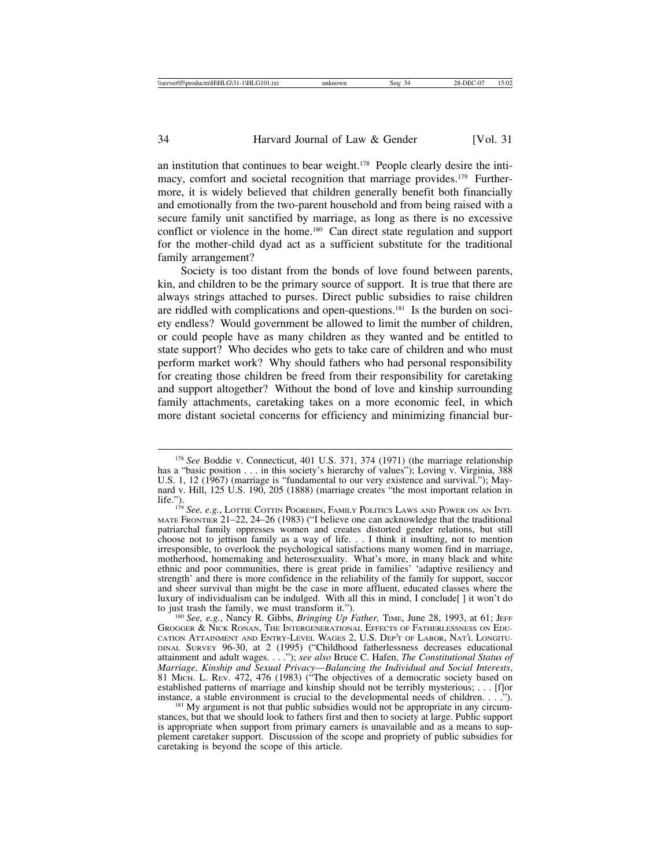an institution that continues to bear weight.178 People clearly desire the intimacy, comfort and societal recognition that marriage provides.<sup>179</sup> Furthermore, it is widely believed that children generally benefit both financially and emotionally from the two-parent household and from being raised with a secure family unit sanctified by marriage, as long as there is no excessive conflict or violence in the home.<sup>180</sup> Can direct state regulation and support for the mother-child dyad act as a sufficient substitute for the traditional family arrangement?

Society is too distant from the bonds of love found between parents, kin, and children to be the primary source of support. It is true that there are always strings attached to purses. Direct public subsidies to raise children are riddled with complications and open-questions.181 Is the burden on society endless? Would government be allowed to limit the number of children, or could people have as many children as they wanted and be entitled to state support? Who decides who gets to take care of children and who must perform market work? Why should fathers who had personal responsibility for creating those children be freed from their responsibility for caretaking and support altogether? Without the bond of love and kinship surrounding family attachments, caretaking takes on a more economic feel, in which more distant societal concerns for efficiency and minimizing financial bur-

<sup>178</sup> *See* Boddie v. Connecticut, 401 U.S. 371, 374 (1971) (the marriage relationship has a "basic position . . . in this society's hierarchy of values"); Loving v. Virginia, 388 U.S. 1, 12 (1967) (marriage is "fundamental to our very existence and survival."); Maynard v. Hill, 125 U.S. 190, 205 (1888) (marriage creates "the most important relation in

life."). <sup>179</sup> *See, e.g.*, LOTTIE COTTIN POGREBIN, FAMILY POLITICS LAWS AND POWER ON AN INTI-MATE FRONTIER 21–22, 24–26 (1983) ("I believe one can acknowledge that the traditional MATE FRONTIER 21-22, 24-26 (1983) ("I believe one can acknowledge that the traditional patriarchal family oppresses women and creates distorted gender relations, but still choose not to jettison family as a way of life. . . I think it insulting, not to mention irresponsible, to overlook the psychological satisfactions many women find in marriage, motherhood, homemaking and heterosexuality. What's more, in many black and white ethnic and poor communities, there is great pride in families' 'adaptive resiliency and strength' and there is more confidence in the reliability of the family for support, succor and sheer survival than might be the case in more affluent, educated classes where the luxury of individualism can be indulged. With all this in mind, I conclude[ ] it won't do

<sup>&</sup>lt;sup>180</sup> See, e.g., Nancy R. Gibbs, *Bringing Up Father*, TIME, June 28, 1993, at 61; JEFF GROGGER & NICK RONAN, THE INTERGENERATIONAL EFFECTS OF FATHERLESSNESS ON EDU-CATION ATTAINMENT AND ENTRY-LEVEL WAGES 2, U.S. DEP'T OF LABOR, NAT'L LONGITU-DINAL SURVEY 96-30, at 2 (1995) ("Childhood fatherlessness decreases educational attainment and adult wages. . . ."); *see also* Bruce C. Hafen, *The Constitutional Status of Marriage, Kinship and Sexual Privacy*—*Balancing the Individual and Social Interests*, 81 MICH. L. REV. 472, 476 (1983) ("The objectives of a democratic society based on established patterns of marriage and kinship should not be terribly mysterious; ... [f]or instance, a stable environment is crucial to the developmental needs of children. ...").

 $181$  My argument is not that public subsidies would not be appropriate in any circumstances, but that we should look to fathers first and then to society at large. Public support is appropriate when support from primary earners is unavailable and as a means to supplement caretaker support. Discussion of the scope and propriety of public subsidies for caretaking is beyond the scope of this article.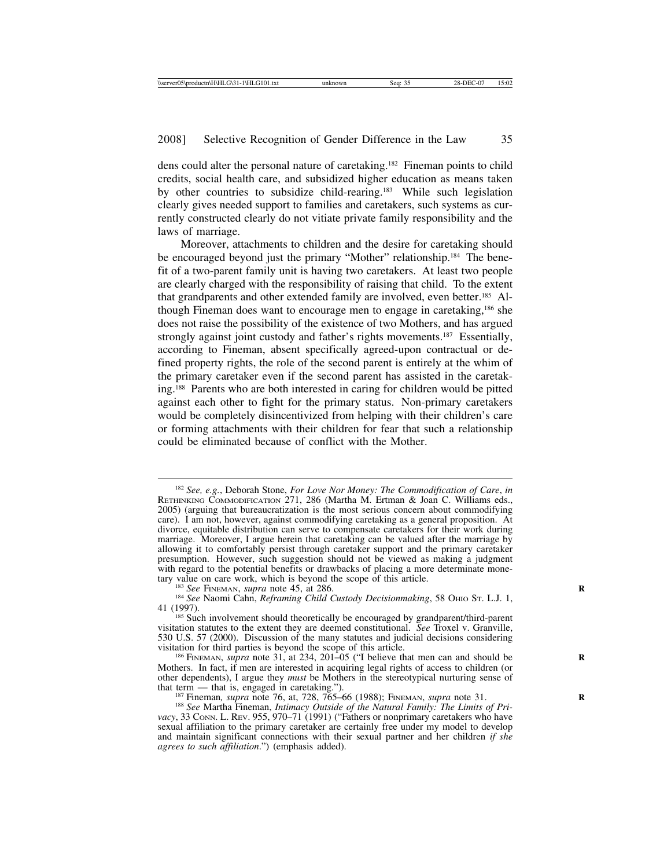dens could alter the personal nature of caretaking.182 Fineman points to child credits, social health care, and subsidized higher education as means taken by other countries to subsidize child-rearing.183 While such legislation clearly gives needed support to families and caretakers, such systems as currently constructed clearly do not vitiate private family responsibility and the laws of marriage.

Moreover, attachments to children and the desire for caretaking should be encouraged beyond just the primary "Mother" relationship.184 The benefit of a two-parent family unit is having two caretakers. At least two people are clearly charged with the responsibility of raising that child. To the extent that grandparents and other extended family are involved, even better.185 Although Fineman does want to encourage men to engage in caretaking,186 she does not raise the possibility of the existence of two Mothers, and has argued strongly against joint custody and father's rights movements.<sup>187</sup> Essentially, according to Fineman, absent specifically agreed-upon contractual or defined property rights, the role of the second parent is entirely at the whim of the primary caretaker even if the second parent has assisted in the caretaking.188 Parents who are both interested in caring for children would be pitted against each other to fight for the primary status. Non-primary caretakers would be completely disincentivized from helping with their children's care or forming attachments with their children for fear that such a relationship could be eliminated because of conflict with the Mother.

<sup>183</sup> *See* FINEMAN, *supra* note 45, at 286. <sup>184</sup> *See* Naomi Cahn, *Reframing Child Custody Decisionmaking*, 58 OHIO ST. L.J. 1, 41 (1997). 41 (1997).<br><sup>185</sup> Such involvement should theoretically be encouraged by grandparent/third-parent

<sup>188</sup> See Martha Fineman, *Intimacy Outside of the Natural Family: The Limits of Pri-*<br>*vacy*, 33 Conn. L. Rev. 955, 970–71 (1991) ("Fathers or nonprimary caretakers who have sexual affiliation to the primary caretaker are certainly free under my model to develop and maintain significant connections with their sexual partner and her children *if she agrees to such affiliation*.") (emphasis added).

<sup>182</sup> *See, e.g.*, Deborah Stone, *For Love Nor Money: The Commodification of Care*, *in* RETHINKING COMMODIFICATION 271, 286 (Martha M. Ertman & Joan C. Williams eds., 2005) (arguing that bureaucratization is the most serious concern about commodifying care). I am not, however, against commodifying caretaking as a general proposition. At divorce, equitable distribution can serve to compensate caretakers for their work during marriage. Moreover, I argue herein that caretaking can be valued after the marriage by allowing it to comfortably persist through caretaker support and the primary caretaker presumption. However, such suggestion should not be viewed as making a judgment with regard to the potential benefits or drawbacks of placing a more determinate mone-<br>tary value on care work, which is beyond the scope of this article.

visitation statutes to the extent they are deemed constitutional. *See* Troxel v. Granville, 530 U.S. 57 (2000). Discussion of the many statutes and judicial decisions considering

<sup>&</sup>lt;sup>186</sup> FINEMAN, *supra* note 31, at 234, 201–05 ("I believe that men can and should be Mothers. In fact, if men are interested in acquiring legal rights of access to children (or other dependents), I argue they *must* be Mothers in the stereotypical nurturing sense of that term — that is, engaged in caretaking.").<br><sup>187</sup> Fineman, *supra* note 76, at, 728, 765–66 (1988); FINEMAN, *supra* note 31.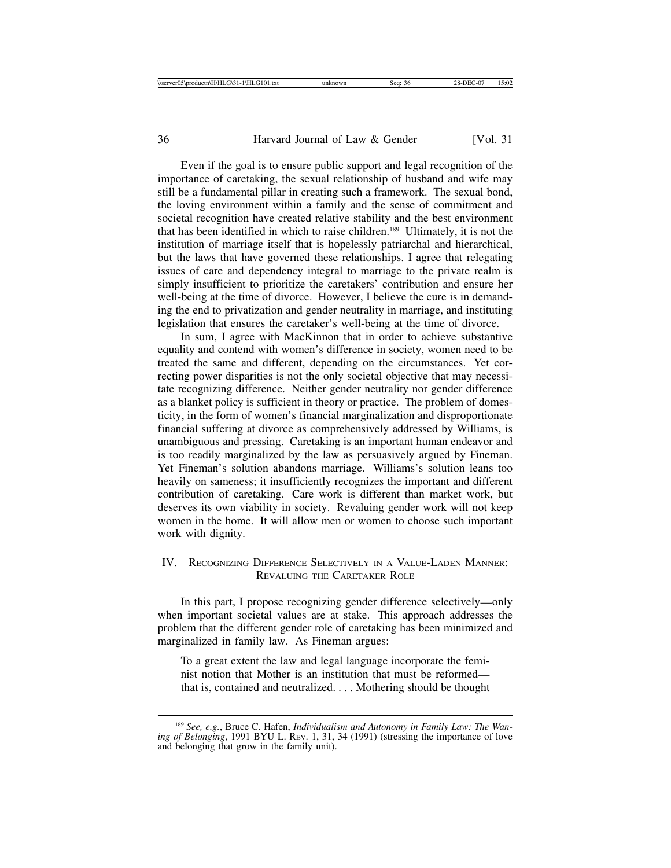Even if the goal is to ensure public support and legal recognition of the importance of caretaking, the sexual relationship of husband and wife may still be a fundamental pillar in creating such a framework. The sexual bond, the loving environment within a family and the sense of commitment and societal recognition have created relative stability and the best environment that has been identified in which to raise children.189 Ultimately, it is not the institution of marriage itself that is hopelessly patriarchal and hierarchical, but the laws that have governed these relationships. I agree that relegating issues of care and dependency integral to marriage to the private realm is simply insufficient to prioritize the caretakers' contribution and ensure her well-being at the time of divorce. However, I believe the cure is in demanding the end to privatization and gender neutrality in marriage, and instituting legislation that ensures the caretaker's well-being at the time of divorce.

In sum, I agree with MacKinnon that in order to achieve substantive equality and contend with women's difference in society, women need to be treated the same and different, depending on the circumstances. Yet correcting power disparities is not the only societal objective that may necessitate recognizing difference. Neither gender neutrality nor gender difference as a blanket policy is sufficient in theory or practice. The problem of domesticity, in the form of women's financial marginalization and disproportionate financial suffering at divorce as comprehensively addressed by Williams, is unambiguous and pressing. Caretaking is an important human endeavor and is too readily marginalized by the law as persuasively argued by Fineman. Yet Fineman's solution abandons marriage. Williams's solution leans too heavily on sameness; it insufficiently recognizes the important and different contribution of caretaking. Care work is different than market work, but deserves its own viability in society. Revaluing gender work will not keep women in the home. It will allow men or women to choose such important work with dignity.

### IV. RECOGNIZING DIFFERENCE SELECTIVELY IN A VALUE-LADEN MANNER: REVALUING THE CARETAKER ROLE

In this part, I propose recognizing gender difference selectively—only when important societal values are at stake. This approach addresses the problem that the different gender role of caretaking has been minimized and marginalized in family law. As Fineman argues:

To a great extent the law and legal language incorporate the feminist notion that Mother is an institution that must be reformed that is, contained and neutralized. . . . Mothering should be thought

<sup>189</sup> *See, e.g.*, Bruce C. Hafen, *Individualism and Autonomy in Family Law: The Waning of Belonging*, 1991 BYU L. REV. 1, 31, 34 (1991) (stressing the importance of love and belonging that grow in the family unit).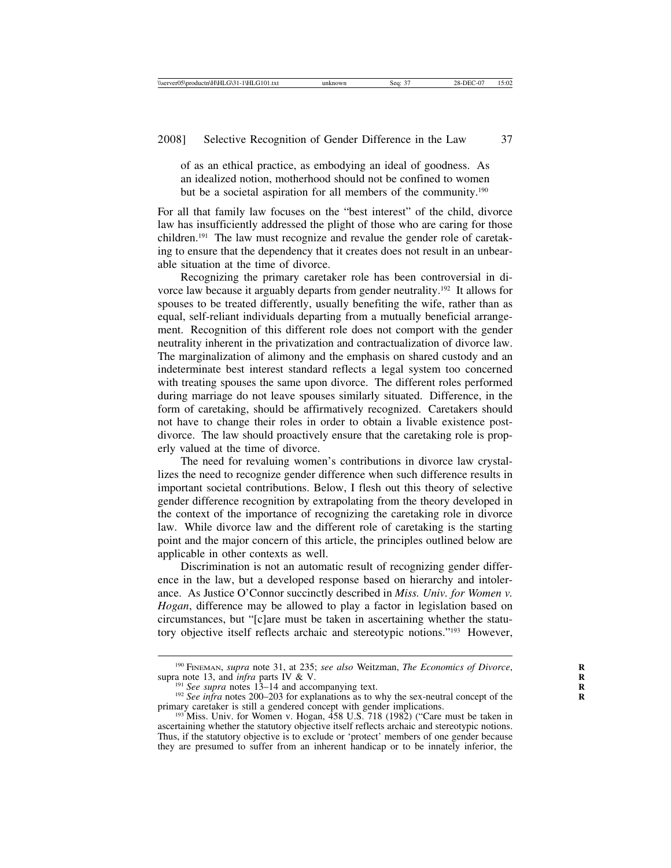of as an ethical practice, as embodying an ideal of goodness. As an idealized notion, motherhood should not be confined to women but be a societal aspiration for all members of the community.190

For all that family law focuses on the "best interest" of the child, divorce law has insufficiently addressed the plight of those who are caring for those children.191 The law must recognize and revalue the gender role of caretaking to ensure that the dependency that it creates does not result in an unbearable situation at the time of divorce.

Recognizing the primary caretaker role has been controversial in divorce law because it arguably departs from gender neutrality.192 It allows for spouses to be treated differently, usually benefiting the wife, rather than as equal, self-reliant individuals departing from a mutually beneficial arrangement. Recognition of this different role does not comport with the gender neutrality inherent in the privatization and contractualization of divorce law. The marginalization of alimony and the emphasis on shared custody and an indeterminate best interest standard reflects a legal system too concerned with treating spouses the same upon divorce. The different roles performed during marriage do not leave spouses similarly situated. Difference, in the form of caretaking, should be affirmatively recognized. Caretakers should not have to change their roles in order to obtain a livable existence postdivorce. The law should proactively ensure that the caretaking role is properly valued at the time of divorce.

The need for revaluing women's contributions in divorce law crystallizes the need to recognize gender difference when such difference results in important societal contributions. Below, I flesh out this theory of selective gender difference recognition by extrapolating from the theory developed in the context of the importance of recognizing the caretaking role in divorce law. While divorce law and the different role of caretaking is the starting point and the major concern of this article, the principles outlined below are applicable in other contexts as well.

Discrimination is not an automatic result of recognizing gender difference in the law, but a developed response based on hierarchy and intolerance. As Justice O'Connor succinctly described in *Miss. Univ. for Women v. Hogan*, difference may be allowed to play a factor in legislation based on circumstances, but "[c]are must be taken in ascertaining whether the statutory objective itself reflects archaic and stereotypic notions."193 However,

<sup>&</sup>lt;sup>190</sup> FINEMAN, *supra* note 31, at 235; *see also* Weitzman, *The Economics of Divorce*, supra note 13, and *infra* parts IV & V.

<sup>&</sup>lt;sup>191</sup> *See supra* notes 13–14 and accompanying text.<br><sup>192</sup> *See infra* notes 200–203 for explanations as to why the sex-neutral concept of the primary caretaker is still a gendered concept with gender implications.<br><sup>193</sup> Miss. Univ. for Women v. Hogan, 458 U.S. 718 (1982) ("Care must be taken in

ascertaining whether the statutory objective itself reflects archaic and stereotypic notions. Thus, if the statutory objective is to exclude or 'protect' members of one gender because they are presumed to suffer from an inherent handicap or to be innately inferior, the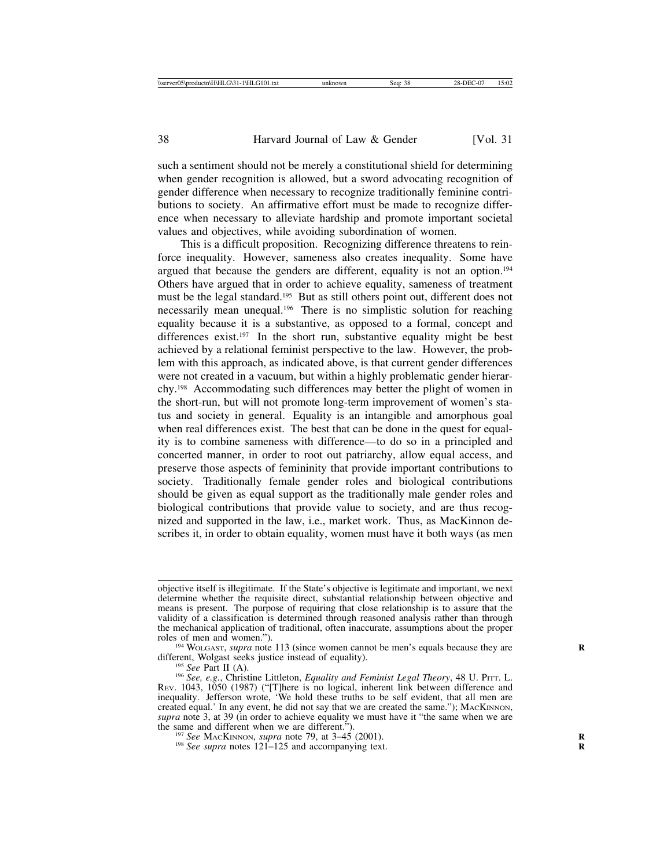such a sentiment should not be merely a constitutional shield for determining when gender recognition is allowed, but a sword advocating recognition of gender difference when necessary to recognize traditionally feminine contributions to society. An affirmative effort must be made to recognize difference when necessary to alleviate hardship and promote important societal values and objectives, while avoiding subordination of women.

This is a difficult proposition. Recognizing difference threatens to reinforce inequality. However, sameness also creates inequality. Some have argued that because the genders are different, equality is not an option.194 Others have argued that in order to achieve equality, sameness of treatment must be the legal standard.<sup>195</sup> But as still others point out, different does not necessarily mean unequal.196 There is no simplistic solution for reaching equality because it is a substantive, as opposed to a formal, concept and differences exist.<sup>197</sup> In the short run, substantive equality might be best achieved by a relational feminist perspective to the law. However, the problem with this approach, as indicated above, is that current gender differences were not created in a vacuum, but within a highly problematic gender hierarchy.198 Accommodating such differences may better the plight of women in the short-run, but will not promote long-term improvement of women's status and society in general. Equality is an intangible and amorphous goal when real differences exist. The best that can be done in the quest for equality is to combine sameness with difference—to do so in a principled and concerted manner, in order to root out patriarchy, allow equal access, and preserve those aspects of femininity that provide important contributions to society. Traditionally female gender roles and biological contributions should be given as equal support as the traditionally male gender roles and biological contributions that provide value to society, and are thus recognized and supported in the law, i.e., market work. Thus, as MacKinnon describes it, in order to obtain equality, women must have it both ways (as men

objective itself is illegitimate. If the State's objective is legitimate and important, we next determine whether the requisite direct, substantial relationship between objective and means is present. The purpose of requiring that close relationship is to assure that the validity of a classification is determined through reasoned analysis rather than through the mechanical application of traditional, often inaccurate, assumptions about the proper roles of men and women.").

<sup>&</sup>lt;sup>194</sup> WOLGAST, *supra* note 113 (since women cannot be men's equals because they are different, Wolgast seeks justice instead of equality).

<sup>&</sup>lt;sup>195</sup> *See Part II (A). (A).* 195 *See Part II (A).* 196 *See, e.g.*, Christine Littleton, *Equality and Feminist Legal Theory*, 48 U. PITT. L. REV. 1043, 1050 (1987) ("[T]here is no logical, inherent link between difference and inequality. Jefferson wrote, 'We hold these truths to be self evident, that all men are created equal.' In any event, he did not say that we are created the same."); MACKINNON, *supra* note 3, at 39 (in order to achieve equality we must have it "the same when we are the same and different when we are different.").

<sup>&</sup>lt;sup>197</sup> *See* MACKINNON, *supra* note 79, at 3–45 (2001). <sup>198</sup> *See supra* notes 121–125 and accompanying text.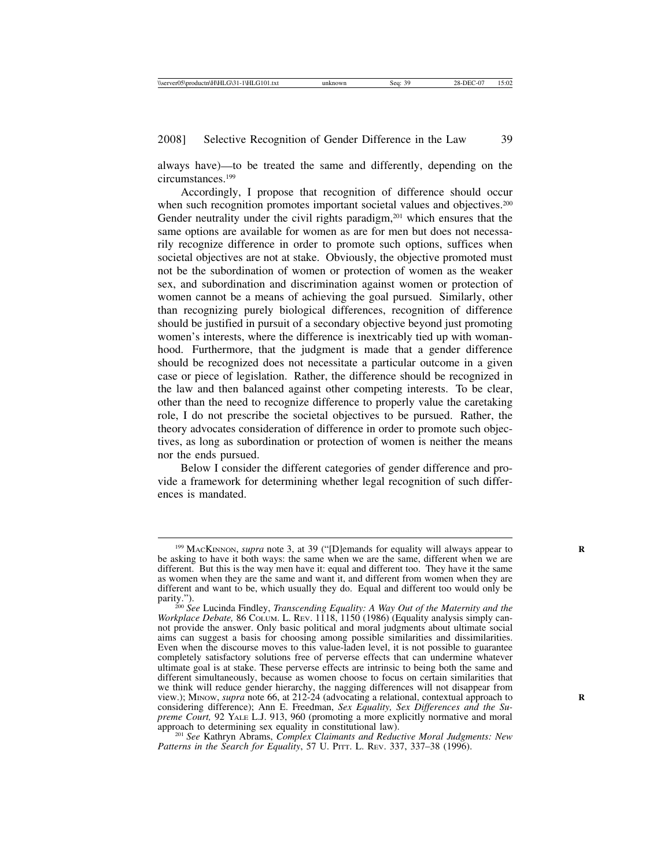always have)—to be treated the same and differently, depending on the circumstances.199

Accordingly, I propose that recognition of difference should occur when such recognition promotes important societal values and objectives.<sup>200</sup> Gender neutrality under the civil rights paradigm,<sup>201</sup> which ensures that the same options are available for women as are for men but does not necessarily recognize difference in order to promote such options, suffices when societal objectives are not at stake. Obviously, the objective promoted must not be the subordination of women or protection of women as the weaker sex, and subordination and discrimination against women or protection of women cannot be a means of achieving the goal pursued. Similarly, other than recognizing purely biological differences, recognition of difference should be justified in pursuit of a secondary objective beyond just promoting women's interests, where the difference is inextricably tied up with womanhood. Furthermore, that the judgment is made that a gender difference should be recognized does not necessitate a particular outcome in a given case or piece of legislation. Rather, the difference should be recognized in the law and then balanced against other competing interests. To be clear, other than the need to recognize difference to properly value the caretaking role, I do not prescribe the societal objectives to be pursued. Rather, the theory advocates consideration of difference in order to promote such objectives, as long as subordination or protection of women is neither the means nor the ends pursued.

Below I consider the different categories of gender difference and provide a framework for determining whether legal recognition of such differences is mandated.

*Patterns in the Search for Equality*, 57 U. PITT. L. REV. 337, 337–38 (1996).

<sup>&</sup>lt;sup>199</sup> MACKINNON, *supra* note 3, at 39 ("[D]emands for equality will always appear to be asking to have it both ways: the same when we are the same, different when we are different. But this is the way men have it: equal and different too. They have it the same as women when they are the same and want it, and different from women when they are different and want to be, which usually they do. Equal and different too would only be

parity.").<br><sup>200</sup> *See* Lucinda Findley, *Transcending Equality: A Way Out of the Maternity and the*<br><sup>1110</sup> <sup>1150</sup> <sup>(1086)</sup> (Fouality analysis simply can-*Workplace Debate,* 86 COLUM. L. REV. 1118, 1150 (1986) (Equality analysis simply cannot provide the answer. Only basic political and moral judgments about ultimate social aims can suggest a basis for choosing among possible similarities and dissimilarities. Even when the discourse moves to this value-laden level, it is not possible to guarantee completely satisfactory solutions free of perverse effects that can undermine whatever ultimate goal is at stake. These perverse effects are intrinsic to being both the same and different simultaneously, because as women choose to focus on certain similarities that we think will reduce gender hierarchy, the nagging differences will not disappear from view.); MINOW, *supra* note 66, at 212-24 (advocating a relational, contextual approach to considering difference); Ann E. Freedman, *Sex Equality, Sex Differences and the Supreme Court,* 92 YALE L.J. 913, 960 (promoting a more explicitly normative and moral approach to determining sex equality in constitutional law). <sup>201</sup> *See* Kathryn Abrams, *Complex Claimants and Reductive Moral Judgments: New*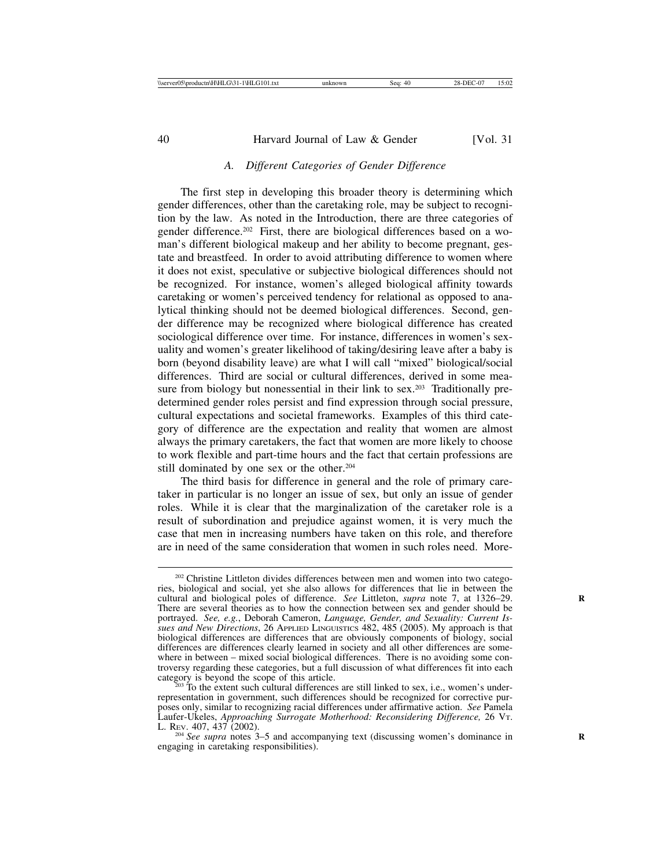# *A. Different Categories of Gender Difference*

The first step in developing this broader theory is determining which gender differences, other than the caretaking role, may be subject to recognition by the law. As noted in the Introduction, there are three categories of gender difference.<sup>202</sup> First, there are biological differences based on a woman's different biological makeup and her ability to become pregnant, gestate and breastfeed. In order to avoid attributing difference to women where it does not exist, speculative or subjective biological differences should not be recognized. For instance, women's alleged biological affinity towards caretaking or women's perceived tendency for relational as opposed to analytical thinking should not be deemed biological differences. Second, gender difference may be recognized where biological difference has created sociological difference over time. For instance, differences in women's sexuality and women's greater likelihood of taking/desiring leave after a baby is born (beyond disability leave) are what I will call "mixed" biological/social differences. Third are social or cultural differences, derived in some measure from biology but nonessential in their link to sex.<sup>203</sup> Traditionally predetermined gender roles persist and find expression through social pressure, cultural expectations and societal frameworks. Examples of this third category of difference are the expectation and reality that women are almost always the primary caretakers, the fact that women are more likely to choose to work flexible and part-time hours and the fact that certain professions are still dominated by one sex or the other.<sup>204</sup>

The third basis for difference in general and the role of primary caretaker in particular is no longer an issue of sex, but only an issue of gender roles. While it is clear that the marginalization of the caretaker role is a result of subordination and prejudice against women, it is very much the case that men in increasing numbers have taken on this role, and therefore are in need of the same consideration that women in such roles need. More-

<sup>&</sup>lt;sup>202</sup> Christine Littleton divides differences between men and women into two categories, biological and social, yet she also allows for differences that lie in between the cultural and biological poles of difference. *See Littleton, supra note 7, at 1326-29.* There are several theories as to how the connection between sex and gender should be portrayed. *See, e.g.*, Deborah Cameron, *Language, Gender, and Sexuality: Current Issues and New Directions*, 26 APPLIED LINGUISTICS 482, 485 (2005). My approach is that biological differences are differences that are obviously components of biology, social differences are differences clearly learned in society and all other differences are somewhere in between – mixed social biological differences. There is no avoiding some controversy regarding these categories, but a full discussion of what differences fit into each

 $\frac{1}{203}$  To the extent such cultural differences are still linked to sex, i.e., women's underrepresentation in government, such differences should be recognized for corrective purposes only, similar to recognizing racial differences under affirmative action. *See* Pamela Laufer-Ukeles, *Approaching Surrogate Motherhood: Reconsidering Difference,* 26 VT.

<sup>&</sup>lt;sup>204</sup> See supra notes 3–5 and accompanying text (discussing women's dominance in engaging in caretaking responsibilities).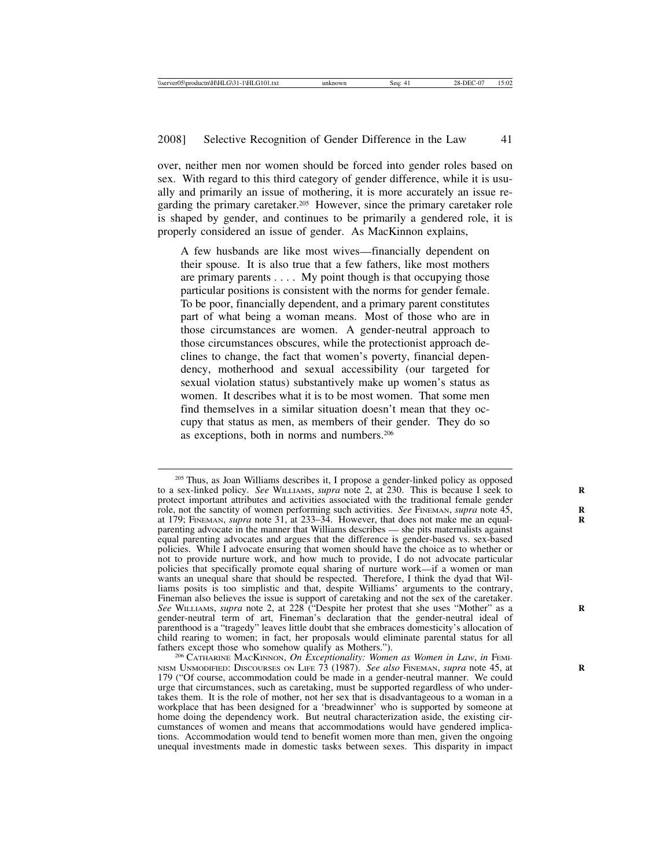over, neither men nor women should be forced into gender roles based on sex. With regard to this third category of gender difference, while it is usually and primarily an issue of mothering, it is more accurately an issue regarding the primary caretaker.<sup>205</sup> However, since the primary caretaker role is shaped by gender, and continues to be primarily a gendered role, it is properly considered an issue of gender. As MacKinnon explains,

A few husbands are like most wives—financially dependent on their spouse. It is also true that a few fathers, like most mothers are primary parents  $\dots$ . My point though is that occupying those particular positions is consistent with the norms for gender female. To be poor, financially dependent, and a primary parent constitutes part of what being a woman means. Most of those who are in those circumstances are women. A gender-neutral approach to those circumstances obscures, while the protectionist approach declines to change, the fact that women's poverty, financial dependency, motherhood and sexual accessibility (our targeted for sexual violation status) substantively make up women's status as women. It describes what it is to be most women. That some men find themselves in a similar situation doesn't mean that they occupy that status as men, as members of their gender. They do so as exceptions, both in norms and numbers.206

<sup>205</sup> Thus, as Joan Williams describes it, I propose a gender-linked policy as opposed to a sex-linked policy. *See* WILLIAMS, *supra* note 2, at 230. This is because I seek to protect important attributes and activities associated with the traditional female gender role, not the sanctity of women performing such activities. *See* FINEMAN, *supra* note 45, at 179; FINEMAN, *supra* note 31, at 233–34. However, that does not make me an equalparenting advocate in the manner that Williams describes — she pits maternalists against equal parenting advocates and argues that the difference is gender-based vs. sex-based policies. While I advocate ensuring that women should have the choice as to whether or not to provide nurture work, and how much to provide, I do not advocate particular policies that specifically promote equal sharing of nurture work—if a women or man wants an unequal share that should be respected. Therefore, I think the dyad that Williams posits is too simplistic and that, despite Williams' arguments to the contrary, Fineman also believes the issue is support of caretaking and not the sex of the caretaker. *See* WILLIAMS, *supra* note 2, at 228 ("Despite her protest that she uses "Mother" as a **R** gender-neutral term of art, Fineman's declaration that the gender-neutral ideal of parenthood is a "tragedy" leaves little doubt that she embraces domesticity's allocation of child rearing to women; in fact, her proposals would eliminate parental status for all fathers except those who somehow qualify as Mothers."). <sup>206</sup> CATHARINE MACKINNON, *On Exceptionality: Women as Women in Law*, *in* FEMI-

NISM UNMODIFIED: DISCOURSES ON LIFE 73 (1987). *See also* FINEMAN, *supra* note 45, at **R** 179 ("Of course, accommodation could be made in a gender-neutral manner. We could urge that circumstances, such as caretaking, must be supported regardless of who undertakes them. It is the role of mother, not her sex that is disadvantageous to a woman in a workplace that has been designed for a 'breadwinner' who is supported by someone at home doing the dependency work. But neutral characterization aside, the existing circumstances of women and means that accommodations would have gendered implications. Accommodation would tend to benefit women more than men, given the ongoing unequal investments made in domestic tasks between sexes. This disparity in impact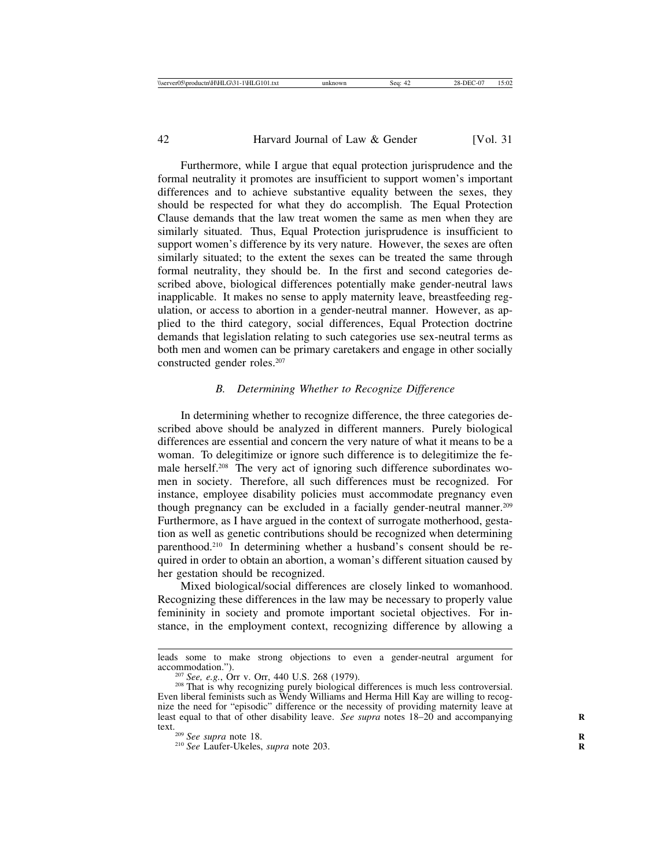Furthermore, while I argue that equal protection jurisprudence and the formal neutrality it promotes are insufficient to support women's important differences and to achieve substantive equality between the sexes, they should be respected for what they do accomplish. The Equal Protection Clause demands that the law treat women the same as men when they are similarly situated. Thus, Equal Protection jurisprudence is insufficient to support women's difference by its very nature. However, the sexes are often similarly situated; to the extent the sexes can be treated the same through formal neutrality, they should be. In the first and second categories described above, biological differences potentially make gender-neutral laws inapplicable. It makes no sense to apply maternity leave, breastfeeding regulation, or access to abortion in a gender-neutral manner. However, as applied to the third category, social differences, Equal Protection doctrine demands that legislation relating to such categories use sex-neutral terms as both men and women can be primary caretakers and engage in other socially constructed gender roles.207

#### *B. Determining Whether to Recognize Difference*

In determining whether to recognize difference, the three categories described above should be analyzed in different manners. Purely biological differences are essential and concern the very nature of what it means to be a woman. To delegitimize or ignore such difference is to delegitimize the female herself.208 The very act of ignoring such difference subordinates women in society. Therefore, all such differences must be recognized. For instance, employee disability policies must accommodate pregnancy even though pregnancy can be excluded in a facially gender-neutral manner.209 Furthermore, as I have argued in the context of surrogate motherhood, gestation as well as genetic contributions should be recognized when determining parenthood.<sup>210</sup> In determining whether a husband's consent should be required in order to obtain an abortion, a woman's different situation caused by her gestation should be recognized.

Mixed biological/social differences are closely linked to womanhood. Recognizing these differences in the law may be necessary to properly value femininity in society and promote important societal objectives. For instance, in the employment context, recognizing difference by allowing a

leads some to make strong objections to even a gender-neutral argument for accommodation.").<br><sup>207</sup> *See, e.g.*, Orr v. Orr, 440 U.S. 268 (1979).<br><sup>208</sup> That is why recognizing purely biological differences is much less controversial.

Even liberal feminists such as Wendy Williams and Herma Hill Kay are willing to recognize the need for "episodic" difference or the necessity of providing maternity leave at least equal to that of other disability leave. *See supra* notes 18–20 and accompanying text.<br><sup>209</sup> *See supra* note 18. *Range 203.* **R** 210 *See* Laufer-Ukeles, *supra* note 203.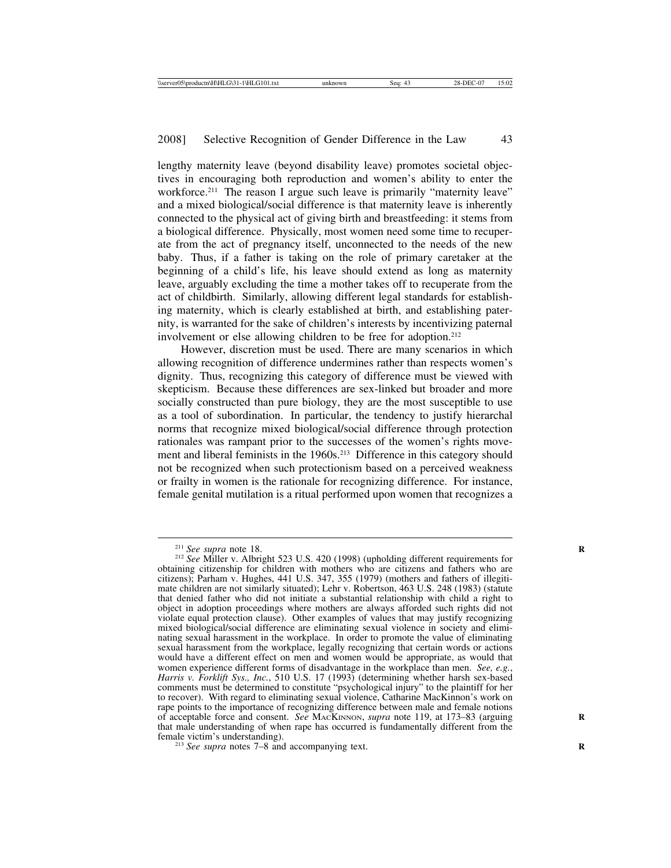lengthy maternity leave (beyond disability leave) promotes societal objectives in encouraging both reproduction and women's ability to enter the workforce.<sup>211</sup> The reason I argue such leave is primarily "maternity leave" and a mixed biological/social difference is that maternity leave is inherently connected to the physical act of giving birth and breastfeeding: it stems from a biological difference. Physically, most women need some time to recuperate from the act of pregnancy itself, unconnected to the needs of the new baby. Thus, if a father is taking on the role of primary caretaker at the beginning of a child's life, his leave should extend as long as maternity leave, arguably excluding the time a mother takes off to recuperate from the act of childbirth. Similarly, allowing different legal standards for establishing maternity, which is clearly established at birth, and establishing paternity, is warranted for the sake of children's interests by incentivizing paternal involvement or else allowing children to be free for adoption.212

However, discretion must be used. There are many scenarios in which allowing recognition of difference undermines rather than respects women's dignity. Thus, recognizing this category of difference must be viewed with skepticism. Because these differences are sex-linked but broader and more socially constructed than pure biology, they are the most susceptible to use as a tool of subordination. In particular, the tendency to justify hierarchal norms that recognize mixed biological/social difference through protection rationales was rampant prior to the successes of the women's rights movement and liberal feminists in the 1960s.<sup>213</sup> Difference in this category should not be recognized when such protectionism based on a perceived weakness or frailty in women is the rationale for recognizing difference. For instance, female genital mutilation is a ritual performed upon women that recognizes a

<sup>&</sup>lt;sup>211</sup> *See supra* note 18.<br><sup>212</sup> *See Miller v. Albright 523 U.S. 420 (1998) (upholding different requirements for* obtaining citizenship for children with mothers who are citizens and fathers who are citizens); Parham v. Hughes, 441 U.S. 347, 355 (1979) (mothers and fathers of illegitimate children are not similarly situated); Lehr v. Robertson, 463 U.S. 248 (1983) (statute that denied father who did not initiate a substantial relationship with child a right to object in adoption proceedings where mothers are always afforded such rights did not violate equal protection clause). Other examples of values that may justify recognizing mixed biological/social difference are eliminating sexual violence in society and eliminating sexual harassment in the workplace. In order to promote the value of eliminating sexual harassment from the workplace, legally recognizing that certain words or actions would have a different effect on men and women would be appropriate, as would that women experience different forms of disadvantage in the workplace than men. *See, e.g.*, *Harris v. Forklift Sys., Inc.*, 510 U.S. 17 (1993) (determining whether harsh sex-based comments must be determined to constitute "psychological injury" to the plaintiff for her to recover). With regard to eliminating sexual violence, Catharine MacKinnon's work on rape points to the importance of recognizing difference between male and female notions of acceptable force and consent. *See* MACKINNON, *supra* note 119, at 173–83 (arguing that male understanding of when rape has occurred is fundamentally different from the

 $f<sup>213</sup>$  *See supra* notes 7–8 and accompanying text.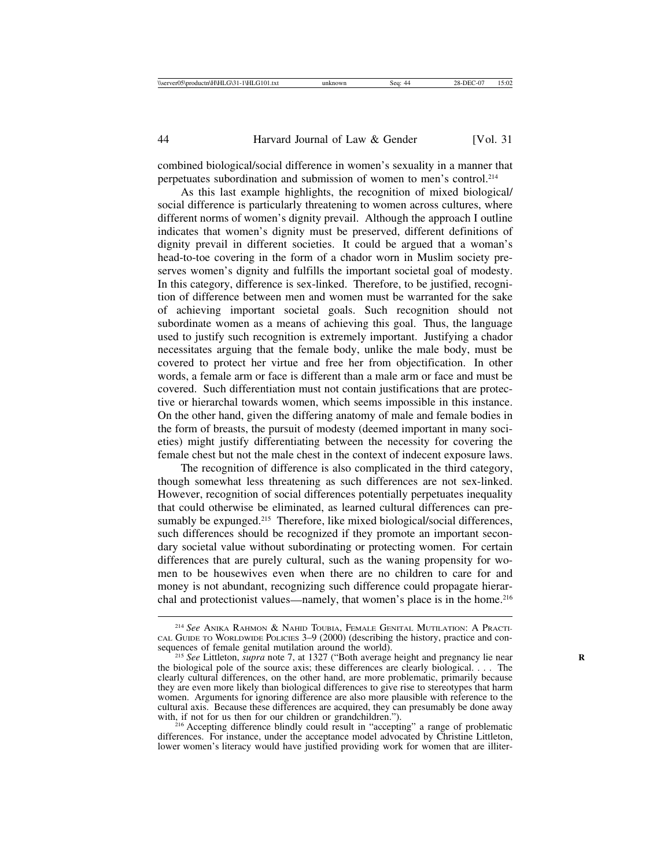combined biological/social difference in women's sexuality in a manner that perpetuates subordination and submission of women to men's control.214

As this last example highlights, the recognition of mixed biological/ social difference is particularly threatening to women across cultures, where different norms of women's dignity prevail. Although the approach I outline indicates that women's dignity must be preserved, different definitions of dignity prevail in different societies. It could be argued that a woman's head-to-toe covering in the form of a chador worn in Muslim society preserves women's dignity and fulfills the important societal goal of modesty. In this category, difference is sex-linked. Therefore, to be justified, recognition of difference between men and women must be warranted for the sake of achieving important societal goals. Such recognition should not subordinate women as a means of achieving this goal. Thus, the language used to justify such recognition is extremely important. Justifying a chador necessitates arguing that the female body, unlike the male body, must be covered to protect her virtue and free her from objectification. In other words, a female arm or face is different than a male arm or face and must be covered. Such differentiation must not contain justifications that are protective or hierarchal towards women, which seems impossible in this instance. On the other hand, given the differing anatomy of male and female bodies in the form of breasts, the pursuit of modesty (deemed important in many societies) might justify differentiating between the necessity for covering the female chest but not the male chest in the context of indecent exposure laws.

The recognition of difference is also complicated in the third category, though somewhat less threatening as such differences are not sex-linked. However, recognition of social differences potentially perpetuates inequality that could otherwise be eliminated, as learned cultural differences can presumably be expunged.<sup>215</sup> Therefore, like mixed biological/social differences, such differences should be recognized if they promote an important secondary societal value without subordinating or protecting women. For certain differences that are purely cultural, such as the waning propensity for women to be housewives even when there are no children to care for and money is not abundant, recognizing such difference could propagate hierarchal and protectionist values—namely, that women's place is in the home.<sup>216</sup>

differences. For instance, under the acceptance model advocated by Christine Littleton, lower women's literacy would have justified providing work for women that are illiter-

<sup>214</sup> *See* ANIKA RAHMON & NAHID TOUBIA, FEMALE GENITAL MUTILATION: A PRACTI-CAL GUIDE TO WORLDWIDE POLICIES 3–9 (2000) (describing the history, practice and con-

<sup>&</sup>lt;sup>215</sup> See Littleton, *supra* note 7, at 1327 ("Both average height and pregnancy lie near the biological pole of the source axis; these differences are clearly biological. . . . The clearly cultural differences, on the other hand, are more problematic, primarily because they are even more likely than biological differences to give rise to stereotypes that harm women. Arguments for ignoring difference are also more plausible with reference to the cultural axis. Because these differences are acquired, they can presumably be done away with, if not for us then for our children or grandchildren.").<br><sup>216</sup> Accepting difference blindly could result in "accepting" a range of problematic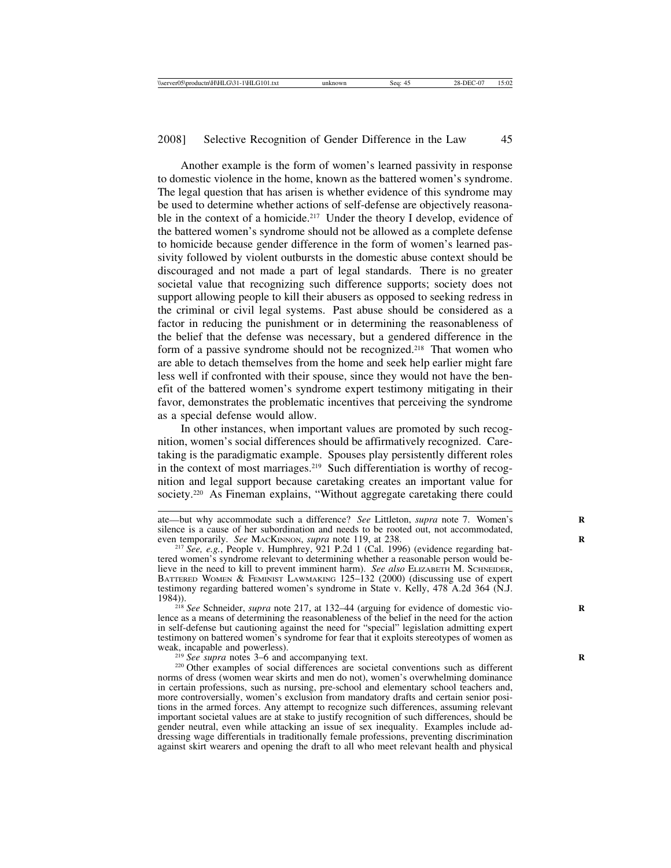Another example is the form of women's learned passivity in response to domestic violence in the home, known as the battered women's syndrome. The legal question that has arisen is whether evidence of this syndrome may be used to determine whether actions of self-defense are objectively reasonable in the context of a homicide.<sup>217</sup> Under the theory I develop, evidence of the battered women's syndrome should not be allowed as a complete defense to homicide because gender difference in the form of women's learned passivity followed by violent outbursts in the domestic abuse context should be discouraged and not made a part of legal standards. There is no greater societal value that recognizing such difference supports; society does not support allowing people to kill their abusers as opposed to seeking redress in the criminal or civil legal systems. Past abuse should be considered as a factor in reducing the punishment or in determining the reasonableness of the belief that the defense was necessary, but a gendered difference in the form of a passive syndrome should not be recognized.<sup>218</sup> That women who are able to detach themselves from the home and seek help earlier might fare less well if confronted with their spouse, since they would not have the benefit of the battered women's syndrome expert testimony mitigating in their favor, demonstrates the problematic incentives that perceiving the syndrome as a special defense would allow.

In other instances, when important values are promoted by such recognition, women's social differences should be affirmatively recognized. Caretaking is the paradigmatic example. Spouses play persistently different roles in the context of most marriages.<sup>219</sup> Such differentiation is worthy of recognition and legal support because caretaking creates an important value for society.<sup>220</sup> As Fineman explains, "Without aggregate caretaking there could

norms of dress (women wear skirts and men do not), women's overwhelming dominance in certain professions, such as nursing, pre-school and elementary school teachers and, more controversially, women's exclusion from mandatory drafts and certain senior positions in the armed forces. Any attempt to recognize such differences, assuming relevant important societal values are at stake to justify recognition of such differences, should be gender neutral, even while attacking an issue of sex inequality. Examples include addressing wage differentials in traditionally female professions, preventing discrimination against skirt wearers and opening the draft to all who meet relevant health and physical

ate—but why accommodate such a difference? See Littleton, *supra* note 7. Women's silence is a cause of her subordination and needs to be rooted out, not accommodated, even temporarily. See MACKINNON, supra note 119, at 238.

<sup>&</sup>lt;sup>217</sup> See, e.g., People v. Humphrey, 921 P.2d 1 (Cal. 1996) (evidence regarding battered women's syndrome relevant to determining whether a reasonable person would be-<br>lieve in the need to kill to prevent imminent harm). See also ELIZABETH M. SCHNEIDER, BATTERED WOMEN & FEMINIST LAWMAKING 125–132 (2000) (discussing use of expert testimony regarding battered women's syndrome in State v. Kelly, 478 A.2d 364 (N.J. 1984)).

<sup>&</sup>lt;sup>218</sup> See Schneider, *supra* note 217, at 132–44 (arguing for evidence of domestic violence as a means of determining the reasonableness of the belief in the need for the action in self-defense but cautioning against the need for "special" legislation admitting expert testimony on battered women's syndrome for fear that it exploits stereotypes of women as weak, incapable and powerless).<br><sup>219</sup> *See supra* notes 3–6 and accompanying text.<br><sup>220</sup> Other examples of social differences are societal conventions such as different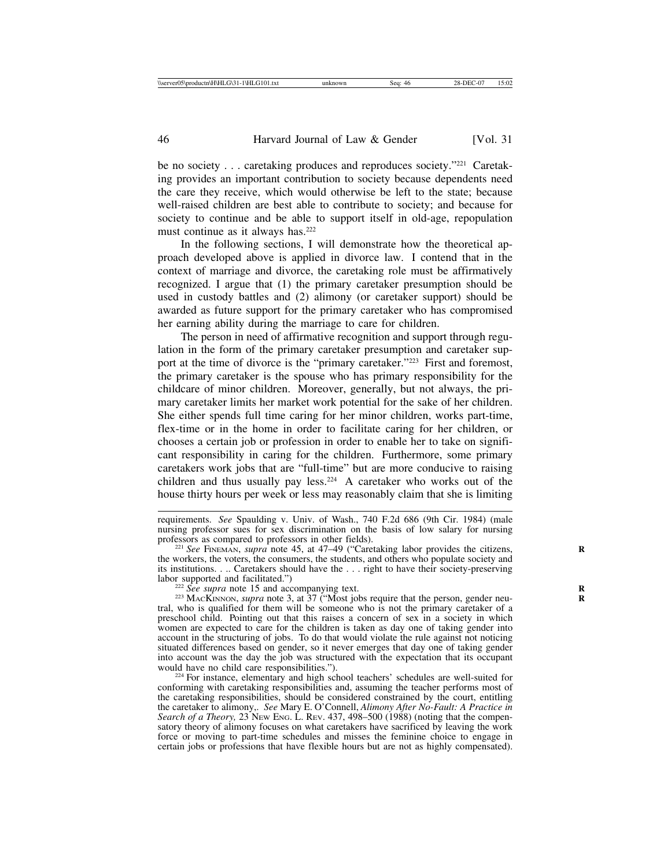be no society . . . caretaking produces and reproduces society."<sup>221</sup> Caretaking provides an important contribution to society because dependents need the care they receive, which would otherwise be left to the state; because well-raised children are best able to contribute to society; and because for society to continue and be able to support itself in old-age, repopulation must continue as it always has.<sup>222</sup>

In the following sections, I will demonstrate how the theoretical approach developed above is applied in divorce law. I contend that in the context of marriage and divorce, the caretaking role must be affirmatively recognized. I argue that (1) the primary caretaker presumption should be used in custody battles and (2) alimony (or caretaker support) should be awarded as future support for the primary caretaker who has compromised her earning ability during the marriage to care for children.

The person in need of affirmative recognition and support through regulation in the form of the primary caretaker presumption and caretaker support at the time of divorce is the "primary caretaker."223 First and foremost, the primary caretaker is the spouse who has primary responsibility for the childcare of minor children. Moreover, generally, but not always, the primary caretaker limits her market work potential for the sake of her children. She either spends full time caring for her minor children, works part-time, flex-time or in the home in order to facilitate caring for her children, or chooses a certain job or profession in order to enable her to take on significant responsibility in caring for the children. Furthermore, some primary caretakers work jobs that are "full-time" but are more conducive to raising children and thus usually pay less.<sup>224</sup> A caretaker who works out of the house thirty hours per week or less may reasonably claim that she is limiting

<sup>221</sup> See FINEMAN, *supra* note 45, at 47–49 ("Caretaking labor provides the citizens, the workers, the voters, the consumers, the students, and others who populate society and its institutions. . .. Caretakers should have the . . . right to have their society-preserving labor supported and facilitated.")

<sup>222</sup> See supra note 15 and accompanying text.<br><sup>223</sup> MACKINNON, *supra* note 3, at 37 ("Most jobs require that the person, gender neutral, who is qualified for them will be someone who is not the primary caretaker of a preschool child. Pointing out that this raises a concern of sex in a society in which women are expected to care for the children is taken as day one of taking gender into account in the structuring of jobs. To do that would violate the rule against not noticing situated differences based on gender, so it never emerges that day one of taking gender into account was the day the job was structured with the expectation that its occupant

<sup>224</sup> For instance, elementary and high school teachers' schedules are well-suited for conforming with caretaking responsibilities and, assuming the teacher performs most of the caretaking responsibilities, should be considered constrained by the court, entitling the caretaker to alimony,. *See* Mary E. O'Connell, *Alimony After No-Fault: A Practice in Search of a Theory,* 23 NEW ENG. L. REV. 437, 498–500 (1988) (noting that the compensatory theory of alimony focuses on what caretakers have sacrificed by leaving the work force or moving to part-time schedules and misses the feminine choice to engage in certain jobs or professions that have flexible hours but are not as highly compensated).

requirements. *See* Spaulding v. Univ. of Wash., 740 F.2d 686 (9th Cir. 1984) (male nursing professor sues for sex discrimination on the basis of low salary for nursing professors as compared to professors in other fields).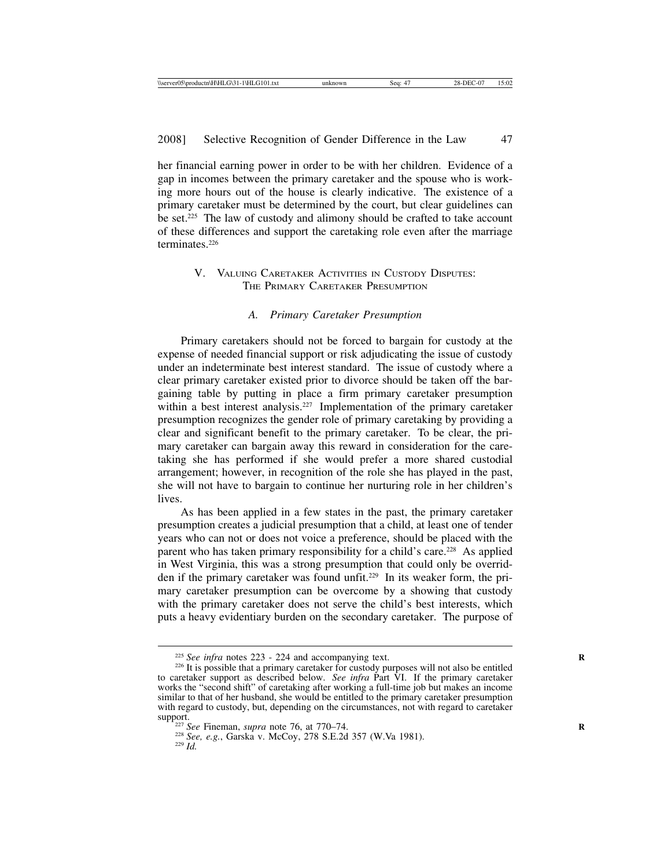her financial earning power in order to be with her children. Evidence of a gap in incomes between the primary caretaker and the spouse who is working more hours out of the house is clearly indicative. The existence of a primary caretaker must be determined by the court, but clear guidelines can be set.225 The law of custody and alimony should be crafted to take account of these differences and support the caretaking role even after the marriage terminates.226

# V. VALUING CARETAKER ACTIVITIES IN CUSTODY DISPUTES: THE PRIMARY CARETAKER PRESUMPTION

#### *A. Primary Caretaker Presumption*

Primary caretakers should not be forced to bargain for custody at the expense of needed financial support or risk adjudicating the issue of custody under an indeterminate best interest standard. The issue of custody where a clear primary caretaker existed prior to divorce should be taken off the bargaining table by putting in place a firm primary caretaker presumption within a best interest analysis.<sup>227</sup> Implementation of the primary caretaker presumption recognizes the gender role of primary caretaking by providing a clear and significant benefit to the primary caretaker. To be clear, the primary caretaker can bargain away this reward in consideration for the caretaking she has performed if she would prefer a more shared custodial arrangement; however, in recognition of the role she has played in the past, she will not have to bargain to continue her nurturing role in her children's lives.

As has been applied in a few states in the past, the primary caretaker presumption creates a judicial presumption that a child, at least one of tender years who can not or does not voice a preference, should be placed with the parent who has taken primary responsibility for a child's care.<sup>228</sup> As applied in West Virginia, this was a strong presumption that could only be overridden if the primary caretaker was found unfit.229 In its weaker form, the primary caretaker presumption can be overcome by a showing that custody with the primary caretaker does not serve the child's best interests, which puts a heavy evidentiary burden on the secondary caretaker. The purpose of

<sup>&</sup>lt;sup>225</sup> *See infra* notes 223 - 224 and accompanying text.<br><sup>226</sup> It is possible that a primary caretaker for custody purposes will not also be entitled to caretaker support as described below. *See infra* Part VI. If the primary caretaker works the "second shift" of caretaking after working a full-time job but makes an income similar to that of her husband, she would be entitled to the primary caretaker presumption with regard to custody, but, depending on the circumstances, not with regard to caretaker

<sup>&</sup>lt;sup>227</sup> *See* Fineman, *supra* note 76, at 770–74.<br><sup>228</sup> *See, e.g.*, Garska v. McCoy, 278 S.E.2d 357 (W.Va 1981). <sup>229</sup> *Id.*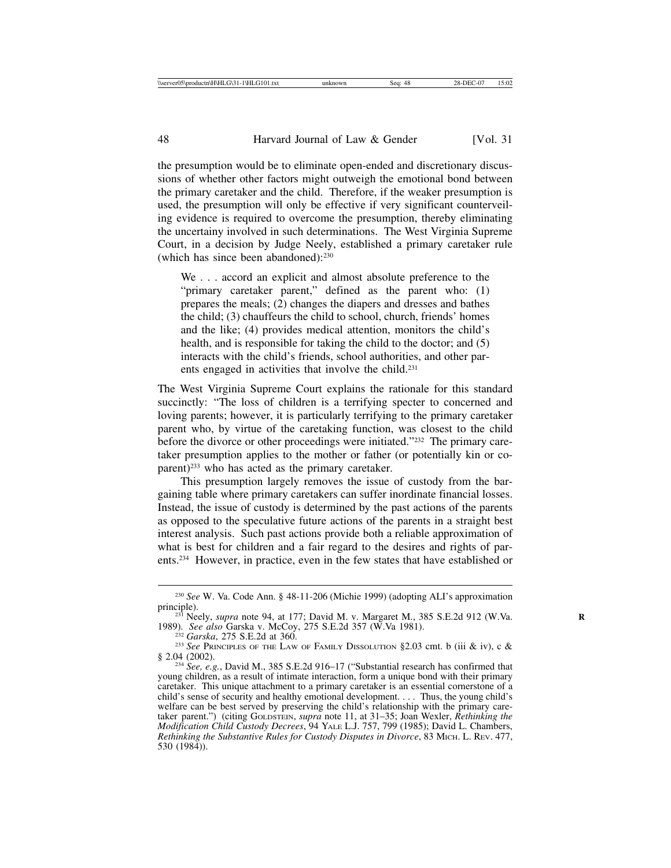the presumption would be to eliminate open-ended and discretionary discussions of whether other factors might outweigh the emotional bond between the primary caretaker and the child. Therefore, if the weaker presumption is used, the presumption will only be effective if very significant counterveiling evidence is required to overcome the presumption, thereby eliminating the uncertainy involved in such determinations. The West Virginia Supreme Court, in a decision by Judge Neely, established a primary caretaker rule (which has since been abandoned):230

We . . . accord an explicit and almost absolute preference to the "primary caretaker parent," defined as the parent who: (1) prepares the meals; (2) changes the diapers and dresses and bathes the child; (3) chauffeurs the child to school, church, friends' homes and the like; (4) provides medical attention, monitors the child's health, and is responsible for taking the child to the doctor; and (5) interacts with the child's friends, school authorities, and other parents engaged in activities that involve the child.231

The West Virginia Supreme Court explains the rationale for this standard succinctly: "The loss of children is a terrifying specter to concerned and loving parents; however, it is particularly terrifying to the primary caretaker parent who, by virtue of the caretaking function, was closest to the child before the divorce or other proceedings were initiated."232 The primary caretaker presumption applies to the mother or father (or potentially kin or coparent)233 who has acted as the primary caretaker.

This presumption largely removes the issue of custody from the bargaining table where primary caretakers can suffer inordinate financial losses. Instead, the issue of custody is determined by the past actions of the parents as opposed to the speculative future actions of the parents in a straight best interest analysis. Such past actions provide both a reliable approximation of what is best for children and a fair regard to the desires and rights of parents.234 However, in practice, even in the few states that have established or

<sup>230</sup> *See* W. Va. Code Ann. § 48-11-206 (Michie 1999) (adopting ALI's approximation

<sup>&</sup>lt;sup>231</sup> Neely, *supra* note 94, at 177; David M. v. Margaret M., 385 S.E.2d 912 (W.Va. 1989). *See also* Garska v. McCoy, 275 S.E.2d 357 (W.Va 1981).

<sup>&</sup>lt;sup>232</sup> *Garska*, 275 S.E.2d at 360. <sup>233</sup> *See PRINCIPLES OF THE LAW OF FAMILY DISSOLUTION* §2.03 cmt. b (iii & iv), c & § 2.04 (2002).

<sup>&</sup>lt;sup>234</sup> See, e.g., David M., 385 S.E.2d 916–17 ("Substantial research has confirmed that young children, as a result of intimate interaction, form a unique bond with their primary caretaker. This unique attachment to a primary caretaker is an essential cornerstone of a child's sense of security and healthy emotional development. . . . Thus, the young child's welfare can be best served by preserving the child's relationship with the primary caretaker parent.") (citing GOLDSTEIN, *supra* note 11, at 31–35; Joan Wexler, *Rethinking the Modification Child Custody Decrees*, 94 YALE L.J. 757, 799 (1985); David L. Chambers, *Rethinking the Substantive Rules for Custody Disputes in Divorce*, 83 MICH. L. REV. 477, 530 (1984)).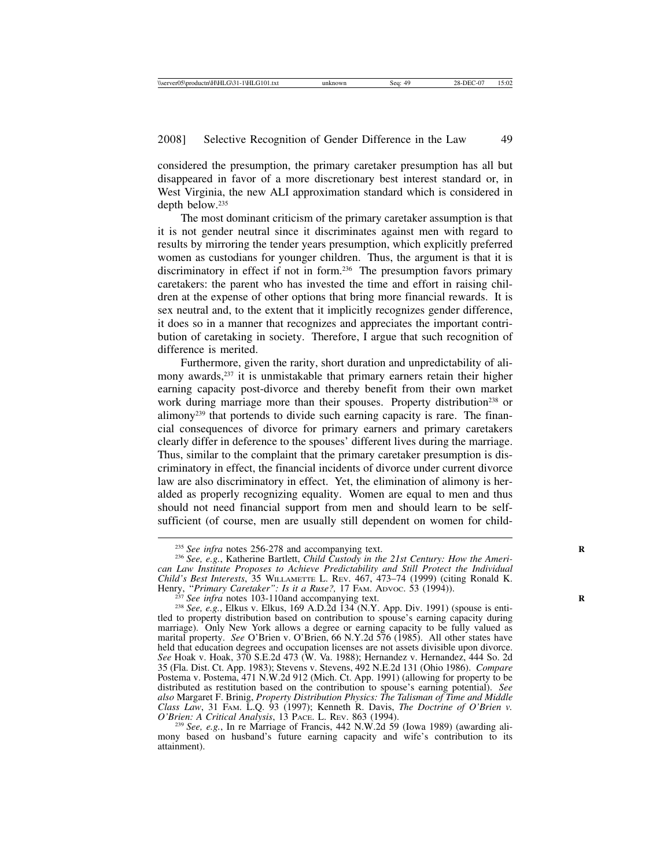considered the presumption, the primary caretaker presumption has all but disappeared in favor of a more discretionary best interest standard or, in West Virginia, the new ALI approximation standard which is considered in depth below.235

The most dominant criticism of the primary caretaker assumption is that it is not gender neutral since it discriminates against men with regard to results by mirroring the tender years presumption, which explicitly preferred women as custodians for younger children. Thus, the argument is that it is discriminatory in effect if not in form.236 The presumption favors primary caretakers: the parent who has invested the time and effort in raising children at the expense of other options that bring more financial rewards. It is sex neutral and, to the extent that it implicitly recognizes gender difference, it does so in a manner that recognizes and appreciates the important contribution of caretaking in society. Therefore, I argue that such recognition of difference is merited.

Furthermore, given the rarity, short duration and unpredictability of alimony awards,<sup>237</sup> it is unmistakable that primary earners retain their higher earning capacity post-divorce and thereby benefit from their own market work during marriage more than their spouses. Property distribution<sup>238</sup> or alimony239 that portends to divide such earning capacity is rare. The financial consequences of divorce for primary earners and primary caretakers clearly differ in deference to the spouses' different lives during the marriage. Thus, similar to the complaint that the primary caretaker presumption is discriminatory in effect, the financial incidents of divorce under current divorce law are also discriminatory in effect. Yet, the elimination of alimony is heralded as properly recognizing equality. Women are equal to men and thus should not need financial support from men and should learn to be selfsufficient (of course, men are usually still dependent on women for child-

<sup>&</sup>lt;sup>235</sup> *See infra notes 256-278 and accompanying text. Rabis 236 See, e.g.*, Katherine Bartlett, *Child Custody in the 21st Century: How the American Law Institute Proposes to Achieve Predictability and Still Protect the Individual Child's Best Interests*, 35 WILLAMETTE L. REV. 467, 473–74 (1999) (citing Ronald K. Henry, "Primary Caretaker": Is it a Ruse?, 17 FAM. Abvoc. 53 (1994)).<br><sup>237</sup> See infra notes 103-110and accompanying text.<br><sup>238</sup> See, e.g., Elkus v. Elkus, 169 A.D.2d 134 (N.Y. App. Div. 1991) (spouse is enti-

tled to property distribution based on contribution to spouse's earning capacity during marriage). Only New York allows a degree or earning capacity to be fully valued as marital property. *See* O'Brien v. O'Brien, 66 N.Y.2d 576 (1985). All other states have held that education degrees and occupation licenses are not assets divisible upon divorce. *See* Hoak v. Hoak, 370 S.E.2d 473 (W. Va. 1988); Hernandez v. Hernandez, 444 So. 2d 35 (Fla. Dist. Ct. App. 1983); Stevens v. Stevens, 492 N.E.2d 131 (Ohio 1986). *Compare* Postema v. Postema, 471 N.W.2d 912 (Mich. Ct. App. 1991) (allowing for property to be distributed as restitution based on the contribution to spouse's earning potential). *See also* Margaret F. Brinig, *Property Distribution Physics: The Talisman of Time and Middle Class Law*, 31 FAM. L.Q. 93 (1997); Kenneth R. Davis, *The Doctrine of O'Brien v.*

<sup>&</sup>lt;sup>239</sup> See, e.g., In re Marriage of Francis, 442 N.W.2d 59 (Iowa 1989) (awarding alimony based on husband's future earning capacity and wife's contribution to its attainment).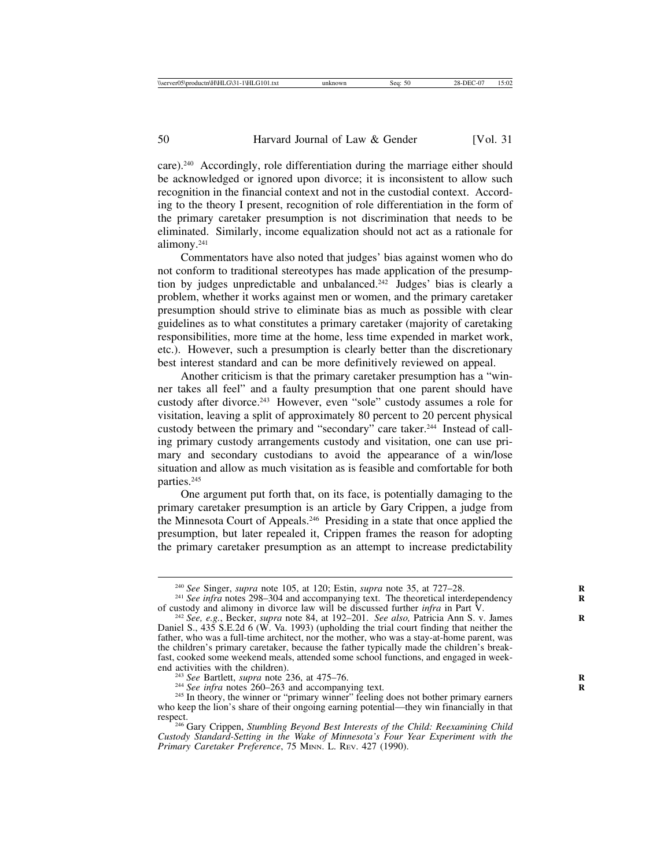care).240 Accordingly, role differentiation during the marriage either should be acknowledged or ignored upon divorce; it is inconsistent to allow such recognition in the financial context and not in the custodial context. According to the theory I present, recognition of role differentiation in the form of the primary caretaker presumption is not discrimination that needs to be eliminated. Similarly, income equalization should not act as a rationale for alimony.241

Commentators have also noted that judges' bias against women who do not conform to traditional stereotypes has made application of the presumption by judges unpredictable and unbalanced.<sup>242</sup> Judges' bias is clearly a problem, whether it works against men or women, and the primary caretaker presumption should strive to eliminate bias as much as possible with clear guidelines as to what constitutes a primary caretaker (majority of caretaking responsibilities, more time at the home, less time expended in market work, etc.). However, such a presumption is clearly better than the discretionary best interest standard and can be more definitively reviewed on appeal.

Another criticism is that the primary caretaker presumption has a "winner takes all feel" and a faulty presumption that one parent should have custody after divorce.243 However, even "sole" custody assumes a role for visitation, leaving a split of approximately 80 percent to 20 percent physical custody between the primary and "secondary" care taker.<sup>244</sup> Instead of calling primary custody arrangements custody and visitation, one can use primary and secondary custodians to avoid the appearance of a win/lose situation and allow as much visitation as is feasible and comfortable for both parties.<sup>245</sup>

One argument put forth that, on its face, is potentially damaging to the primary caretaker presumption is an article by Gary Crippen, a judge from the Minnesota Court of Appeals.246 Presiding in a state that once applied the presumption, but later repealed it, Crippen frames the reason for adopting the primary caretaker presumption as an attempt to increase predictability

<sup>&</sup>lt;sup>240</sup> *See Singer, supra* note 105, at 120; Estin, *supra* note 35, at 727–28. <sup>241</sup> *See infra* notes 298–304 and accompanying text. The theoretical interdependency

of custody and alimony in divorce law will be discussed further *infra* in Part V. <sup>242</sup> *See, e.g.*, Becker, *supra* note 84, at 192–201. *See also,* Patricia Ann S. v. James **<sup>R</sup>** Daniel S., 435 S.E.2d 6 (W. Va. 1993) (upholding the trial court finding that neither the father, who was a full-time architect, nor the mother, who was a stay-at-home parent, was the children's primary caretaker, because the father typically made the children's breakfast, cooked some weekend meals, attended some school functions, and engaged in weekend activities with the children).<br><sup>243</sup> See Bartlett, *supra* note 236, at 475–76.<br><sup>244</sup> See infra notes 260–263 and accompanying text.<br><sup>245</sup> In theory, the winner or "primary winner" feeling does not bother primary earne

who keep the lion's share of their ongoing earning potential—they win financially in that respect. <sup>246</sup> Gary Crippen, *Stumbling Beyond Best Interests of the Child: Reexamining Child*

*Custody Standard-Setting in the Wake of Minnesota's Four Year Experiment with the Primary Caretaker Preference*, 75 MINN. L. REV. 427 (1990).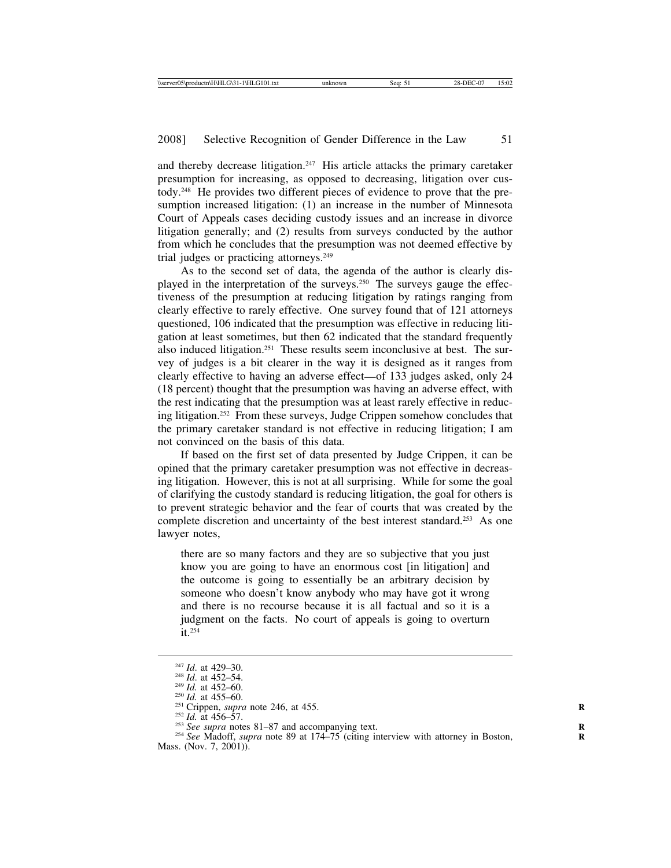and thereby decrease litigation.247 His article attacks the primary caretaker presumption for increasing, as opposed to decreasing, litigation over custody.248 He provides two different pieces of evidence to prove that the presumption increased litigation: (1) an increase in the number of Minnesota Court of Appeals cases deciding custody issues and an increase in divorce litigation generally; and (2) results from surveys conducted by the author from which he concludes that the presumption was not deemed effective by trial judges or practicing attorneys.249

As to the second set of data, the agenda of the author is clearly displayed in the interpretation of the surveys.<sup>250</sup> The surveys gauge the effectiveness of the presumption at reducing litigation by ratings ranging from clearly effective to rarely effective. One survey found that of 121 attorneys questioned, 106 indicated that the presumption was effective in reducing litigation at least sometimes, but then 62 indicated that the standard frequently also induced litigation.251 These results seem inconclusive at best. The survey of judges is a bit clearer in the way it is designed as it ranges from clearly effective to having an adverse effect—of 133 judges asked, only 24 (18 percent) thought that the presumption was having an adverse effect, with the rest indicating that the presumption was at least rarely effective in reducing litigation.252 From these surveys, Judge Crippen somehow concludes that the primary caretaker standard is not effective in reducing litigation; I am not convinced on the basis of this data.

If based on the first set of data presented by Judge Crippen, it can be opined that the primary caretaker presumption was not effective in decreasing litigation. However, this is not at all surprising. While for some the goal of clarifying the custody standard is reducing litigation, the goal for others is to prevent strategic behavior and the fear of courts that was created by the complete discretion and uncertainty of the best interest standard.<sup>253</sup> As one lawyer notes,

there are so many factors and they are so subjective that you just know you are going to have an enormous cost [in litigation] and the outcome is going to essentially be an arbitrary decision by someone who doesn't know anybody who may have got it wrong and there is no recourse because it is all factual and so it is a judgment on the facts. No court of appeals is going to overturn it.254

<sup>&</sup>lt;sup>247</sup> *Id.* at 429–30.<br>
<sup>248</sup> *Id.* at 452–54.<br>
<sup>248</sup> *Id.* at 452–60.<br>
<sup>250</sup> *Id.* at 455–60.<br>
<sup>250</sup> *Id.* at 456–57.<br>
<sup>252</sup> *Id.* at 456–57.<br>
<sup>252</sup> *Id.* at 456–57.<br>
<sup>253</sup> *See supra* notes 81–87 and accompanying text.<br> Mass. (Nov. 7, 2001)).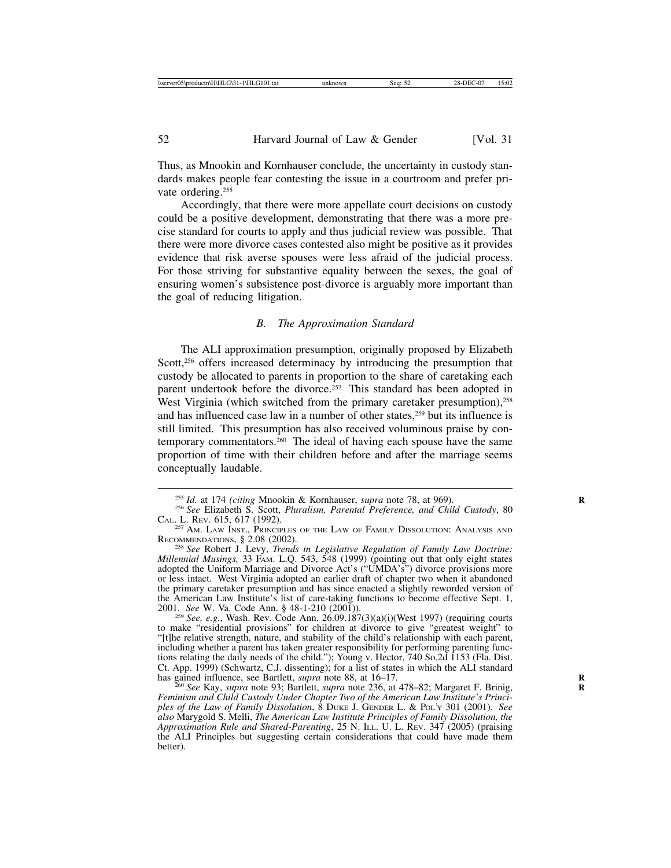Thus, as Mnookin and Kornhauser conclude, the uncertainty in custody standards makes people fear contesting the issue in a courtroom and prefer private ordering.<sup>255</sup>

Accordingly, that there were more appellate court decisions on custody could be a positive development, demonstrating that there was a more precise standard for courts to apply and thus judicial review was possible. That there were more divorce cases contested also might be positive as it provides evidence that risk averse spouses were less afraid of the judicial process. For those striving for substantive equality between the sexes, the goal of ensuring women's subsistence post-divorce is arguably more important than the goal of reducing litigation.

#### *B. The Approximation Standard*

The ALI approximation presumption, originally proposed by Elizabeth Scott,<sup>256</sup> offers increased determinacy by introducing the presumption that custody be allocated to parents in proportion to the share of caretaking each parent undertook before the divorce.<sup>257</sup> This standard has been adopted in West Virginia (which switched from the primary caretaker presumption),<sup>258</sup> and has influenced case law in a number of other states,<sup>259</sup> but its influence is still limited. This presumption has also received voluminous praise by contemporary commentators.260 The ideal of having each spouse have the same proportion of time with their children before and after the marriage seems conceptually laudable.

to make "residential provisions" for children at divorce to give "greatest weight" to "[t]he relative strength, nature, and stability of the child's relationship with each parent, including whether a parent has taken greater responsibility for performing parenting functions relating the daily needs of the child."); Young v. Hector, 740 So.2d 1153 (Fla. Dist. Ct. App. 1999) (Schwartz, C.J. dissenting); for a list of states in which the ALI standard has gained influence, see Bartlett, *supra* note 88, at 16–17.<br><sup>260</sup> *See* Kay, *supra* note 93; Bartlett, *supra* note 236, at 478–82; Margaret F. Brinig,

*Feminism and Child Custody Under Chapter Two of the American Law Institute's Principles of the Law of Family Dissolution*, 8 DUKE J. GENDER L. & POL'Y 301 (2001). *See also* Marygold S. Melli, *The American Law Institute Principles of Family Dissolution, the Approximation Rule and Shared-Parenting*, 25 N. ILL. U. L. REV. 347 (2005) (praising the ALI Principles but suggesting certain considerations that could have made them better).

<sup>&</sup>lt;sup>255</sup> *Id.* at 174 *(citing Mnookin & Kornhauser, supra note 78, at 969).* <sup>256</sup> *See Elizabeth S. Scott, Pluralism, Parental Preference, and Child Custody, 80* CAL. L. Rev. 615, 617 (1992).<br><sup>257</sup> Am. Law Inst., Principles of the Law of Family Dissolution: Analysis and

RECOMMENDATIONS, § 2.08 (2002). <sup>258</sup> *See* Robert J. Levy, *Trends in Legislative Regulation of Family Law Doctrine:*

*Millennial Musings,* 33 FAM. L.Q. 543, 548 (1999) (pointing out that only eight states Millennial Musings, 33 FAM. L.Q. 543, 548 (1999) (pointing out that only eight states adopted the Uniform Marriage and Divorce Act's ("UMDA's") divorce provisions more or less intact. West Virginia adopted an earlier draft of chapter two when it abandoned the primary caretaker presumption and has since enacted a slightly reworded version of the American Law Institute's list of care-taking functions to become effective Sept. 1, 2001. *See* W. Va. Code Ann. § 48-1-210 (2001)). <sup>259</sup> *See, e.g.*, Wash. Rev. Code Ann. 26.09.187(3)(a)(i)(West 1997) (requiring courts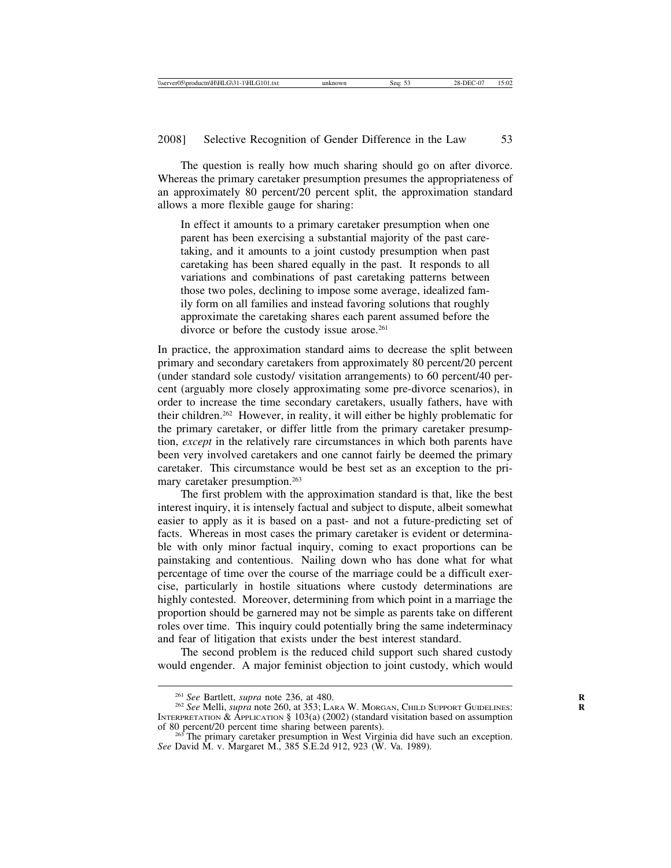The question is really how much sharing should go on after divorce. Whereas the primary caretaker presumption presumes the appropriateness of an approximately 80 percent/20 percent split, the approximation standard allows a more flexible gauge for sharing:

In effect it amounts to a primary caretaker presumption when one parent has been exercising a substantial majority of the past caretaking, and it amounts to a joint custody presumption when past caretaking has been shared equally in the past. It responds to all variations and combinations of past caretaking patterns between those two poles, declining to impose some average, idealized family form on all families and instead favoring solutions that roughly approximate the caretaking shares each parent assumed before the divorce or before the custody issue arose.<sup>261</sup>

In practice, the approximation standard aims to decrease the split between primary and secondary caretakers from approximately 80 percent/20 percent (under standard sole custody/ visitation arrangements) to 60 percent/40 percent (arguably more closely approximating some pre-divorce scenarios), in order to increase the time secondary caretakers, usually fathers, have with their children.262 However, in reality, it will either be highly problematic for the primary caretaker, or differ little from the primary caretaker presumption, *except* in the relatively rare circumstances in which both parents have been very involved caretakers and one cannot fairly be deemed the primary caretaker. This circumstance would be best set as an exception to the primary caretaker presumption.263

The first problem with the approximation standard is that, like the best interest inquiry, it is intensely factual and subject to dispute, albeit somewhat easier to apply as it is based on a past- and not a future-predicting set of facts. Whereas in most cases the primary caretaker is evident or determinable with only minor factual inquiry, coming to exact proportions can be painstaking and contentious. Nailing down who has done what for what percentage of time over the course of the marriage could be a difficult exercise, particularly in hostile situations where custody determinations are highly contested. Moreover, determining from which point in a marriage the proportion should be garnered may not be simple as parents take on different roles over time. This inquiry could potentially bring the same indeterminacy and fear of litigation that exists under the best interest standard.

The second problem is the reduced child support such shared custody would engender. A major feminist objection to joint custody, which would

<sup>&</sup>lt;sup>261</sup> *See Bartlett, <i>supra* note 236, at 480.<br><sup>262</sup> *See Melli, supra* note 260, at 353; LARA W. MORGAN, CHILD SUPPORT GUIDELINES: INTERPRETATION & APPLICATION § 103(a) (2002) (standard visitation based on assumption of 80 percent/20 percent time sharing between parents).

 $^{265}$  The primary caretaker presumption in West Virginia did have such an exception. *See* David M. v. Margaret M., 385 S.E.2d 912, 923 (W. Va. 1989).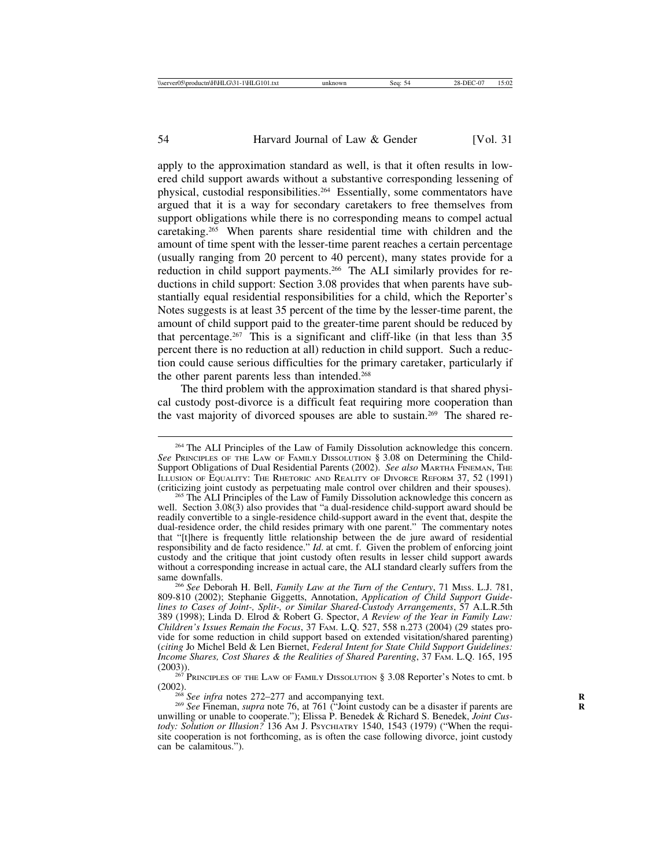apply to the approximation standard as well, is that it often results in lowered child support awards without a substantive corresponding lessening of physical, custodial responsibilities.264 Essentially, some commentators have argued that it is a way for secondary caretakers to free themselves from support obligations while there is no corresponding means to compel actual caretaking.265 When parents share residential time with children and the amount of time spent with the lesser-time parent reaches a certain percentage (usually ranging from 20 percent to 40 percent), many states provide for a reduction in child support payments.266 The ALI similarly provides for reductions in child support: Section 3.08 provides that when parents have substantially equal residential responsibilities for a child, which the Reporter's Notes suggests is at least 35 percent of the time by the lesser-time parent, the amount of child support paid to the greater-time parent should be reduced by that percentage.267 This is a significant and cliff-like (in that less than 35 percent there is no reduction at all) reduction in child support. Such a reduction could cause serious difficulties for the primary caretaker, particularly if the other parent parents less than intended.<sup>268</sup>

The third problem with the approximation standard is that shared physical custody post-divorce is a difficult feat requiring more cooperation than the vast majority of divorced spouses are able to sustain.269 The shared re-

 $^{267}$  PRINCIPLES OF THE LAW OF FAMILY DISSOLUTION § 3.08 Reporter's Notes to cmt. b (2002). <sup>268</sup> *See infra* notes 272–277 and accompanying text.  $R_{\text{A}}$  <sup>269</sup>  $\frac{1}{26}$  at 761 ("Joint custody

<sup>&</sup>lt;sup>264</sup> The ALI Principles of the Law of Family Dissolution acknowledge this concern. *See* PRINCIPLES OF THE LAW OF FAMILY DISSOLUTION § 3.08 on Determining the Child-Support Obligations of Dual Residential Parents (2002). *See also* MARTHA FINEMAN, THE ILLUSION OF EQUALITY: THE RHETORIC AND REALITY OF DIVORCE REFORM 37, 52 (1991) (criticizing joint custody as perpetuating male control over children and their spouses).

<sup>&</sup>lt;sup>265</sup> The ALI Principles of the Law of Family Dissolution acknowledge this concern as well. Section 3.08(3) also provides that "a dual-residence child-support award should be readily convertible to a single-residence child-support award in the event that, despite the dual-residence order, the child resides primary with one parent." The commentary notes that "[t]here is frequently little relationship between the de jure award of residential responsibility and de facto residence." *Id*. at cmt. f. Given the problem of enforcing joint custody and the critique that joint custody often results in lesser child support awards without a corresponding increase in actual care, the ALI standard clearly suffers from the

<sup>&</sup>lt;sup>266</sup> See Deborah H. Bell, *Family Law at the Turn of the Century*, 71 Miss. L.J. 781, 809-810 (2002); Stephanie Giggetts, Annotation, *Application of Child Support Guidelines to Cases of Joint-, Split-, or Similar Shared-Custody Arrangements*, 57 A.L.R.5th 389 (1998); Linda D. Elrod & Robert G. Spector, *A Review of the Year in Family Law: Children's Issues Remain the Focus*, 37 FAM. L.Q. 527, 558 n.273 (2004) (29 states provide for some reduction in child support based on extended visitation/shared parenting) (*citing* Jo Michel Beld & Len Biernet, *Federal Intent for State Child Support Guidelines: Income Shares, Cost Shares & the Realities of Shared Parenting, 37 FAM. L.Q. 165, 195* (2003)).

<sup>&</sup>lt;sup>269</sup> See Fineman, *supra* note 76, at 761 ("Joint custody can be a disaster if parents are unwilling or unable to cooperate."); Elissa P. Benedek & Richard S. Benedek, *Joint Custody: Solution or Illusion?* 136 Aм J. Psycниатку 1540, 1543 (1979) ("When the requisite cooperation is not forthcoming, as is often the case following divorce, joint custody can be calamitous.").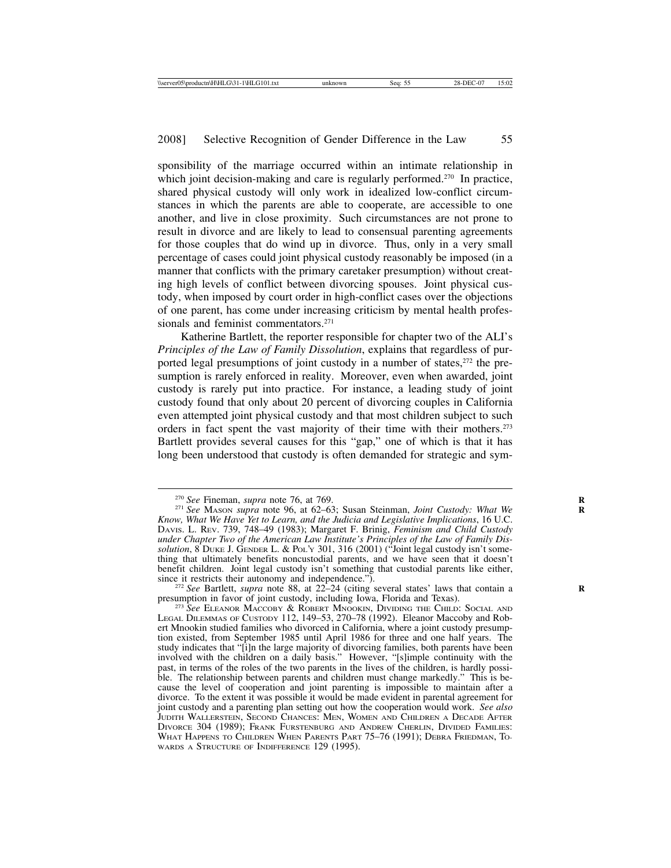sponsibility of the marriage occurred within an intimate relationship in which joint decision-making and care is regularly performed.<sup>270</sup> In practice, shared physical custody will only work in idealized low-conflict circumstances in which the parents are able to cooperate, are accessible to one another, and live in close proximity. Such circumstances are not prone to result in divorce and are likely to lead to consensual parenting agreements for those couples that do wind up in divorce. Thus, only in a very small percentage of cases could joint physical custody reasonably be imposed (in a manner that conflicts with the primary caretaker presumption) without creating high levels of conflict between divorcing spouses. Joint physical custody, when imposed by court order in high-conflict cases over the objections of one parent, has come under increasing criticism by mental health professionals and feminist commentators.<sup>271</sup>

Katherine Bartlett, the reporter responsible for chapter two of the ALI's *Principles of the Law of Family Dissolution*, explains that regardless of purported legal presumptions of joint custody in a number of states,<sup>272</sup> the presumption is rarely enforced in reality. Moreover, even when awarded, joint custody is rarely put into practice. For instance, a leading study of joint custody found that only about 20 percent of divorcing couples in California even attempted joint physical custody and that most children subject to such orders in fact spent the vast majority of their time with their mothers.<sup>273</sup> Bartlett provides several causes for this "gap," one of which is that it has long been understood that custody is often demanded for strategic and sym-

<sup>272</sup> *See* Bartlett, *supra* note 88, at 22–24 (citing several states' laws that contain a presumption in favor of joint custody, including Iowa, Florida and Texas). presumption in favor of joint custody, including Iowa, Florida and Texas). <sup>273</sup> *See* ELEANOR MACCOBY & ROBERT MNOOKIN, DIVIDING THE CHILD: SOCIAL AND

LEGAL DILEMMAS OF CUSTODY 112, 149–53, 270–78 (1992). Eleanor Maccoby and Robert Mnookin studied families who divorced in California, where a joint custody presumption existed, from September 1985 until April 1986 for three and one half years. The study indicates that "[i]n the large majority of divorcing families, both parents have been involved with the children on a daily basis." However, "[s]imple continuity with the past, in terms of the roles of the two parents in the lives of the children, is hardly possible. The relationship between parents and children must change markedly." This is because the level of cooperation and joint parenting is impossible to maintain after a divorce. To the extent it was possible it would be made evident in parental agreement for joint custody and a parenting plan setting out how the cooperation would work. *See also* JUDITH WALLERSTEIN, SECOND CHANCES: MEN, WOMEN AND CHILDREN A DECADE AFTER DIVORCE 304 (1989); FRANK FURSTENBURG AND ANDREW CHERLIN, DIVIDED FAMILIES: WHAT HAPPENS TO CHILDREN WHEN PARENTS PART 75–76 (1991); DEBRA FRIEDMAN, TO-WARDS A STRUCTURE OF INDIFFERENCE 129 (1995).

<sup>&</sup>lt;sup>270</sup> *See* Fineman, *supra* note 76, at 769.<br><sup>271</sup> *See* MASON *supra* note 96, at 62–63; Susan Steinman, *Joint Custody: What We Know, What We Have Yet to Learn, and the Judicia and Legislative Implications*, 16 U.C. DAVIS. L. REV. 739, 748–49 (1983); Margaret F. Brinig, *Feminism and Child Custody under Chapter Two of the American Law Institute's Principles of the Law of Family Dissolution*, 8 DUKE J. GENDER L. & POL'Y 301, 316 (2001) ("Joint legal custody isn't something that ultimately benefits noncustodial parents, and we have seen that it doesn't benefit children. Joint legal custody isn't something that custodial parents like either, since it restricts their autonomy and independence.").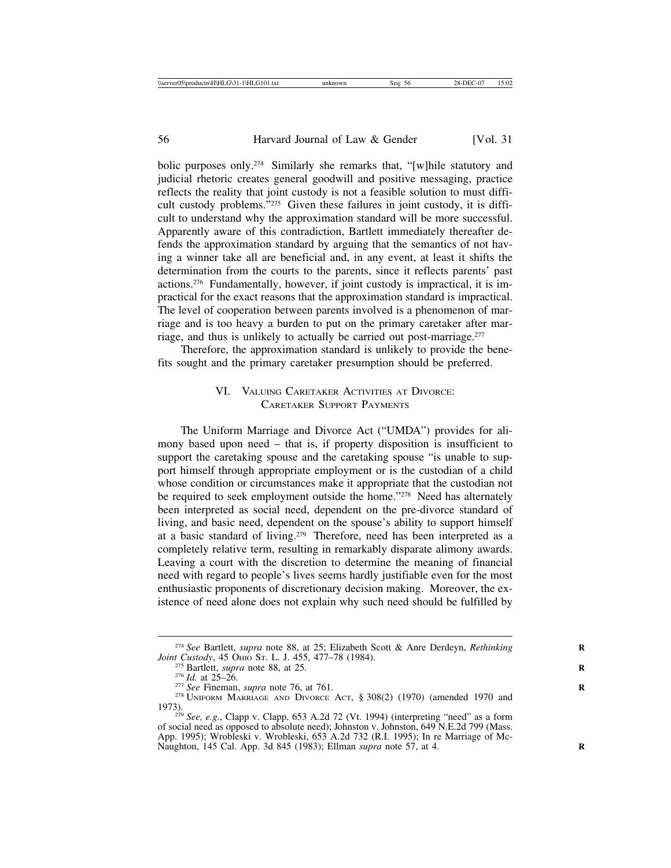bolic purposes only.274 Similarly she remarks that, "[w]hile statutory and judicial rhetoric creates general goodwill and positive messaging, practice reflects the reality that joint custody is not a feasible solution to must difficult custody problems."275 Given these failures in joint custody, it is difficult to understand why the approximation standard will be more successful. Apparently aware of this contradiction, Bartlett immediately thereafter defends the approximation standard by arguing that the semantics of not having a winner take all are beneficial and, in any event, at least it shifts the determination from the courts to the parents, since it reflects parents' past actions.276 Fundamentally, however, if joint custody is impractical, it is impractical for the exact reasons that the approximation standard is impractical. The level of cooperation between parents involved is a phenomenon of marriage and is too heavy a burden to put on the primary caretaker after marriage, and thus is unlikely to actually be carried out post-marriage.277

Therefore, the approximation standard is unlikely to provide the benefits sought and the primary caretaker presumption should be preferred.

# VI. VALUING CARETAKER ACTIVITIES AT DIVORCE: CARETAKER SUPPORT PAYMENTS

The Uniform Marriage and Divorce Act ("UMDA") provides for alimony based upon need – that is, if property disposition is insufficient to support the caretaking spouse and the caretaking spouse "is unable to support himself through appropriate employment or is the custodian of a child whose condition or circumstances make it appropriate that the custodian not be required to seek employment outside the home."<sup>278</sup> Need has alternately been interpreted as social need, dependent on the pre-divorce standard of living, and basic need, dependent on the spouse's ability to support himself at a basic standard of living.279 Therefore, need has been interpreted as a completely relative term, resulting in remarkably disparate alimony awards. Leaving a court with the discretion to determine the meaning of financial need with regard to people's lives seems hardly justifiable even for the most enthusiastic proponents of discretionary decision making. Moreover, the existence of need alone does not explain why such need should be fulfilled by

<sup>&</sup>lt;sup>274</sup> *See Bartlett, supra note 88, at 25; Elizabeth Scott & Anre Derdeyn, <i>Rethinking Joint Custody, 45 OHIO St. L. J. 455, 477–78 (1984).* 

<sup>&</sup>lt;sup>275</sup> Bartlett, *supra* note 88, at 25.<br>
<sup>276</sup> *Id.* at 25–26.<br>
<sup>277</sup> *See* Fineman, *supra* note 76, at 761.<br>
<sup>278</sup> UNIFORM MARRIAGE AND DIVORCE ACT, § 308(2) (1970) (amended 1970 and

<sup>1973).</sup> <sup>279</sup> *See, e.g.*, Clapp v. Clapp, 653 A.2d 72 (Vt. 1994) (interpreting "need" as a form of social need as opposed to absolute need); Johnston v. Johnston, 649 N.E.2d 799 (Mass. App. 1995); Wrobleski v. Wrobleski, 653 A.2d 732 (R.I. 1995); In re Marriage of Mc-Naughton, 145 Cal. App. 3d 845 (1983); Ellman *supra* note 57, at 4. **R**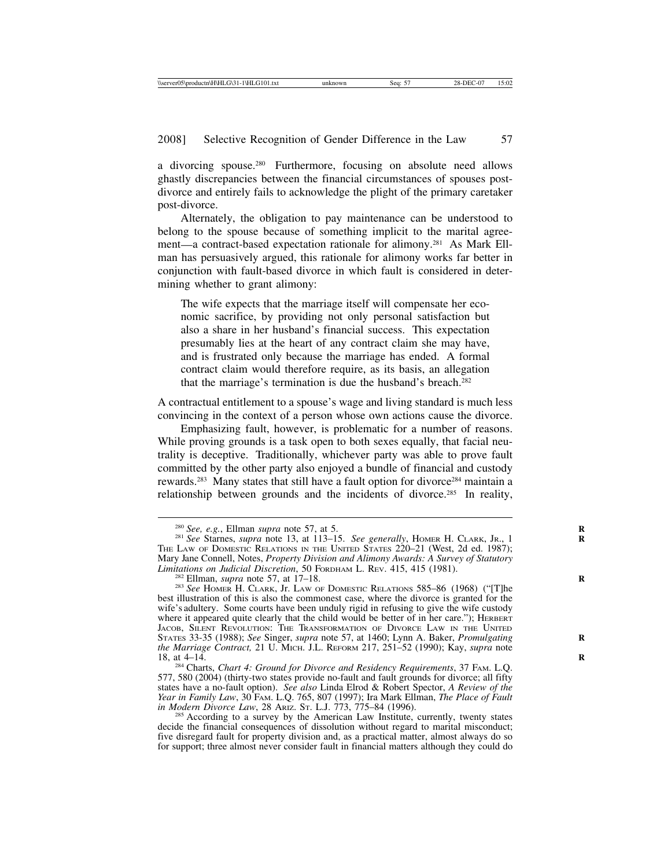a divorcing spouse.280 Furthermore, focusing on absolute need allows ghastly discrepancies between the financial circumstances of spouses postdivorce and entirely fails to acknowledge the plight of the primary caretaker post-divorce.

Alternately, the obligation to pay maintenance can be understood to belong to the spouse because of something implicit to the marital agreement—a contract-based expectation rationale for alimony.281 As Mark Ellman has persuasively argued, this rationale for alimony works far better in conjunction with fault-based divorce in which fault is considered in determining whether to grant alimony:

The wife expects that the marriage itself will compensate her economic sacrifice, by providing not only personal satisfaction but also a share in her husband's financial success. This expectation presumably lies at the heart of any contract claim she may have, and is frustrated only because the marriage has ended. A formal contract claim would therefore require, as its basis, an allegation that the marriage's termination is due the husband's breach.282

A contractual entitlement to a spouse's wage and living standard is much less convincing in the context of a person whose own actions cause the divorce.

Emphasizing fault, however, is problematic for a number of reasons. While proving grounds is a task open to both sexes equally, that facial neutrality is deceptive. Traditionally, whichever party was able to prove fault committed by the other party also enjoyed a bundle of financial and custody rewards.<sup>283</sup> Many states that still have a fault option for divorce<sup>284</sup> maintain a relationship between grounds and the incidents of divorce.285 In reality,

<sup>284</sup> Charts, *Chart 4: Ground for Divorce and Residency Requirements*, 37 FAM. L.Q. 577, 580 (2004) (thirty-two states provide no-fault and fault grounds for divorce; all fifty states have a no-fault option). *See also* Linda Elrod & Robert Spector, *A Review of the Year in Family Law*, 30 FAM. L.Q. 765, 807 (1997); Ira Mark Ellman, *The Place of Fault in Modern Divorce Law*, 28 Ariz. St. L.J. 773, 775–84 (1996).<br><sup>285</sup> According to a survey by the American Law Institute, currently, twenty states

decide the financial consequences of dissolution without regard to marital misconduct; five disregard fault for property division and, as a practical matter, almost always do so for support; three almost never consider fault in financial matters although they could do

<sup>&</sup>lt;sup>280</sup> *See, e.g.*, Ellman *supra* note 57, at 5.<br><sup>281</sup> *See* Starnes, *supra* note 13, at 113–15. *See generally*, HOMER H. CLARK, JR., 1 THE LAW OF DOMESTIC RELATIONS IN THE UNITED STATES 220–21 (West, 2d ed. 1987); Mary Jane Connell, Notes, *Property Division and Alimony Awards: A Survey of Statutory*

<sup>&</sup>lt;sup>282</sup> Ellman, *supra* note 57, at 17–18.<br><sup>283</sup> *See* Homer H. Clark, Jr. Law of Domestic Relations 585–86 (1968) ("[T]he best illustration of this is also the commonest case, where the divorce is granted for the wife's adultery. Some courts have been unduly rigid in refusing to give the wife custody where it appeared quite clearly that the child would be better of in her care."); HERBERT JACOB, SILENT REVOLUTION: THE TRANSFORMATION OF DIVORCE LAW IN THE UNITED STATES 33-35 (1988); See Singer, *supra* note 57, at 1460; Lynn A. Baker, *Promulgating the Marriage Contract,* 21 U. MICH. J.L. REFORM 217, 251–52 (1990); Kay, *supra* note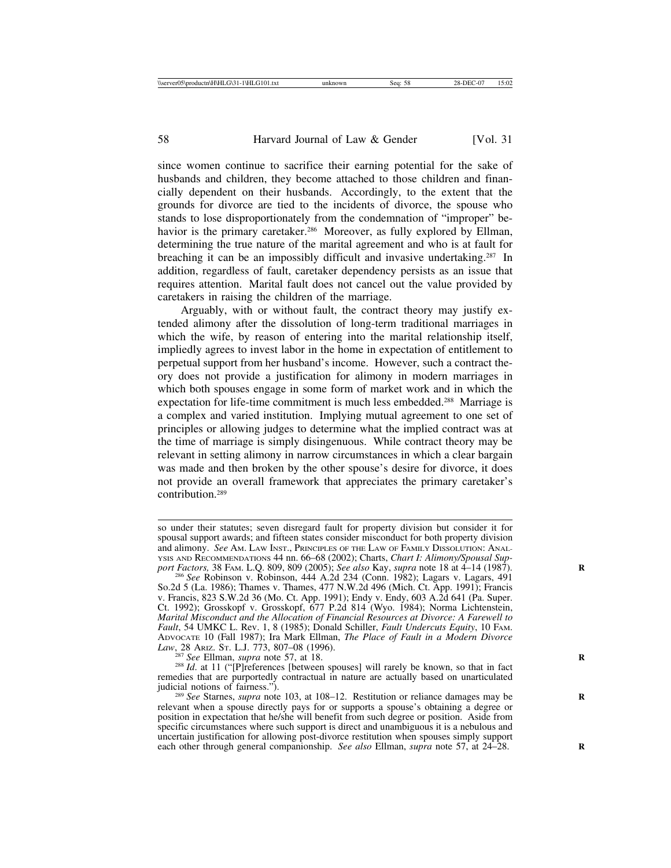since women continue to sacrifice their earning potential for the sake of husbands and children, they become attached to those children and financially dependent on their husbands. Accordingly, to the extent that the grounds for divorce are tied to the incidents of divorce, the spouse who stands to lose disproportionately from the condemnation of "improper" behavior is the primary caretaker.<sup>286</sup> Moreover, as fully explored by Ellman, determining the true nature of the marital agreement and who is at fault for breaching it can be an impossibly difficult and invasive undertaking.287 In addition, regardless of fault, caretaker dependency persists as an issue that requires attention. Marital fault does not cancel out the value provided by caretakers in raising the children of the marriage.

Arguably, with or without fault, the contract theory may justify extended alimony after the dissolution of long-term traditional marriages in which the wife, by reason of entering into the marital relationship itself, impliedly agrees to invest labor in the home in expectation of entitlement to perpetual support from her husband's income. However, such a contract theory does not provide a justification for alimony in modern marriages in which both spouses engage in some form of market work and in which the expectation for life-time commitment is much less embedded.288 Marriage is a complex and varied institution. Implying mutual agreement to one set of principles or allowing judges to determine what the implied contract was at the time of marriage is simply disingenuous. While contract theory may be relevant in setting alimony in narrow circumstances in which a clear bargain was made and then broken by the other spouse's desire for divorce, it does not provide an overall framework that appreciates the primary caretaker's contribution.289

so under their statutes; seven disregard fault for property division but consider it for spousal support awards; and fifteen states consider misconduct for both property division and alimony. *See* AM. LAW INST., PRINCIPLES OF THE LAW OF FAMILY DISSOLUTION: ANAL-YSIS AND RECOMMENDATIONS 44 nn. 66-68 (2002); Charts, *Chart I: Alimony/Spousal Sup-*

*port Factors, 38 FAM. L.Q. 809, 809 (2005); <i>See also Kay, supra* note 18 at 4–14 (1987). <sup>286</sup> *See* Robinson v. Robinson, 444 A.2d 234 (Conn. 1982); Lagars v. Lagars, 491 So.2d 5 (La. 1986); Thames v. Thames, 477 N.W.2d 496 (Mich. Ct. App. 1991); Francis v. Francis, 823 S.W.2d 36 (Mo. Ct. App. 1991); Endy v. Endy, 603 A.2d 641 (Pa. Super. Ct. 1992); Grosskopf v. Grosskopf, 677 P.2d 814 (Wyo. 1984); Norma Lichtenstein, *Marital Misconduct and the Allocation of Financial Resources at Divorce: A Farewell to Fault*, 54 UMKC L. Rev. 1, 8 (1985); Donald Schiller, *Fault Undercuts Equity*, 10 FAM. ADVOCATE 10 (Fall 1987); Ira Mark Ellman, *The Place of Fault in a Modern Divorce*

<sup>&</sup>lt;sup>287</sup> See Ellman, *supra* note 57, at 18. **R** 288 *Id.* at 11 ("[P]references [between spouses] will rarely be known, so that in fact remedies that are purportedly contractual in nature are actually based on unarticulated

<sup>&</sup>lt;sup>289</sup> See Starnes, *supra* note 103, at 108–12. Restitution or reliance damages may be relevant when a spouse directly pays for or supports a spouse's obtaining a degree or position in expectation that he/she will benefit from such degree or position. Aside from specific circumstances where such support is direct and unambiguous it is a nebulous and uncertain justification for allowing post-divorce restitution when spouses simply support each other through general companionship. *See also* Ellman, *supra* note 57, at 24–28.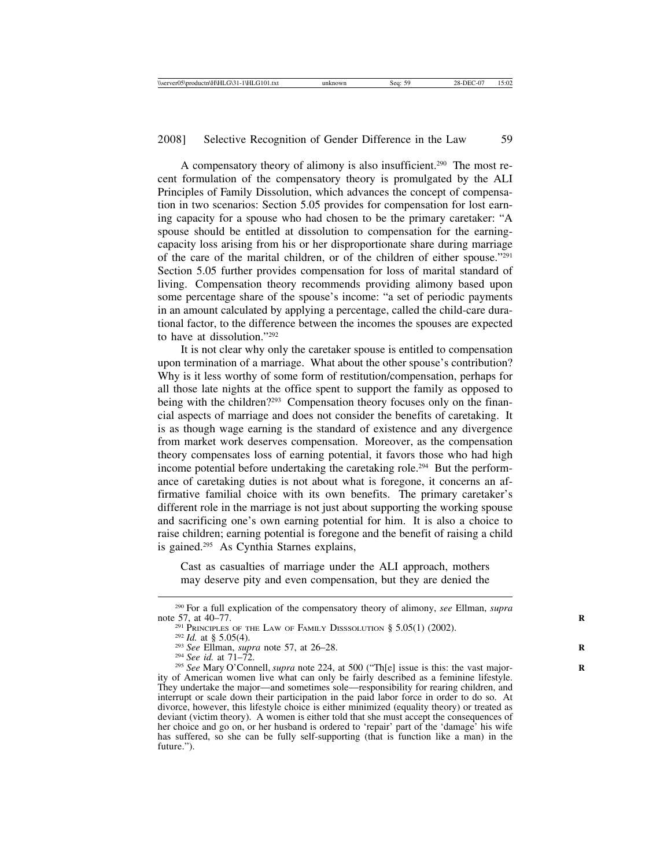A compensatory theory of alimony is also insufficient.290 The most recent formulation of the compensatory theory is promulgated by the ALI Principles of Family Dissolution, which advances the concept of compensation in two scenarios: Section 5.05 provides for compensation for lost earning capacity for a spouse who had chosen to be the primary caretaker: "A spouse should be entitled at dissolution to compensation for the earningcapacity loss arising from his or her disproportionate share during marriage of the care of the marital children, or of the children of either spouse."291 Section 5.05 further provides compensation for loss of marital standard of living. Compensation theory recommends providing alimony based upon some percentage share of the spouse's income: "a set of periodic payments in an amount calculated by applying a percentage, called the child-care durational factor, to the difference between the incomes the spouses are expected to have at dissolution."292

It is not clear why only the caretaker spouse is entitled to compensation upon termination of a marriage. What about the other spouse's contribution? Why is it less worthy of some form of restitution/compensation, perhaps for all those late nights at the office spent to support the family as opposed to being with the children?<sup>293</sup> Compensation theory focuses only on the financial aspects of marriage and does not consider the benefits of caretaking. It is as though wage earning is the standard of existence and any divergence from market work deserves compensation. Moreover, as the compensation theory compensates loss of earning potential, it favors those who had high income potential before undertaking the caretaking role.294 But the performance of caretaking duties is not about what is foregone, it concerns an affirmative familial choice with its own benefits. The primary caretaker's different role in the marriage is not just about supporting the working spouse and sacrificing one's own earning potential for him. It is also a choice to raise children; earning potential is foregone and the benefit of raising a child is gained.295 As Cynthia Starnes explains,

Cast as casualties of marriage under the ALI approach, mothers may deserve pity and even compensation, but they are denied the

<sup>290</sup> For a full explication of the compensatory theory of alimony, *see* Ellman, *supra*

<sup>&</sup>lt;sup>291</sup> PRINCIPLES OF THE LAW OF FAMILY DISSSOLUTION § 5.05(1) (2002).<br><sup>292</sup> *Id.* at § 5.05(4).<br><sup>293</sup> *See* Ellman, *supra* note 57, at 26–28.<br><sup>294</sup> *See id.* at 71–72.<br><sup>295</sup> *See* Mary O'Connell, *supra* note 224, at 50 ity of American women live what can only be fairly described as a feminine lifestyle. They undertake the major—and sometimes sole—responsibility for rearing children, and interrupt or scale down their participation in the paid labor force in order to do so. At divorce, however, this lifestyle choice is either minimized (equality theory) or treated as deviant (victim theory). A women is either told that she must accept the consequences of her choice and go on, or her husband is ordered to 'repair' part of the 'damage' his wife has suffered, so she can be fully self-supporting (that is function like a man) in the future.").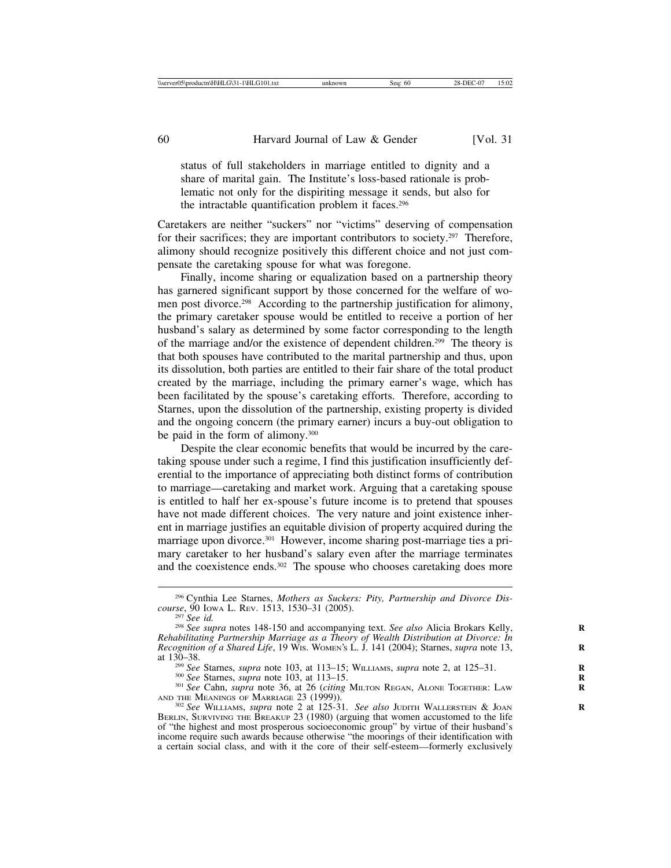status of full stakeholders in marriage entitled to dignity and a share of marital gain. The Institute's loss-based rationale is problematic not only for the dispiriting message it sends, but also for the intractable quantification problem it faces.296

Caretakers are neither "suckers" nor "victims" deserving of compensation for their sacrifices; they are important contributors to society.<sup>297</sup> Therefore, alimony should recognize positively this different choice and not just compensate the caretaking spouse for what was foregone.

Finally, income sharing or equalization based on a partnership theory has garnered significant support by those concerned for the welfare of women post divorce.<sup>298</sup> According to the partnership justification for alimony, the primary caretaker spouse would be entitled to receive a portion of her husband's salary as determined by some factor corresponding to the length of the marriage and/or the existence of dependent children.299 The theory is that both spouses have contributed to the marital partnership and thus, upon its dissolution, both parties are entitled to their fair share of the total product created by the marriage, including the primary earner's wage, which has been facilitated by the spouse's caretaking efforts. Therefore, according to Starnes, upon the dissolution of the partnership, existing property is divided and the ongoing concern (the primary earner) incurs a buy-out obligation to be paid in the form of alimony.300

Despite the clear economic benefits that would be incurred by the caretaking spouse under such a regime, I find this justification insufficiently deferential to the importance of appreciating both distinct forms of contribution to marriage—caretaking and market work. Arguing that a caretaking spouse is entitled to half her ex-spouse's future income is to pretend that spouses have not made different choices. The very nature and joint existence inherent in marriage justifies an equitable division of property acquired during the marriage upon divorce.<sup>301</sup> However, income sharing post-marriage ties a primary caretaker to her husband's salary even after the marriage terminates and the coexistence ends.302 The spouse who chooses caretaking does more

<sup>299</sup> See Starnes, *supra* note 103, at 113–15; WILLIAMS, *supra* note 2, at 125–31.<br><sup>300</sup> See Starnes, *supra* note 103, at 113–15.<br><sup>301</sup> See Cahn, *supra* note 36, at 26 (*citing* MILTON REGAN, ALONE TOGETHER: LAW<br>AND T

<sup>302</sup> See WILLIAMS, *supra* note 2 at 125-31. See also JUDITH WALLERSTEIN & JOAN BERLIN, SURVIVING THE BREAKUP 23 (1980) (arguing that women accustomed to the life of "the highest and most prosperous socioeconomic group" by virtue of their husband's income require such awards because otherwise "the moorings of their identification with a certain social class, and with it the core of their self-esteem—formerly exclusively

<sup>296</sup> Cynthia Lee Starnes, *Mothers as Suckers: Pity, Partnership and Divorce Dis-*

<sup>&</sup>lt;sup>297</sup> See id.<br><sup>298</sup> See supra notes 148-150 and accompanying text. *See also* Alicia Brokars Kelly, *Rehabilitating Partnership Marriage as a Theory of Wealth Distribution at Divorce: In Recognition of a Shared Life*, 19 Wis. WOMEN's L. J. 141 (2004); Starnes, *supra* note 13, at 130–38.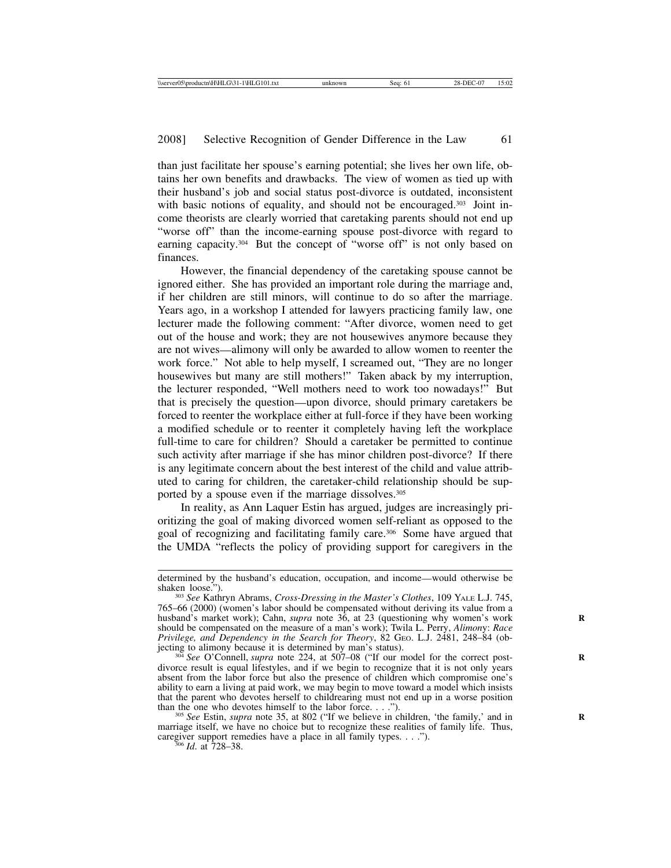than just facilitate her spouse's earning potential; she lives her own life, obtains her own benefits and drawbacks. The view of women as tied up with their husband's job and social status post-divorce is outdated, inconsistent with basic notions of equality, and should not be encouraged.<sup>303</sup> Joint income theorists are clearly worried that caretaking parents should not end up "worse off" than the income-earning spouse post-divorce with regard to earning capacity.<sup>304</sup> But the concept of "worse off" is not only based on finances.

However, the financial dependency of the caretaking spouse cannot be ignored either. She has provided an important role during the marriage and, if her children are still minors, will continue to do so after the marriage. Years ago, in a workshop I attended for lawyers practicing family law, one lecturer made the following comment: "After divorce, women need to get out of the house and work; they are not housewives anymore because they are not wives—alimony will only be awarded to allow women to reenter the work force." Not able to help myself, I screamed out, "They are no longer housewives but many are still mothers!" Taken aback by my interruption, the lecturer responded, "Well mothers need to work too nowadays!" But that is precisely the question—upon divorce, should primary caretakers be forced to reenter the workplace either at full-force if they have been working a modified schedule or to reenter it completely having left the workplace full-time to care for children? Should a caretaker be permitted to continue such activity after marriage if she has minor children post-divorce? If there is any legitimate concern about the best interest of the child and value attributed to caring for children, the caretaker-child relationship should be supported by a spouse even if the marriage dissolves.<sup>305</sup>

In reality, as Ann Laquer Estin has argued, judges are increasingly prioritizing the goal of making divorced women self-reliant as opposed to the goal of recognizing and facilitating family care.306 Some have argued that the UMDA "reflects the policy of providing support for caregivers in the

determined by the husband's education, occupation, and income—would otherwise be

<sup>&</sup>lt;sup>303</sup> See Kathryn Abrams, *Cross-Dressing in the Master's Clothes*, 109 YALE L.J. 745, 765–66 (2000) (women's labor should be compensated without deriving its value from a husband's market work); Cahn, *supra* note 36, at 23 (questioning why women's work should be compensated on the measure of a man's work); Twila L. Perry, *Alimon*y: *Race Privilege, and Dependency in the Search for Theory*, 82 GEO. L.J. 2481, 248–84 (objecting to alimony because it is determined by man's status).<br><sup>304</sup> *See* O'Connell, *supra* note 224, at 507–08 ("If our model for the correct post-

divorce result is equal lifestyles, and if we begin to recognize that it is not only years absent from the labor force but also the presence of children which compromise one's ability to earn a living at paid work, we may begin to move toward a model which insists that the parent who devotes herself to childrearing must not end up in a worse position than the one who devotes himself to the labor force.  $\dots$ .

<sup>&</sup>lt;sup>305</sup> *See* Estin, *supra* note 35, at 802 ("If we believe in children, 'the family,' and in marriage itself, we have no choice but to recognize these realities of family life. Thus, caregiver support remedies have a place in all family types. . . ."). <sup>306</sup> *Id*. at 728–38.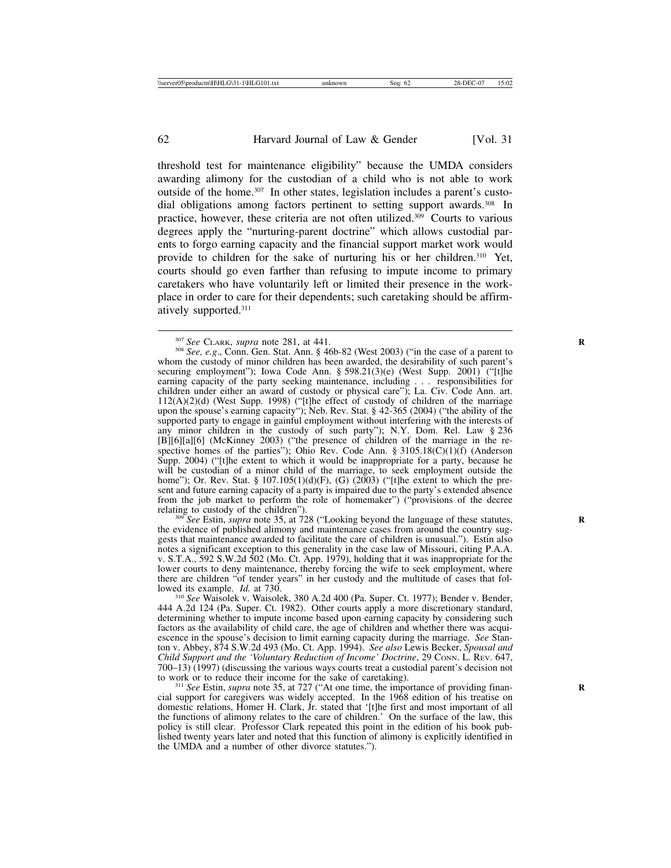threshold test for maintenance eligibility" because the UMDA considers awarding alimony for the custodian of a child who is not able to work outside of the home.307 In other states, legislation includes a parent's custodial obligations among factors pertinent to setting support awards.<sup>308</sup> In practice, however, these criteria are not often utilized.309 Courts to various degrees apply the "nurturing-parent doctrine" which allows custodial parents to forgo earning capacity and the financial support market work would provide to children for the sake of nurturing his or her children.<sup>310</sup> Yet, courts should go even farther than refusing to impute income to primary caretakers who have voluntarily left or limited their presence in the workplace in order to care for their dependents; such caretaking should be affirmatively supported.311

<sup>307</sup> *See* CLARK, *supra* note 281, at 441.<br><sup>308</sup> *See*, *e.g.*, Conn. Gen. Stat. Ann. § 46b-82 (West 2003) ("in the case of a parent to whom the custody of minor children has been awarded, the desirability of such parent's securing employment"); Iowa Code Ann. § 598.21(3)(e) (West Supp. 2001) ("[t]he earning capacity of the party seeking maintenance, including . . . responsibilities for children under either an award of custody or physical care"); La. Civ. Code Ann. art. 112(A)(2)(d) (West Supp. 1998) ("[t]he effect of custody of children of the marriage upon the spouse's earning capacity"); Neb. Rev. Stat. § 42-365 (2004) ("the ability of the supported party to engage in gainful employment without interfering with the interests of any minor children in the custody of such party"); N.Y. Dom. Rel. Law § 236 [B][6][a][6] (McKinney 2003) ("the presence of children of the marriage in the respective homes of the parties"); Ohio Rev. Code Ann. § 3105.18(C)(1)(f) (Anderson Supp. 2004) ("[t]he extent to which it would be inappropriate for a party, because he will be custodian of a minor child of the marriage, to seek employment outside the home"); Or. Rev. Stat. § 107.105(1)(d)(F), (G) (2003) ("[t]he extent to which the present and future earning capacity of a party is impaired due to the party's extended absence from the job market to perform the role of homemaker") ("provisions of the decree

relating to custody of the children"). <sup>309</sup> *See* Estin, *supra* note 35, at 728 ("Looking beyond the language of these statutes, the evidence of published alimony and maintenance cases from around the country suggests that maintenance awarded to facilitate the care of children is unusual."). Estin also notes a significant exception to this generality in the case law of Missouri, citing P.A.A. v. S.T.A., 592 S.W.2d 502 (Mo. Ct. App. 1979), holding that it was inappropriate for the lower courts to deny maintenance, thereby forcing the wife to seek employment, where there are children "of tender years" in her custody and the multitude of cases that followed its example.  $Id$ . at 730.

<sup>310</sup> See Waisolek v. Waisolek, 380 A.2d 400 (Pa. Super. Ct. 1977); Bender v. Bender, 444 A.2d 124 (Pa. Super. Ct. 1982). Other courts apply a more discretionary standard, determining whether to impute income based upon earning capacity by considering such factors as the availability of child care, the age of children and whether there was acquiescence in the spouse's decision to limit earning capacity during the marriage. *See* Stanton v. Abbey, 874 S.W.2d 493 (Mo. Ct. App. 1994). *See also* Lewis Becker, *Spousal and Child Support and the 'Voluntary Reduction of Income' Doctrine*, 29 CONN. L. REV. 647, 700–13) (1997) (discussing the various ways courts treat a custodial parent's decision not

<sup>311</sup> *See* Estin, *supra* note 35, at 727 ("At one time, the importance of providing financial support for caregivers was widely accepted. In the 1968 edition of his treatise on domestic relations, Homer H. Clark, Jr. stated that '[t]he first and most important of all the functions of alimony relates to the care of children.' On the surface of the law, this policy is still clear. Professor Clark repeated this point in the edition of his book published twenty years later and noted that this function of alimony is explicitly identified in the UMDA and a number of other divorce statutes.").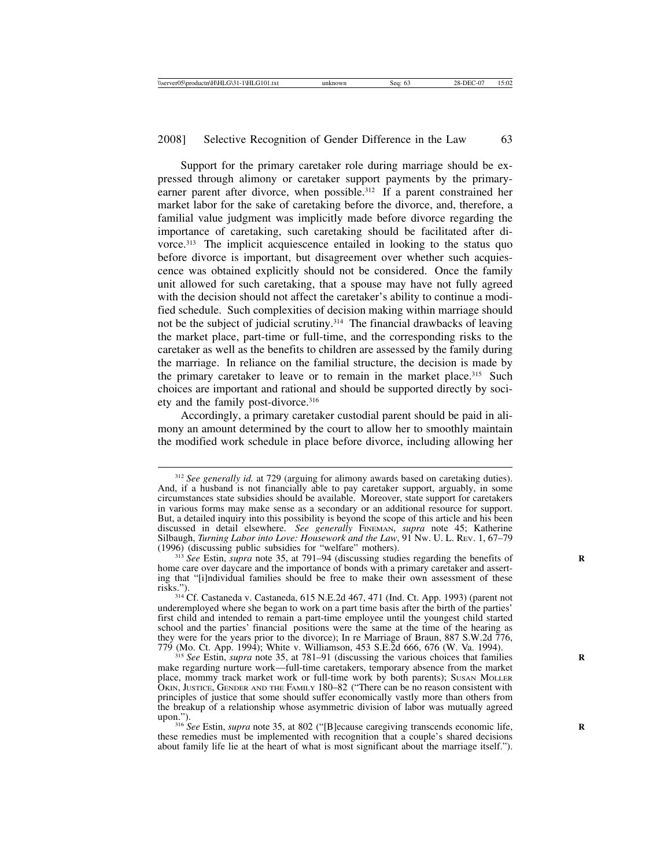Support for the primary caretaker role during marriage should be expressed through alimony or caretaker support payments by the primaryearner parent after divorce, when possible.<sup>312</sup> If a parent constrained her market labor for the sake of caretaking before the divorce, and, therefore, a familial value judgment was implicitly made before divorce regarding the importance of caretaking, such caretaking should be facilitated after divorce.313 The implicit acquiescence entailed in looking to the status quo before divorce is important, but disagreement over whether such acquiescence was obtained explicitly should not be considered. Once the family unit allowed for such caretaking, that a spouse may have not fully agreed with the decision should not affect the caretaker's ability to continue a modified schedule. Such complexities of decision making within marriage should not be the subject of judicial scrutiny.314 The financial drawbacks of leaving the market place, part-time or full-time, and the corresponding risks to the caretaker as well as the benefits to children are assessed by the family during the marriage. In reliance on the familial structure, the decision is made by the primary caretaker to leave or to remain in the market place.<sup>315</sup> Such choices are important and rational and should be supported directly by society and the family post-divorce.316

Accordingly, a primary caretaker custodial parent should be paid in alimony an amount determined by the court to allow her to smoothly maintain the modified work schedule in place before divorce, including allowing her

<sup>313</sup> See Estin, *supra* note 35, at 791–94 (discussing studies regarding the benefits of home care over daycare and the importance of bonds with a primary caretaker and asserting that "[i]ndividual families should be free to make their own assessment of these

<sup>312</sup> *See generally id.* at 729 (arguing for alimony awards based on caretaking duties). And, if a husband is not financially able to pay caretaker support, arguably, in some circumstances state subsidies should be available. Moreover, state support for caretakers in various forms may make sense as a secondary or an additional resource for support. But, a detailed inquiry into this possibility is beyond the scope of this article and his been discussed in detail elsewhere. *See generally* FINEMAN, *supra* note 45; Katherine Silbaugh, *Turning Labor into Love: Housework and the Law*, 91 Nw. U. L. Rev. 1, 67–79 (1996) (discussing public subsidies for "welfare" mothers).

risks."). <sup>314</sup> Cf. Castaneda v. Castaneda, 615 N.E.2d 467, 471 (Ind. Ct. App. 1993) (parent not underemployed where she began to work on a part time basis after the birth of the parties' first child and intended to remain a part-time employee until the youngest child started school and the parties' financial positions were the same at the time of the hearing as they were for the years prior to the divorce); In re Marriage of Braun, 887 S.W.2d 776, 779 (Mo. Ct. App. 1994); White v. Williamson, 453 S.E.2d 666, 676 (W. Va. 1994).

<sup>&</sup>lt;sup>315</sup> See Estin, *supra* note 35, at 781–91 (discussing the various choices that families make regarding nurture work—full-time caretakers, temporary absence from the market place, mommy track market work or full-time work by both parents); SUSAN MOLLER OKIN, JUSTICE, GENDER AND THE FAMILY 180–82 ("There can be no reason consistent with principles of justice that some should suffer economically vastly more than others from the breakup of a relationship whose asymmetric division of labor was mutually agreed upon.").<br><sup>316</sup> *See* Estin, *supra* note 35, at 802 ("[B]ecause caregiving transcends economic life,

these remedies must be implemented with recognition that a couple's shared decisions about family life lie at the heart of what is most significant about the marriage itself.").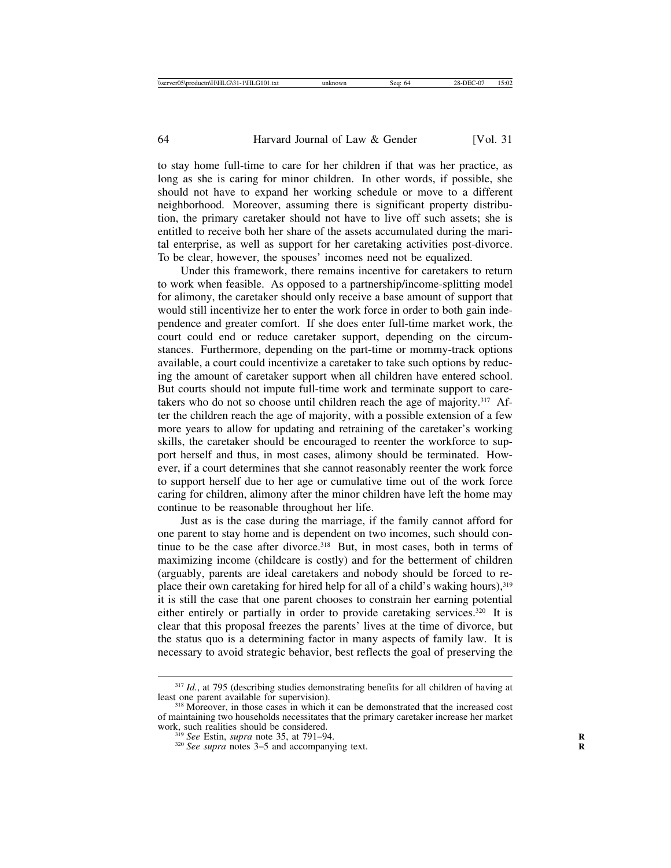to stay home full-time to care for her children if that was her practice, as long as she is caring for minor children. In other words, if possible, she should not have to expand her working schedule or move to a different neighborhood. Moreover, assuming there is significant property distribution, the primary caretaker should not have to live off such assets; she is entitled to receive both her share of the assets accumulated during the marital enterprise, as well as support for her caretaking activities post-divorce. To be clear, however, the spouses' incomes need not be equalized.

Under this framework, there remains incentive for caretakers to return to work when feasible. As opposed to a partnership/income-splitting model for alimony, the caretaker should only receive a base amount of support that would still incentivize her to enter the work force in order to both gain independence and greater comfort. If she does enter full-time market work, the court could end or reduce caretaker support, depending on the circumstances. Furthermore, depending on the part-time or mommy-track options available, a court could incentivize a caretaker to take such options by reducing the amount of caretaker support when all children have entered school. But courts should not impute full-time work and terminate support to caretakers who do not so choose until children reach the age of majority.317 After the children reach the age of majority, with a possible extension of a few more years to allow for updating and retraining of the caretaker's working skills, the caretaker should be encouraged to reenter the workforce to support herself and thus, in most cases, alimony should be terminated. However, if a court determines that she cannot reasonably reenter the work force to support herself due to her age or cumulative time out of the work force caring for children, alimony after the minor children have left the home may continue to be reasonable throughout her life.

Just as is the case during the marriage, if the family cannot afford for one parent to stay home and is dependent on two incomes, such should continue to be the case after divorce.<sup>318</sup> But, in most cases, both in terms of maximizing income (childcare is costly) and for the betterment of children (arguably, parents are ideal caretakers and nobody should be forced to replace their own caretaking for hired help for all of a child's waking hours),<sup>319</sup> it is still the case that one parent chooses to constrain her earning potential either entirely or partially in order to provide caretaking services.<sup>320</sup> It is clear that this proposal freezes the parents' lives at the time of divorce, but the status quo is a determining factor in many aspects of family law. It is necessary to avoid strategic behavior, best reflects the goal of preserving the

<sup>&</sup>lt;sup>317</sup> *Id.*, at 795 (describing studies demonstrating benefits for all children of having at least one parent available for supervision).

 $318$  Moreover, in those cases in which it can be demonstrated that the increased cost of maintaining two households necessitates that the primary caretaker increase her market

<sup>&</sup>lt;sup>319</sup> See Estin, *supra* note 35, at 791–94. *R* 3<sup>20</sup> *See supra* notes 3–5 and accompanying text.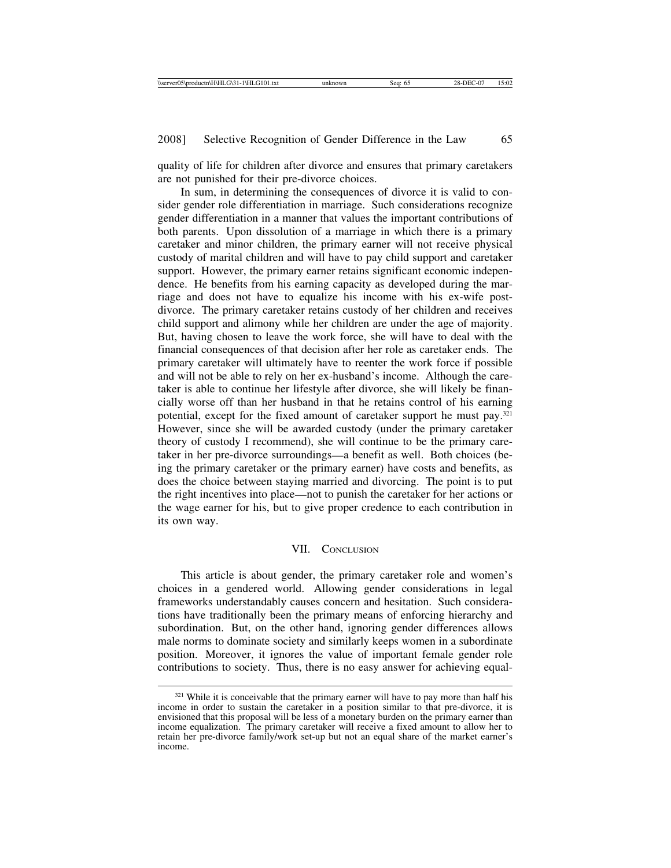quality of life for children after divorce and ensures that primary caretakers are not punished for their pre-divorce choices.

In sum, in determining the consequences of divorce it is valid to consider gender role differentiation in marriage. Such considerations recognize gender differentiation in a manner that values the important contributions of both parents. Upon dissolution of a marriage in which there is a primary caretaker and minor children, the primary earner will not receive physical custody of marital children and will have to pay child support and caretaker support. However, the primary earner retains significant economic independence. He benefits from his earning capacity as developed during the marriage and does not have to equalize his income with his ex-wife postdivorce. The primary caretaker retains custody of her children and receives child support and alimony while her children are under the age of majority. But, having chosen to leave the work force, she will have to deal with the financial consequences of that decision after her role as caretaker ends. The primary caretaker will ultimately have to reenter the work force if possible and will not be able to rely on her ex-husband's income. Although the caretaker is able to continue her lifestyle after divorce, she will likely be financially worse off than her husband in that he retains control of his earning potential, except for the fixed amount of caretaker support he must pay.321 However, since she will be awarded custody (under the primary caretaker theory of custody I recommend), she will continue to be the primary caretaker in her pre-divorce surroundings—a benefit as well. Both choices (being the primary caretaker or the primary earner) have costs and benefits, as does the choice between staying married and divorcing. The point is to put the right incentives into place—not to punish the caretaker for her actions or the wage earner for his, but to give proper credence to each contribution in its own way.

# VII. CONCLUSION

This article is about gender, the primary caretaker role and women's choices in a gendered world. Allowing gender considerations in legal frameworks understandably causes concern and hesitation. Such considerations have traditionally been the primary means of enforcing hierarchy and subordination. But, on the other hand, ignoring gender differences allows male norms to dominate society and similarly keeps women in a subordinate position. Moreover, it ignores the value of important female gender role contributions to society. Thus, there is no easy answer for achieving equal-

<sup>&</sup>lt;sup>321</sup> While it is conceivable that the primary earner will have to pay more than half his income in order to sustain the caretaker in a position similar to that pre-divorce, it is envisioned that this proposal will be less of a monetary burden on the primary earner than income equalization. The primary caretaker will receive a fixed amount to allow her to retain her pre-divorce family/work set-up but not an equal share of the market earner's income.